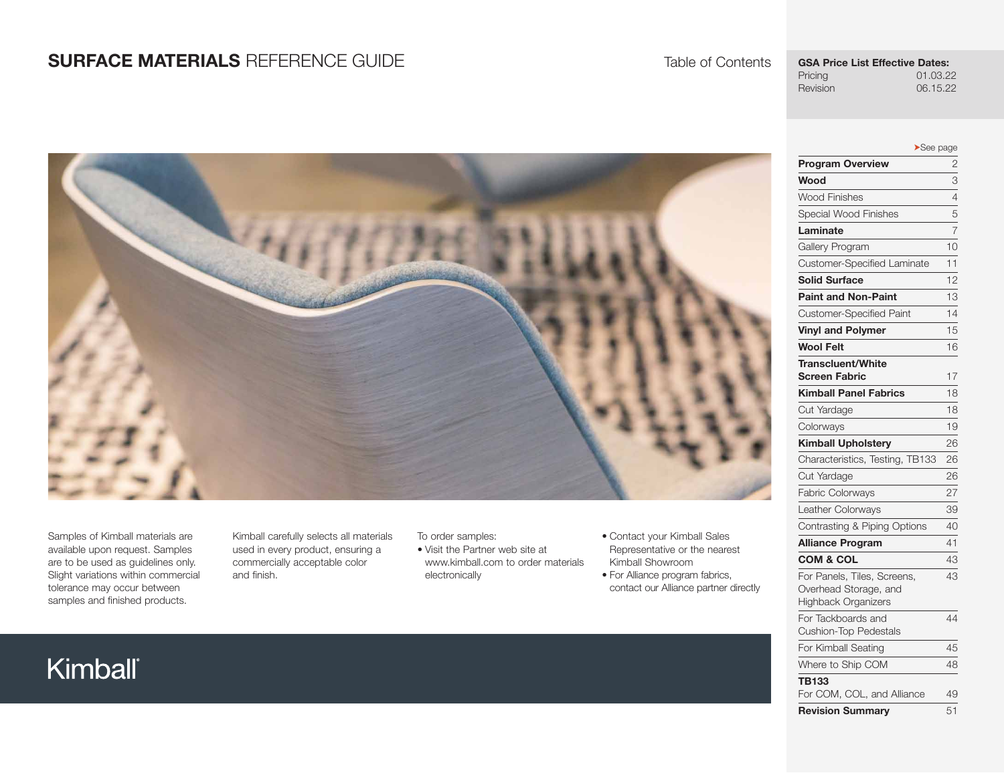# **SURFACE MATERIALS** REFERENCE GUIDE



Samples of Kimball materials are available upon request. Samples are to be used as guidelines only. Slight variations within commercial tolerance may occur between samples and finished products.

Kimball carefully selects all materials used in every product, ensuring a commercially acceptable color and finish.

To order samples:

- Visit the Partner web site at www.kimball.com to order materials electronically
- Contact your Kimball Sales Representative or the nearest Kimball Showroom
- For Alliance program fabrics, contact our Alliance partner directly

# Kimball®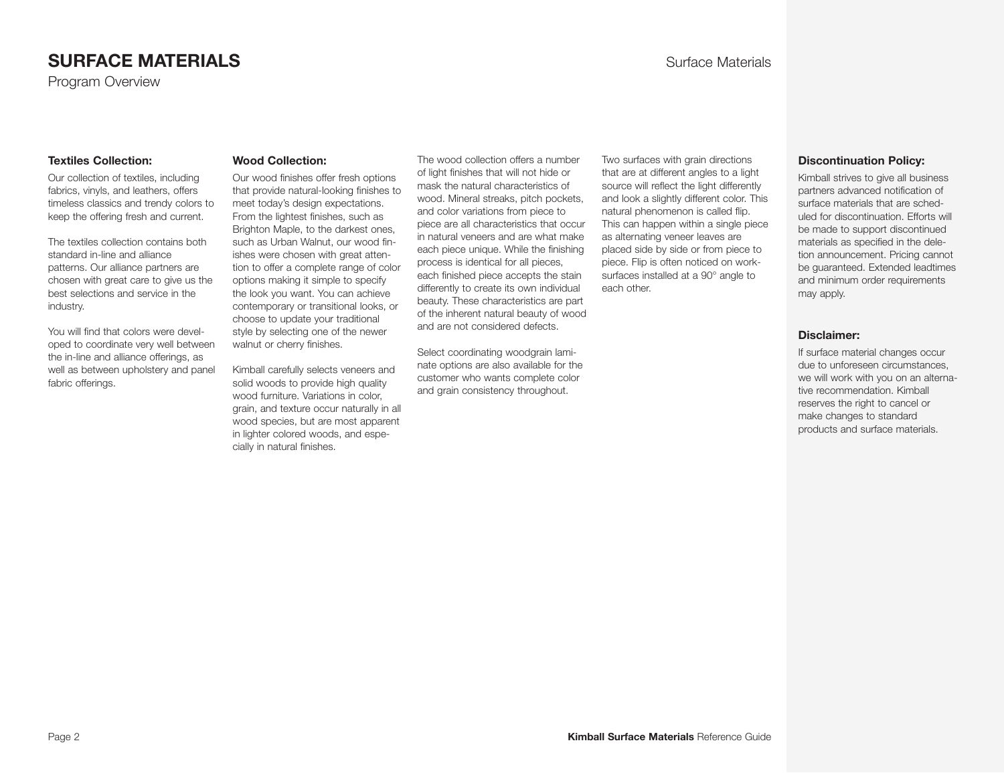# **SURFACE MATERIALS SURFACE MATERIALS**

Program Overview

#### **Textiles Collection:**

Our collection of textiles, including fabrics, vinyls, and leathers, offers timeless classics and trendy colors to keep the offering fresh and current.

The textiles collection contains both standard in-line and alliance patterns. Our alliance partners are chosen with great care to give us the best selections and service in the industry.

You will find that colors were developed to coordinate very well between the in-line and alliance offerings, as well as between upholstery and panel fabric offerings.

#### **Wood Collection:**

Our wood finishes offer fresh options that provide natural-looking finishes to meet today's design expectations. From the lightest finishes, such as Brighton Maple, to the darkest ones, such as Urban Walnut, our wood finishes were chosen with great attention to offer a complete range of color options making it simple to specify the look you want. You can achieve contemporary or transitional looks, or choose to update your traditional style by selecting one of the newer walnut or cherry finishes.

Kimball carefully selects veneers and solid woods to provide high quality wood furniture. Variations in color, grain, and texture occur naturally in all wood species, but are most apparent in lighter colored woods, and especially in natural finishes.

The wood collection offers a number of light finishes that will not hide or mask the natural characteristics of wood. Mineral streaks, pitch pockets, and color variations from piece to piece are all characteristics that occur in natural veneers and are what make each piece unique. While the finishing process is identical for all pieces, each finished piece accepts the stain differently to create its own individual beauty. These characteristics are part of the inherent natural beauty of wood and are not considered defects.

Select coordinating woodgrain laminate options are also available for the customer who wants complete color and grain consistency throughout.

Two surfaces with grain directions that are at different angles to a light source will reflect the light differently and look a slightly different color. This natural phenomenon is called flip. This can happen within a single piece as alternating veneer leaves are placed side by side or from piece to piece. Flip is often noticed on worksurfaces installed at a 90° angle to each other.

#### **Discontinuation Policy:**

Kimball strives to give all business partners advanced notification of surface materials that are scheduled for discontinuation. Efforts will be made to support discontinued materials as specified in the deletion announcement. Pricing cannot be guaranteed. Extended leadtimes and minimum order requirements may apply.

#### **Disclaimer:**

If surface material changes occur due to unforeseen circumstances, we will work with you on an alternative recommendation. Kimball reserves the right to cancel or make changes to standard products and surface materials.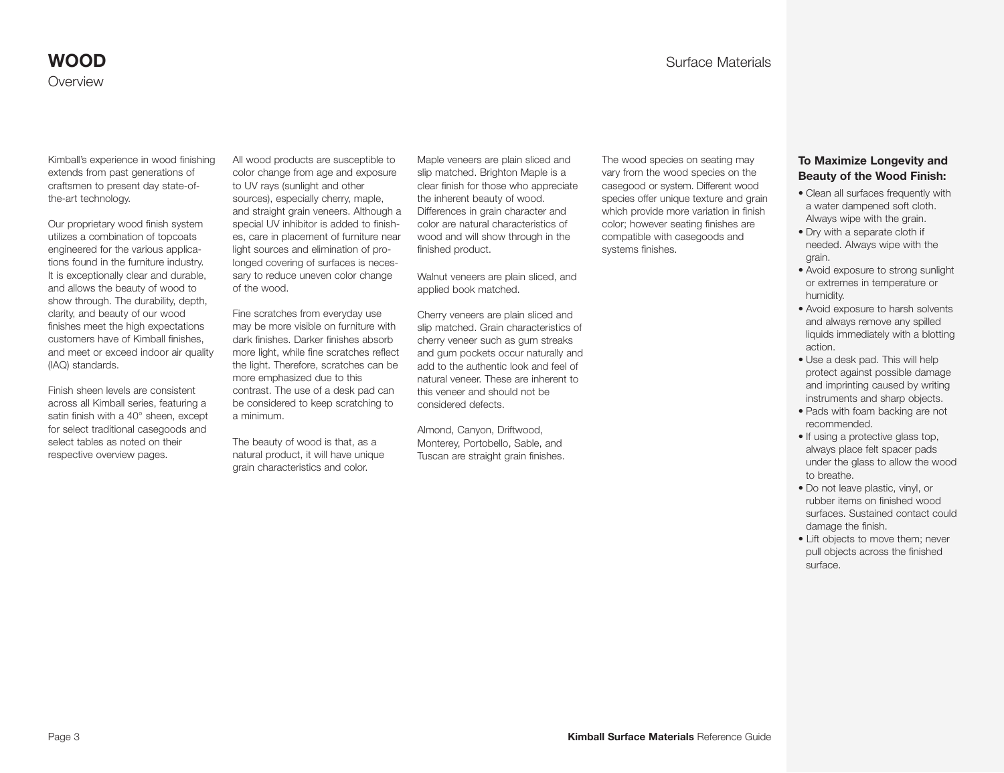Kimball's experience in wood finishing extends from past generations of craftsmen to present day state-ofthe-art technology.

Our proprietary wood finish system utilizes a combination of topcoats engineered for the various applications found in the furniture industry. It is exceptionally clear and durable. and allows the beauty of wood to show through. The durability, depth, clarity, and beauty of our wood finishes meet the high expectations customers have of Kimball finishes, and meet or exceed indoor air quality (IAQ) standards.

Finish sheen levels are consistent across all Kimball series, featuring a satin finish with a 40° sheen, except for select traditional casegoods and select tables as noted on their respective overview pages.

All wood products are susceptible to color change from age and exposure to UV rays (sunlight and other sources), especially cherry, maple, and straight grain veneers. Although a special UV inhibitor is added to finishes, care in placement of furniture near light sources and elimination of prolonged covering of surfaces is necessary to reduce uneven color change of the wood.

Fine scratches from everyday use may be more visible on furniture with dark finishes. Darker finishes absorb more light, while fine scratches reflect the light. Therefore, scratches can be more emphasized due to this contrast. The use of a desk pad can be considered to keep scratching to a minimum.

The beauty of wood is that, as a natural product, it will have unique grain characteristics and color.

Maple veneers are plain sliced and slip matched. Brighton Maple is a clear finish for those who appreciate the inherent beauty of wood. Differences in grain character and color are natural characteristics of wood and will show through in the finished product.

Walnut veneers are plain sliced, and applied book matched.

Cherry veneers are plain sliced and slip matched. Grain characteristics of cherry veneer such as gum streaks and gum pockets occur naturally and add to the authentic look and feel of natural veneer. These are inherent to this veneer and should not be considered defects.

Almond, Canyon, Driftwood, Monterey, Portobello, Sable, and Tuscan are straight grain finishes. The wood species on seating may vary from the wood species on the casegood or system. Different wood species offer unique texture and grain which provide more variation in finish color; however seating finishes are compatible with casegoods and systems finishes.

#### **To Maximize Longevity and Beauty of the Wood Finish:**

- Clean all surfaces frequently with a water dampened soft cloth. Always wipe with the grain.
- Dry with a separate cloth if needed. Always wipe with the grain.
- Avoid exposure to strong sunlight or extremes in temperature or humidity.
- Avoid exposure to harsh solvents and always remove any spilled liquids immediately with a blotting action.
- Use a desk pad. This will help protect against possible damage and imprinting caused by writing instruments and sharp objects.
- Pads with foam backing are not recommended.
- If using a protective glass top, always place felt spacer pads under the glass to allow the wood to breathe.
- Do not leave plastic, vinyl, or rubber items on finished wood surfaces. Sustained contact could damage the finish.
- Lift objects to move them; never pull objects across the finished surface.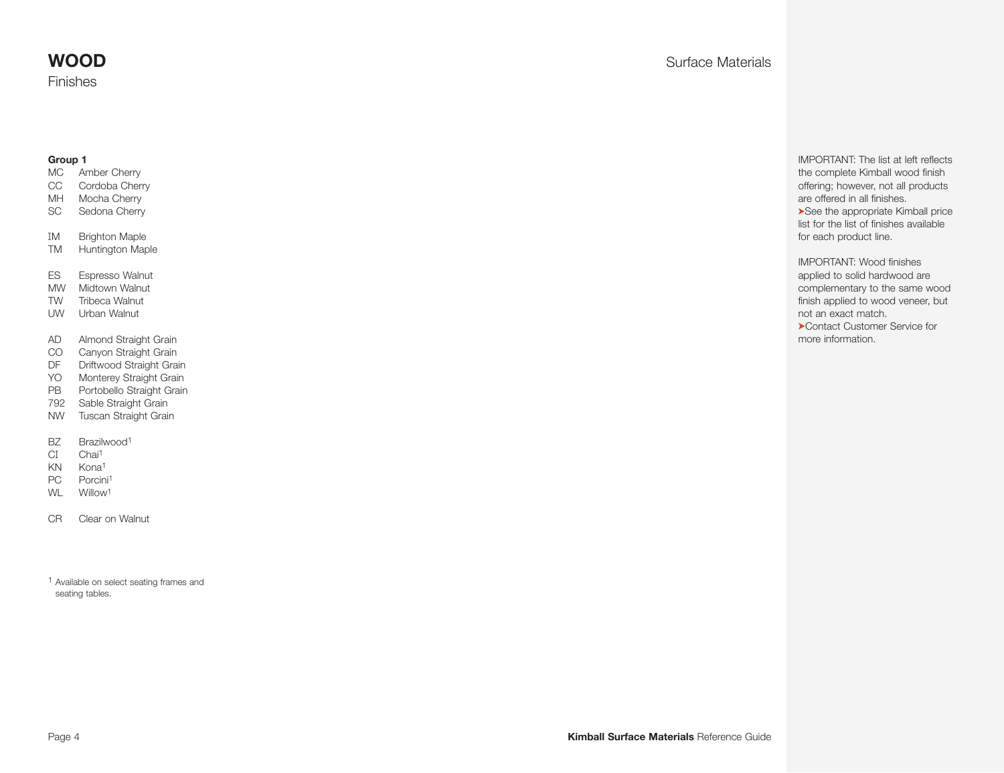#### **Group 1**

- MC Amber Cherry
- CC Cordoba Cherry MH Mocha Cherry
- SC Sedona Cherry
- IM Brighton Maple
- TM Huntington Maple
- ES Espresso Walnut
- MW Midtown Walnut
- TW Tribeca Walnut
- UW Urban Walnut
- AD Almond Straight Grain
- CO Canyon Straight Grain
- DF Driftwood Straight Grain
- YO Monterey Straight Grain
- PB Portobello Straight Grain
- 792 Sable Straight Grain
- NW Tuscan Straight Grain
- BZ Brazilwood<sup>1</sup>
- CI Chai<sup>1</sup>
- KN Kona1
- PC Porcini<sup>1</sup>
- WL Willow<sup>1</sup>
- CR Clear on Walnut

1 Available on select seating frames and seating tables.

# **WOOD** Surface Materials

IMPORTANT: The list at left reflects the complete Kimball wood finish offering; however, not all products are offered in all finishes. ➤See the appropriate Kimball price list for the list of finishes available for each product line.

IMPORTANT: Wood finishes applied to solid hardwood are complementary to the same wood finish applied to wood veneer, but not an exact match.

➤Contact Customer Service for more information.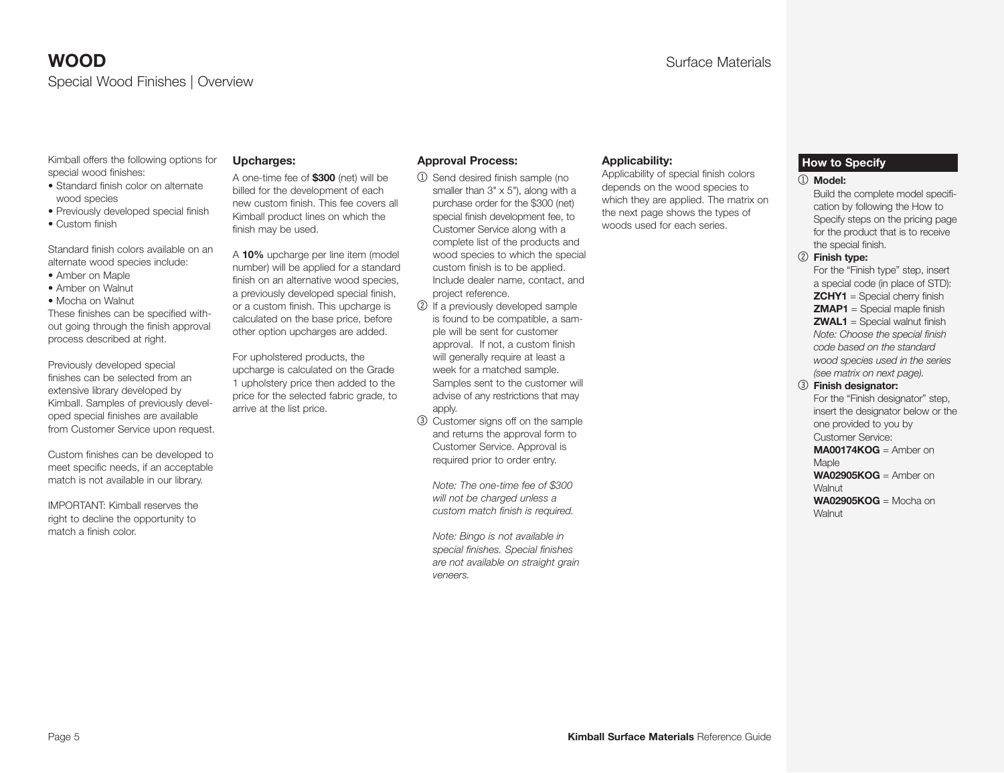Kimball offers the following options for special wood finishes:

- Standard finish color on alternate wood species
- Previously developed special finish
- Custom finish

Standard finish colors available on an alternate wood species include:

- Amber on Maple
- Amber on Walnut
- Mocha on Walnut

These finishes can be specified without going through the finish approval process described at right.

Previously developed special finishes can be selected from an extensive library developed by Kimball. Samples of previously developed special finishes are available from Customer Service upon request.

Custom finishes can be developed to meet specific needs, if an acceptable match is not available in our library.

IMPORTANT: Kimball reserves the right to decline the opportunity to match a finish color.

#### **Upcharges:**

A one-time fee of **\$300** (net) will be billed for the development of each new custom finish. This fee covers all Kimball product lines on which the finish may be used.

A **10%** upcharge per line item (model number) will be applied for a standard finish on an alternative wood species, a previously developed special finish, or a custom finish. This upcharge is calculated on the base price, before other option upcharges are added.

For upholstered products, the upcharge is calculated on the Grade 1 upholstery price then added to the price for the selected fabric grade, to arrive at the list price.

apply. 3 Customer signs off on the sample and returns the approval form to Customer Service. Approval is required prior to order entry.

**Approval Process:** 

project reference.

2 If a previously developed sample is found to be compatible, a sample will be sent for customer approval. If not, a custom finish will generally require at least a week for a matched sample. Samples sent to the customer will advise of any restrictions that may

1 Send desired finish sample (no smaller than 3" x 5"), along with a purchase order for the \$300 (net) special finish development fee, to Customer Service along with a complete list of the products and wood species to which the special custom finish is to be applied. Include dealer name, contact, and

 *Note: The one-time fee of \$300 will not be charged unless a custom match finish is required.* 

 *Note: Bingo is not available in special finishes. Special finishes are not available on straight grain veneers.*

#### **Applicability:**

Applicability of special finish colors depends on the wood species to which they are applied. The matrix on the next page shows the types of woods used for each series.

#### **How to Specify**

#### 1 **Model:**

Build the complete model specification by following the How to Specify steps on the pricing page for the product that is to receive the special finish.

2 **Finish type:**

For the "Finish type" step, insert a special code (in place of STD): **ZCHY1** = Special cherry finish **ZMAP1** = Special maple finish **ZWAL1** = Special walnut finish *Note: Choose the special finish code based on the standard wood species used in the series (see matrix on next page).*

3 **Finish designator:**

For the "Finish designator" step, insert the designator below or the one provided to you by Customer Service: **MA00174KOG** = Amber on

Maple **WA02905KOG** = Amber on Walnut **WA02905KOG** = Mocha on

**Walnut**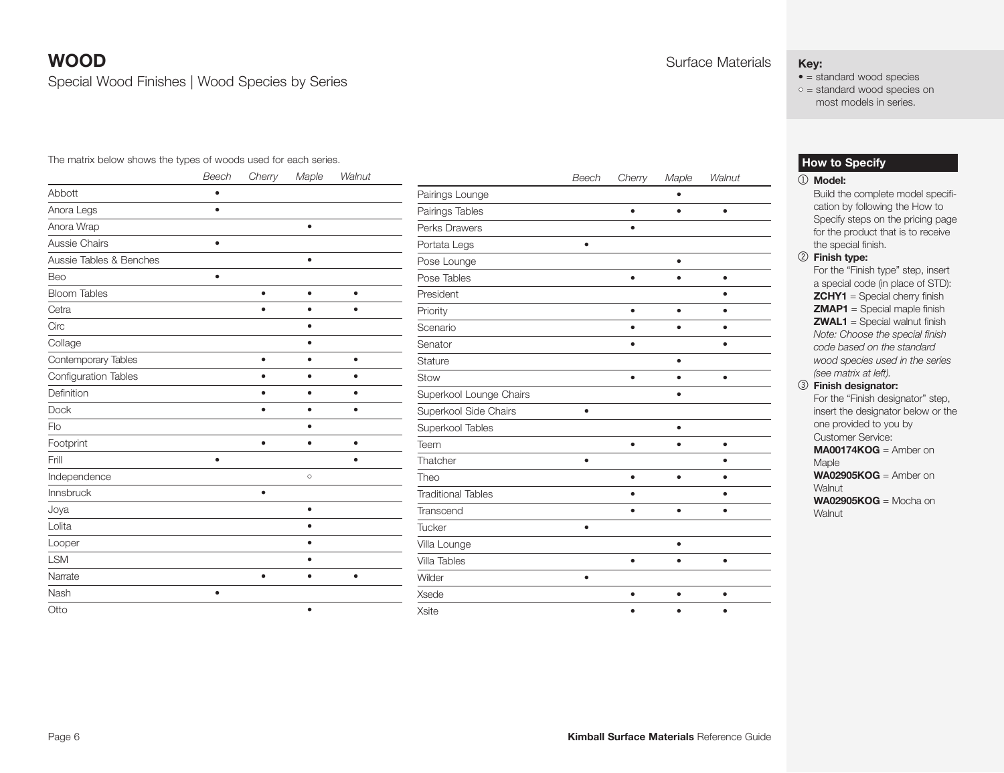Special Wood Finishes | Wood Species by Series

#### The matrix below shows the types of woods used for each series.

 $\overline{\phantom{a}}$ 

|                         | <b>Beech</b> | Cherry    | Maple     | Walnut    |
|-------------------------|--------------|-----------|-----------|-----------|
| Abbott                  | ٠            |           |           |           |
| Anora Legs              | $\bullet$    |           |           |           |
| Anora Wrap              |              |           | $\bullet$ |           |
| Aussie Chairs           | $\bullet$    |           |           |           |
| Aussie Tables & Benches |              |           | ٠         |           |
| Beo                     | $\bullet$    |           |           |           |
| <b>Bloom Tables</b>     |              | $\bullet$ | $\bullet$ | $\bullet$ |
| Cetra                   |              |           |           |           |
| Circ                    |              |           | $\bullet$ |           |
| Collage                 |              |           |           |           |
| Contemporary Tables     |              | $\bullet$ | $\bullet$ | $\bullet$ |
| Configuration Tables    |              | ٠         | ٠         | ٠         |
| Definition              |              |           | ٠         | ٠         |
| <b>Dock</b>             |              | $\bullet$ | $\bullet$ | ٠         |
| Flo                     |              |           |           |           |
| Footprint               |              | $\bullet$ | $\bullet$ | $\bullet$ |
| Frill                   | $\bullet$    |           |           | ٠         |
| Independence            |              |           | $\circ$   |           |
| Innsbruck               |              | $\bullet$ |           |           |
| Joya                    |              |           | $\bullet$ |           |
| Lolita                  |              |           | $\bullet$ |           |
| Looper                  |              |           | $\bullet$ |           |
| <b>LSM</b>              |              |           | ٠         |           |
| Narrate                 |              | $\bullet$ | $\bullet$ | $\bullet$ |
| Nash                    |              |           |           |           |
| Otto                    |              |           | $\bullet$ |           |

|                           | Beech     | Cherry    | Maple     | Walnut    |
|---------------------------|-----------|-----------|-----------|-----------|
| Pairings Lounge           |           |           |           |           |
| Pairings Tables           |           | $\bullet$ |           | $\bullet$ |
| Perks Drawers             |           |           |           |           |
| Portata Legs              | $\bullet$ |           |           |           |
| Pose Lounge               |           |           | $\bullet$ |           |
| Pose Tables               |           |           |           |           |
| President                 |           |           |           |           |
| Priority                  |           | ٠         |           |           |
| Scenario                  |           | $\bullet$ | $\bullet$ | $\bullet$ |
| Senator                   |           |           |           |           |
| Stature                   |           |           |           |           |
| Stow                      |           | ٠         |           | $\bullet$ |
| Superkool Lounge Chairs   |           |           |           |           |
| Superkool Side Chairs     | $\bullet$ |           |           |           |
| Superkool Tables          |           |           |           |           |
| Teem                      |           |           |           |           |
| Thatcher                  | ó         |           |           |           |
| Theo                      |           | ٠         | ٠         |           |
| <b>Traditional Tables</b> |           | ٠         |           | ٠         |
| Transcend                 |           |           |           |           |
| Tucker                    |           |           |           |           |
| Villa Lounge              |           |           |           |           |
| <b>Villa Tables</b>       |           | ٠         |           | $\bullet$ |
| Wilder                    | $\bullet$ |           |           |           |
| Xsede                     |           |           |           |           |

Xsite • • •

# **WOOD** Surface Materials

## **Key:**

- = standard wood species
- $\circ$  = standard wood species on most models in series.

#### **How to Specify**

#### 1 **Model:**

- Build the complete model specification by following the How to Specify steps on the pricing page for the product that is to receive the special finish.
- 2 **Finish type:**

For the "Finish type" step, insert a special code (in place of STD): **ZCHY1** = Special cherry finish **ZMAP1** = Special maple finish **ZWAL1** = Special walnut finish *Note: Choose the special finish code based on the standard wood species used in the series (see matrix at left).* 3 **Finish designator:**

- For the "Finish designator" step, insert the designator below or the one provided to you by Customer Service: **MA00174KOG** = Amber on Maple **WA02905KOG** = Amber on **Walnut**
- **WA02905KOG** = Mocha on Walnut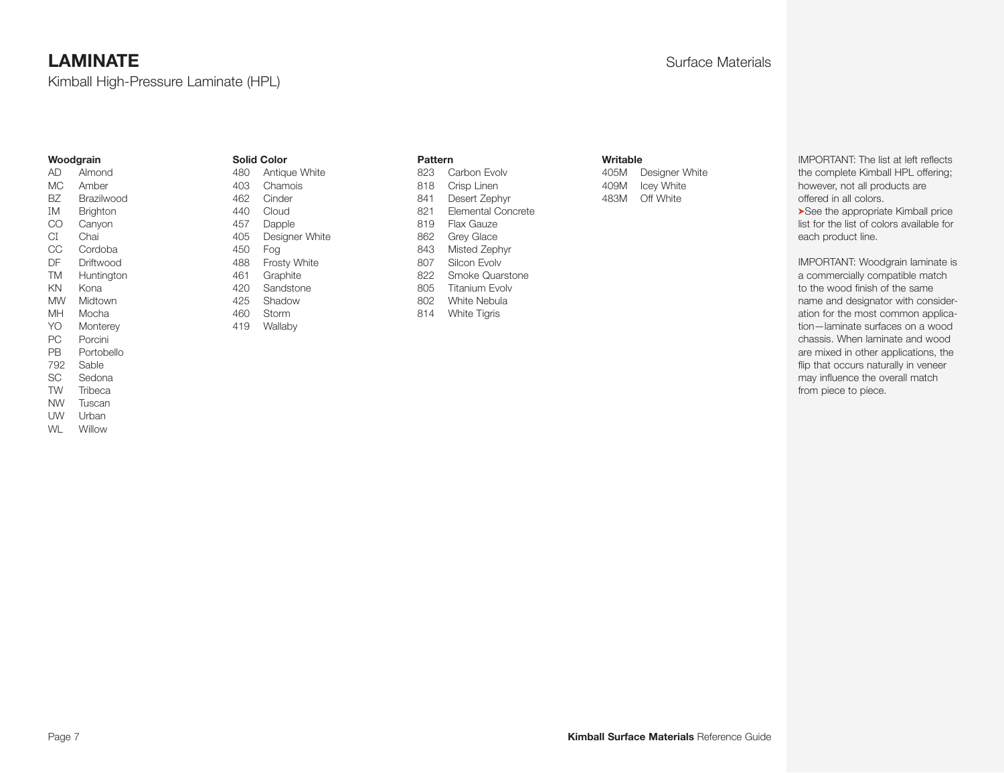Kimball High-Pressure Laminate (HPL)

#### **Woodgrain**

AD Almond MC Amber BZ Brazilwood IM Brighton CO Canyon CI Chai CC Cordoba DF Driftwood TM Huntington KN Kona MW Midtown MH Mocha YO Monterey PC Porcini PB Portobello 792 Sable SC Sedona TW Tribeca NW Tuscan

UW Urban WL Willow

#### **Solid Color**

480 Antique White 403 Chamois 462 Cinder 440 Cloud 457 Dapple 405 Designer White 450 Fog 488 Frosty White 461 Graphite 420 Sandstone 425 Shadow 460 Storm 419 Wallaby

#### **Pattern**

| 823 | Carbon Evolv              |
|-----|---------------------------|
| 818 | Crisp Linen               |
| 841 | Desert Zephyr             |
| 821 | <b>Elemental Concrete</b> |
| 819 | Flax Gauze                |
| 862 | <b>Grey Glace</b>         |
| 843 | Misted Zephyr             |
| 807 | Silcon Evolv              |
| 822 | Smoke Quarstone           |
| 805 | <b>Titanium Evolv</b>     |
| 802 | White Nebula              |
| 814 | <b>White Tigris</b>       |
|     |                           |

#### **Writable**

405M Designer White 409M Icey White 483M Off White

IMPORTANT: The list at left reflects the complete Kimball HPL offering; however, not all products are offered in all colors. ➤See the appropriate Kimball price

list for the list of colors available for each product line.

IMPORTANT: Woodgrain laminate is a commercially compatible match to the wood finish of the same name and designator with consideration for the most common application—laminate surfaces on a wood chassis. When laminate and wood are mixed in other applications, the flip that occurs naturally in veneer may influence the overall match from piece to piece.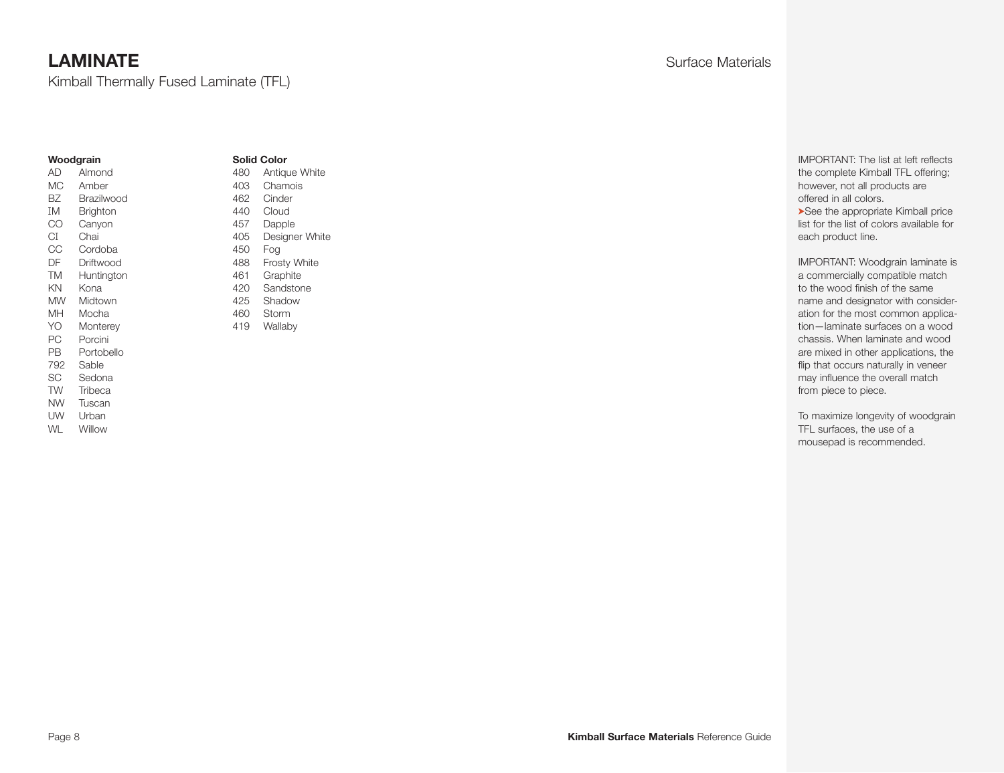Kimball Thermally Fused Laminate (TFL)

#### **Woodgrain**

#### **Solid Color** 480 Antique White

AD Almond MC Amber BZ Brazilwood IM Brighton CO Canyon CI Chai CC Cordoba DF Driftwood TM Huntington KN Kona MW Midtown MH Mocha YO Monterey PC Porcini PB Portobello 792 Sable SC Sedona TW Tribeca NW Tuscan UW Urban

WL Willow

403 Chamois 462 Cinder 440 Cloud 457 Dapple 405 Designer White 450 Fog 488 Frosty White 461 Graphite 420 Sandstone 425 Shadow 460 Storm 419 Wallaby

IMPORTANT: The list at left reflects the complete Kimball TFL offering; however, not all products are offered in all colors. ➤See the appropriate Kimball price list for the list of colors available for each product line.

IMPORTANT: Woodgrain laminate is a commercially compatible match to the wood finish of the same name and designator with consideration for the most common application—laminate surfaces on a wood chassis. When laminate and wood are mixed in other applications, the flip that occurs naturally in veneer may influence the overall match from piece to piece.

To maximize longevity of woodgrain TFL surfaces, the use of a mousepad is recommended.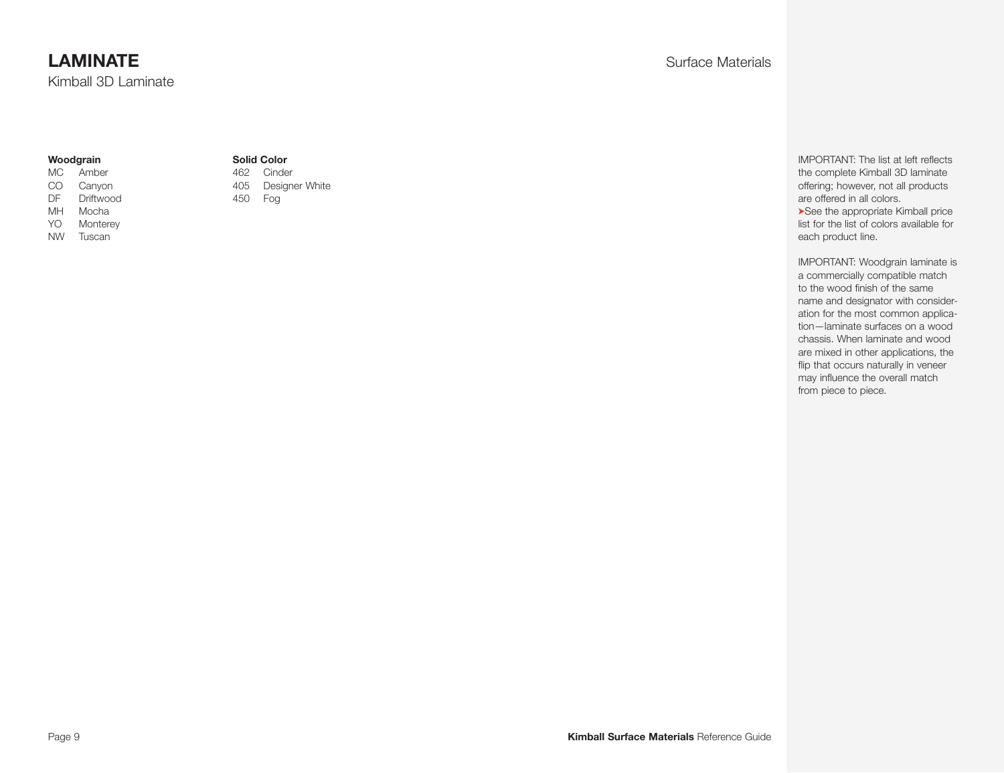Kimball 3D Laminate

#### **Woodgrain**

- MC Amber CO Canyon DF Driftwood
- MH Mocha YO Monterey
- NW Tuscan

#### **Solid Color**

462 Cinder 405 Designer White 450 Fog

IMPORTANT: The list at left reflects the complete Kimball 3D laminate offering; however, not all products are offered in all colors. ➤See the appropriate Kimball price list for the list of colors available for each product line.

IMPORTANT: Woodgrain laminate is a commercially compatible match to the wood finish of the same name and designator with consideration for the most common application—laminate surfaces on a wood chassis. When laminate and wood are mixed in other applications, the flip that occurs naturally in veneer may influence the overall match from piece to piece.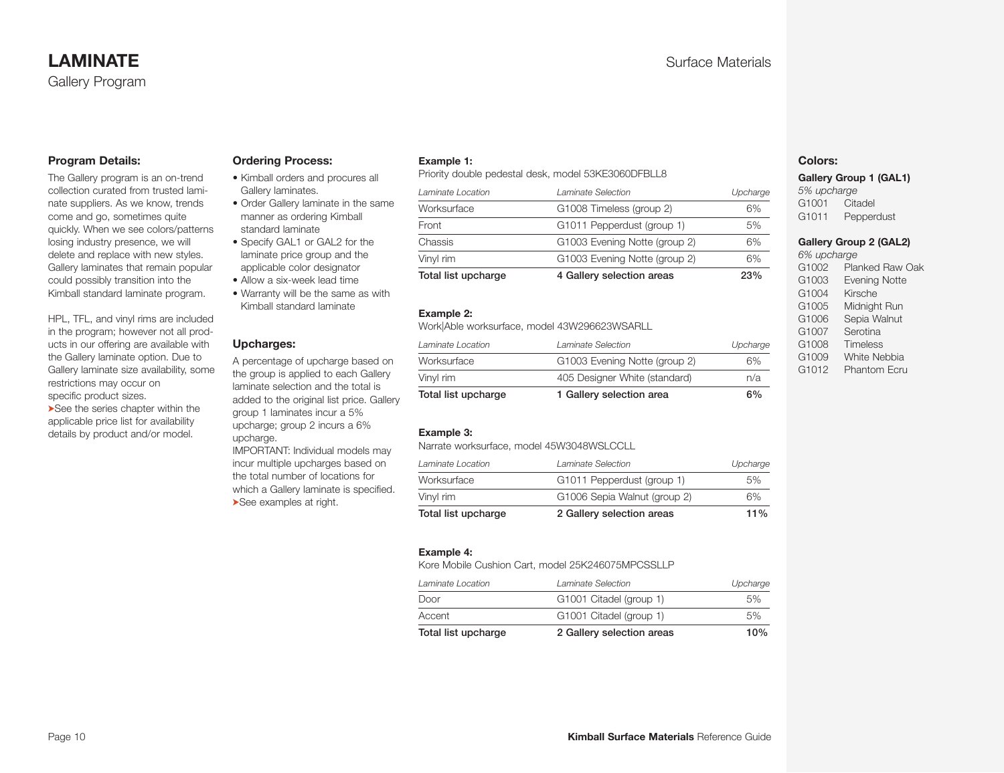#### **Program Details:**

The Gallery program is an on-trend collection curated from trusted laminate suppliers. As we know, trends come and go, sometimes quite quickly. When we see colors/patterns losing industry presence, we will delete and replace with new styles. Gallery laminates that remain popular could possibly transition into the Kimball standard laminate program.

HPL, TFL, and vinyl rims are included in the program; however not all products in our offering are available with the Gallery laminate option. Due to Gallery laminate size availability, some restrictions may occur on specific product sizes.

➤See the series chapter within the applicable price list for availability details by product and/or model.

#### **Ordering Process:**

- Kimball orders and procures all Gallery laminates.
- Order Gallery laminate in the same manner as ordering Kimball standard laminate
- Specify GAL1 or GAL2 for the laminate price group and the applicable color designator
- Allow a six-week lead time
- Warranty will be the same as with Kimball standard laminate

#### **Upcharges:**

A percentage of upcharge based on the group is applied to each Gallery laminate selection and the total is added to the original list price. Gallery group 1 laminates incur a 5% upcharge; group 2 incurs a 6% upcharge.

IMPORTANT: Individual models may incur multiple upcharges based on the total number of locations for which a Gallery laminate is specified. ➤See examples at right.

#### **Example 1:**

Priority double pedestal desk, model 53KE3060DFBLL8

| Total list upcharge | 4 Gallery selection areas     | 23%      |
|---------------------|-------------------------------|----------|
| Vinyl rim           | G1003 Evening Notte (group 2) | 6%       |
| Chassis             | G1003 Evening Notte (group 2) | 6%       |
| Front               | G1011 Pepperdust (group 1)    | 5%       |
| Worksurface         | G1008 Timeless (group 2)      | 6%       |
| Laminate Location   | Laminate Selection            | Upcharge |
|                     |                               |          |

#### **Example 2:**

Work|Able worksurface, model 43W296623WSARLL

| n/a      |
|----------|
| 6%       |
| Upcharge |
|          |

#### **Example 3:**

Narrate worksurface, model 45W3048WSLCCLL

|                              | $11\%$                    |
|------------------------------|---------------------------|
| G1006 Sepia Walnut (group 2) | 6%                        |
| G1011 Pepperdust (group 1)   | 5%                        |
| Laminate Selection           | Upcharge                  |
|                              | 2 Gallery selection areas |

#### **Example 4:**

Kore Mobile Cushion Cart, model 25K246075MPCSSLLP

| 2 Gallery selection areas | 10%      |
|---------------------------|----------|
| G1001 Citadel (group 1)   | 5%       |
| G1001 Citadel (group 1)   | 5%       |
| Laminate Selection        | Upcharge |
|                           |          |

#### **Colors:**

**Gallery Group 1 (GAL1)** 

*5% upcharge* G1001 Citadel G1011 Pepperdust

#### **Gallery Group 2 (GAL2)**

*6% upcharge* G1002 Planked Raw Oak G1003 Evening Notte G1004 Kirsche G1005 Midnight Run G1006 Sepia Walnut G1007 Serotina G1008 Timeless G1009 White Nebbia G1012 Phantom Ecru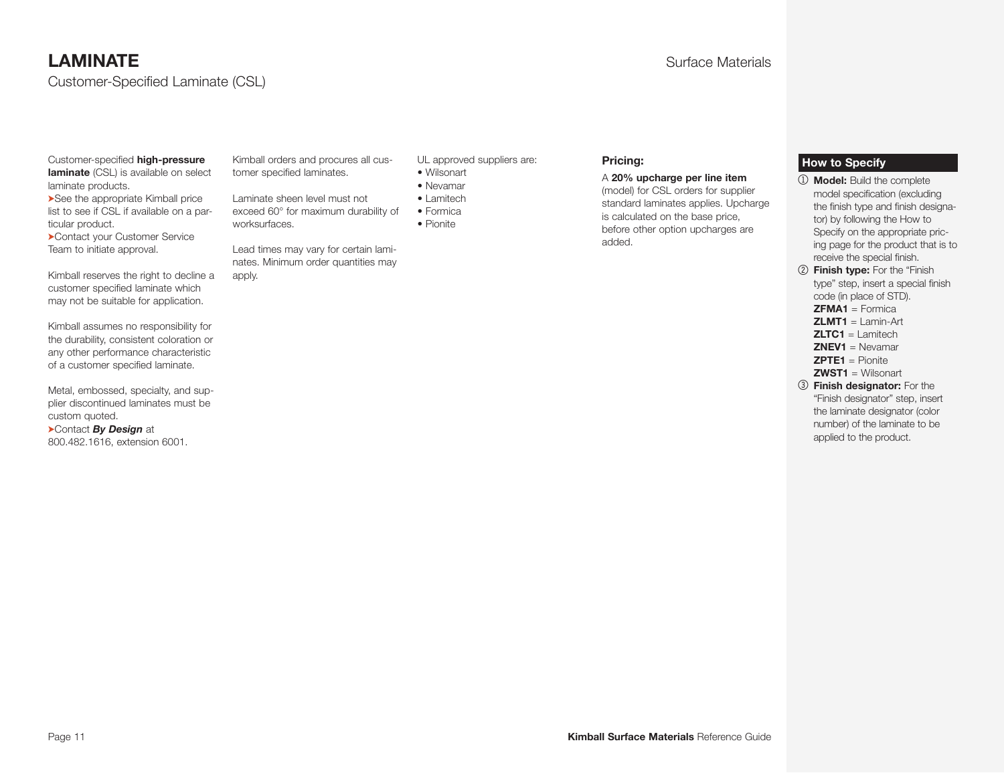Customer-Specified Laminate (CSL)

#### Customer-specified **high-pressure laminate** (CSL) is available on select

laminate products. ➤See the appropriate Kimball price

list to see if CSL if available on a particular product. ➤Contact your Customer Service

Team to initiate approval.

Kimball reserves the right to decline a customer specified laminate which may not be suitable for application.

Kimball assumes no responsibility for the durability, consistent coloration or any other performance characteristic of a customer specified laminate.

Metal, embossed, specialty, and supplier discontinued laminates must be custom quoted.

➤Contact *By Design* at 800.482.1616, extension 6001. Kimball orders and procures all customer specified laminates.

Laminate sheen level must not exceed 60° for maximum durability of worksurfaces.

Lead times may vary for certain laminates. Minimum order quantities may apply.

UL approved suppliers are:

- Wilsonart
- Nevamar • Lamitech
- Formica
- Pionite

#### **Pricing:**

#### A **20% upcharge per line item**

(model) for CSL orders for supplier standard laminates applies. Upcharge is calculated on the base price, before other option upcharges are added.

#### **How to Specify**

- 1 **Model:** Build the complete model specification (excluding the finish type and finish designator) by following the How to Specify on the appropriate pricing page for the product that is to receive the special finish.
- 2 **Finish type:** For the "Finish type" step, insert a special finish code (in place of STD).
	- **ZFMA1** = Formica
	- **ZLMT1** = Lamin-Art
	- **ZLTC1** = Lamitech
	- **ZNEV1** = Nevamar
	- **ZPTE1** = Pionite
	- **ZWST1** = Wilsonart
- 3 **Finish designator:** For the "Finish designator" step, insert the laminate designator (color number) of the laminate to be applied to the product.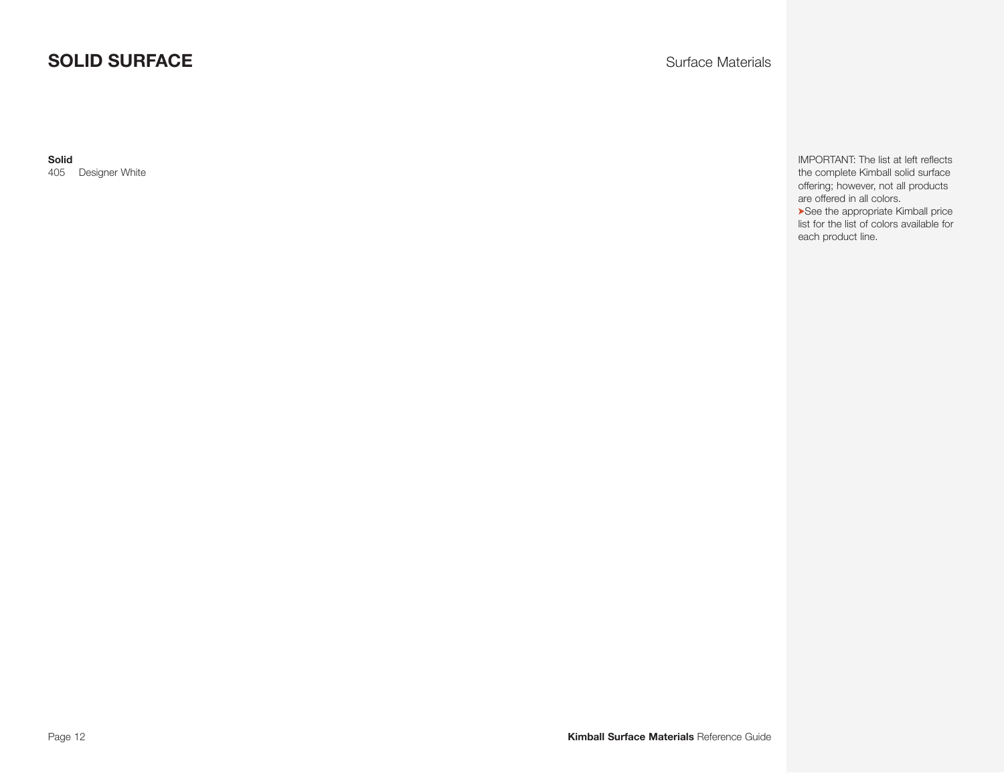# **SOLID SURFACE** Surface Materials

**Solid**

405 Designer White

IMPORTANT: The list at left reflects the complete Kimball solid surface offering; however, not all products are offered in all colors. ➤See the appropriate Kimball price list for the list of colors available for each product line.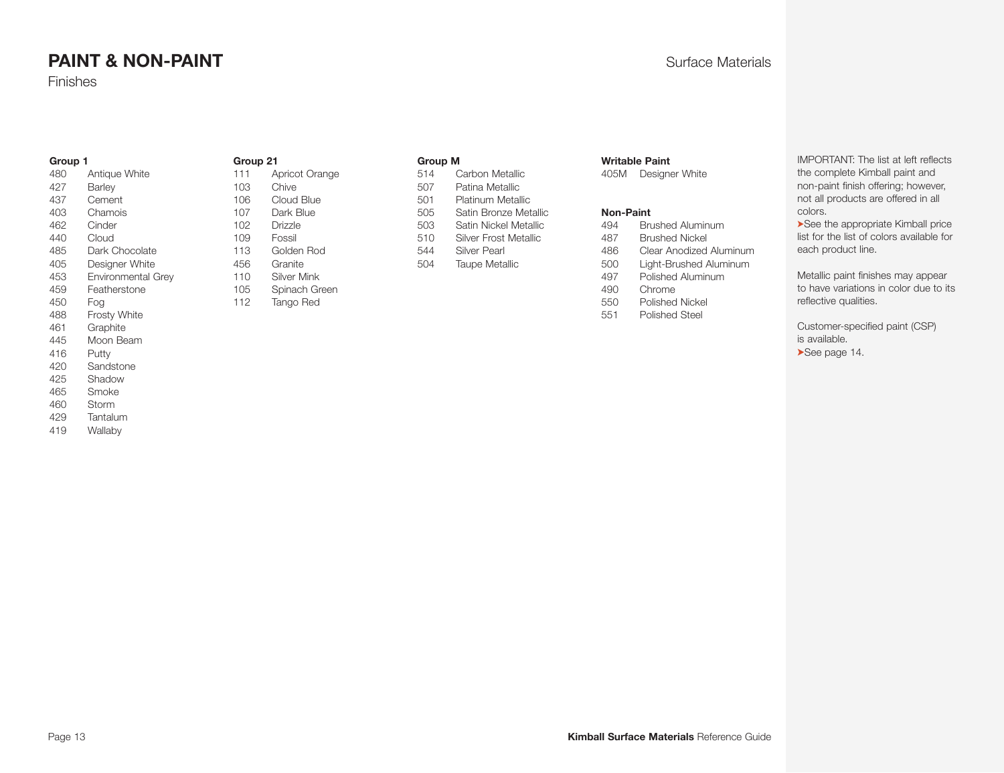# **PAINT & NON-PAINT CONTRAINT CONTRAINT Surface Materials**

Finishes

#### **Group 1**

| 480 | Antique White             |
|-----|---------------------------|
| 427 | Barley                    |
| 437 | Cement                    |
| 403 | Chamois                   |
| 462 | Cinder                    |
| 440 | Cloud                     |
| 485 | Dark Chocolate            |
| 405 | Designer White            |
| 453 | <b>Environmental Grey</b> |
| 459 | Featherstone              |
| 450 | Foa                       |
| 488 | <b>Frosty White</b>       |
| 461 | Graphite                  |
| 445 | Moon Beam                 |
| 416 | Putty                     |
| 420 | Sandstone                 |
| 425 | Shadow                    |
| 465 | Smoke                     |
| 460 | Storm                     |
| 429 | Tantalum                  |
| 419 | Wallaby                   |

## **Group 21**

| 111 | Apricot Orange     |
|-----|--------------------|
| 103 | Chive              |
| 106 | Cloud Blue         |
| 107 | Dark Blue          |
| 102 | Drizzle            |
| 109 | Fossil             |
| 113 | Golden Rod         |
| 456 | Granite            |
| 110 | <b>Silver Mink</b> |
| 105 | Spinach Green      |
| 112 | Tango Red          |
|     |                    |
|     |                    |

#### **Group M**

| 514 | Carbon Metallic          |
|-----|--------------------------|
| 507 | Patina Metallic          |
| 501 | <b>Platinum Metallic</b> |
| 505 | Satin Bronze Metallic    |
| 503 | Satin Nickel Metallic    |
| 510 | Silver Frost Metallic    |
| 544 | <b>Silver Pearl</b>      |
| 504 | <b>Taupe Metallic</b>    |
|     |                          |

#### <span id="page-12-0"></span>**Writable Paint**

405M Designer White

#### **Non-Paint**

| 494 | Brushed Aluminum        |
|-----|-------------------------|
| 487 | <b>Brushed Nickel</b>   |
| 486 | Clear Anodized Aluminum |
| 500 | Light-Brushed Aluminum  |
| 497 | Polished Aluminum       |
| 490 | Chrome                  |
| 550 | Polished Nickel         |
| 551 | Polished Steel          |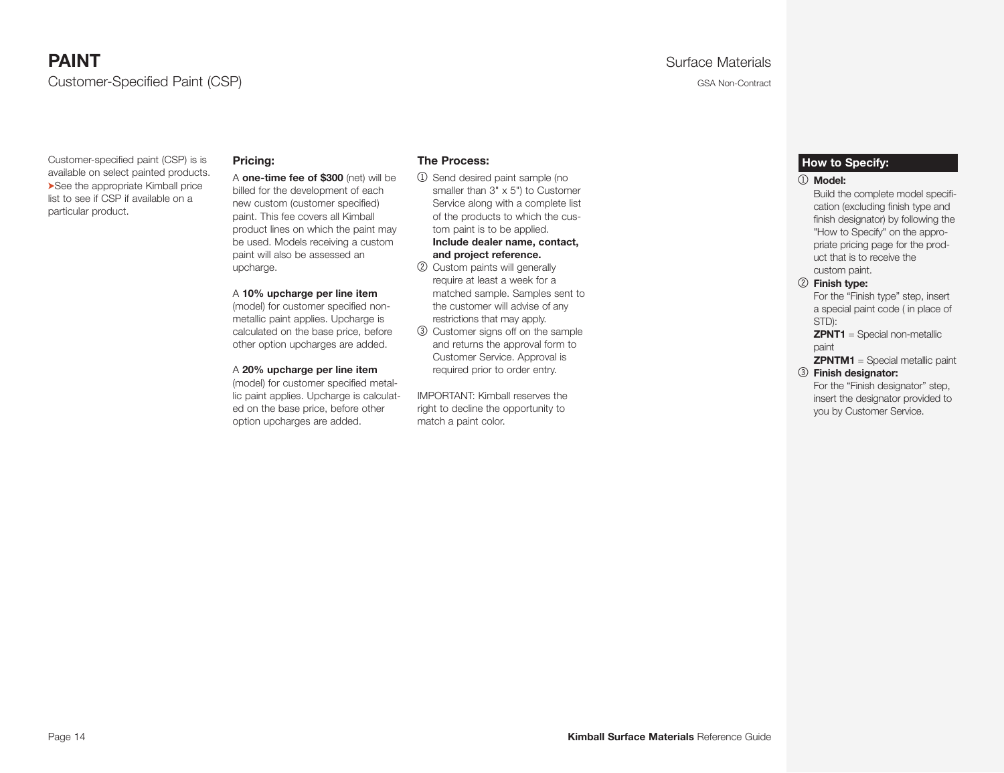# **PAINT** Surface Materials Customer-Specified Paint (CSP) GSA Non-Contract CONSERVITIES And CONTRACT CONTRACT CONTRACT CONTRACT CONTRACT CONTRACT CONTRACT CONTRACT CONTRACT CONTRACT CONTRACT CONTRACT CONTRACT CONTRACT CONTRACT CONTRACT CONTRACT CONT

Customer-specified paint (CSP) is is available on select painted products. ➤See the appropriate Kimball price list to see if CSP if available on a particular product.

#### **Pricing:**

A **one-time fee of \$300** (net) will be billed for the development of each new custom (customer specified) paint. This fee covers all Kimball product lines on which the paint may be used. Models receiving a custom paint will also be assessed an upcharge.

#### A **10% upcharge per line item**

(model) for customer specified nonmetallic paint applies. Upcharge is calculated on the base price, before other option upcharges are added.

#### A **20% upcharge per line item**

(model) for customer specified metallic paint applies. Upcharge is calculated on the base price, before other option upcharges are added.

#### **The Process:**

1 Send desired paint sample (no smaller than 3" x 5") to Customer Service along with a complete list of the products to which the custom paint is to be applied.

**Include dealer name, contact, and project reference.**

- 2 Custom paints will generally require at least a week for a matched sample. Samples sent to the customer will advise of any restrictions that may apply.
- 3 Customer signs off on the sample and returns the approval form to Customer Service. Approval is required prior to order entry.

IMPORTANT: Kimball reserves the right to decline the opportunity to match a paint color.

#### <span id="page-13-0"></span>**How to Specify:**

#### 1 **Model:**

 Build the complete model specification (excluding finish type and finish designator) by following the "How to Specify" on the appropriate pricing page for the product that is to receive the custom paint.

#### 2 **Finish type:**

For the "Finish type" step, insert a special paint code ( in place of STD):

 **ZPNT1** = Special non-metallic paint

**ZPNTM1** = Special metallic paint

#### 3 **Finish designator:**

For the "Finish designator" step, insert the designator provided to you by Customer Service.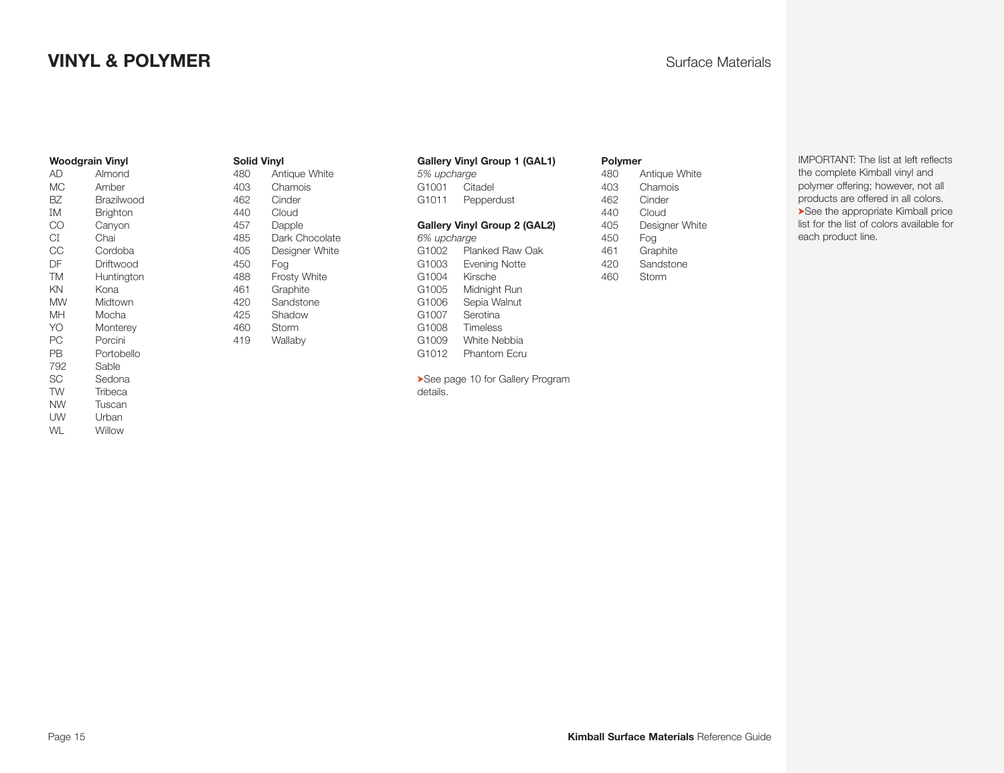# **VINYL & POLYMER** Surface Materials

#### **Woodgrain Vinyl**

| <b>AD</b> | Almond     |
|-----------|------------|
| МC        | Amber      |
| BZ        | Brazilwood |
| ΙM        | Brighton   |
| CO        | Canyon     |
| СI        | Chai       |
| CС        | Cordoba    |
| DF        | Driftwood  |
| <b>TM</b> | Huntington |
| ΚN        | Kona       |
| MW        | Midtown    |
| MН        | Mocha      |
| YO        | Monterey   |
| РC        | Porcini    |
| PВ        | Portobello |
| 792       | Sable      |
| SC        | Sedona     |
| <b>TW</b> | Tribeca    |
| NW        | Tuscan     |
| UW        | Urban      |
| WL        | Willow     |

#### **Solid Vinyl**

| 480 | Antique White       |
|-----|---------------------|
| 403 | Chamois             |
| 462 | Cinder              |
| 440 | Cloud               |
| 457 | Dapple              |
| 485 | Dark Chocolate      |
| 405 | Designer White      |
| 450 | Foa                 |
| 488 | <b>Frosty White</b> |
| 461 | Graphite            |
| 420 | Sandstone           |
| 425 | Shadow              |
| 460 | Storm               |
| 419 | Wallaby             |

#### **Gallery Vinyl Group 1 (GAL1)**

| 5% upcharge                  |
|------------------------------|
| Citadel                      |
| Pepperdust                   |
| Gallery Vinyl Group 2 (GAL2) |
| 6% upcharge                  |
| Planked Raw Oak              |
| <b>Evening Notte</b>         |
| Kirsche                      |
| Midnight Run                 |
| Sepia Walnut                 |
| Serotina                     |
| Timeless                     |
| White Nebbia                 |
| Phantom Ecru                 |
|                              |

➤See page 10 for Gallery Program details.

#### <span id="page-14-0"></span>**Polymer**

| 480 | Antique White  |
|-----|----------------|
| 403 | Chamois        |
| 462 | Cinder         |
| 440 | Cloud          |
| 405 | Designer White |
| 450 | Foa            |
| 461 | Graphite       |
| 420 | Sandstone      |
| 460 | Storm          |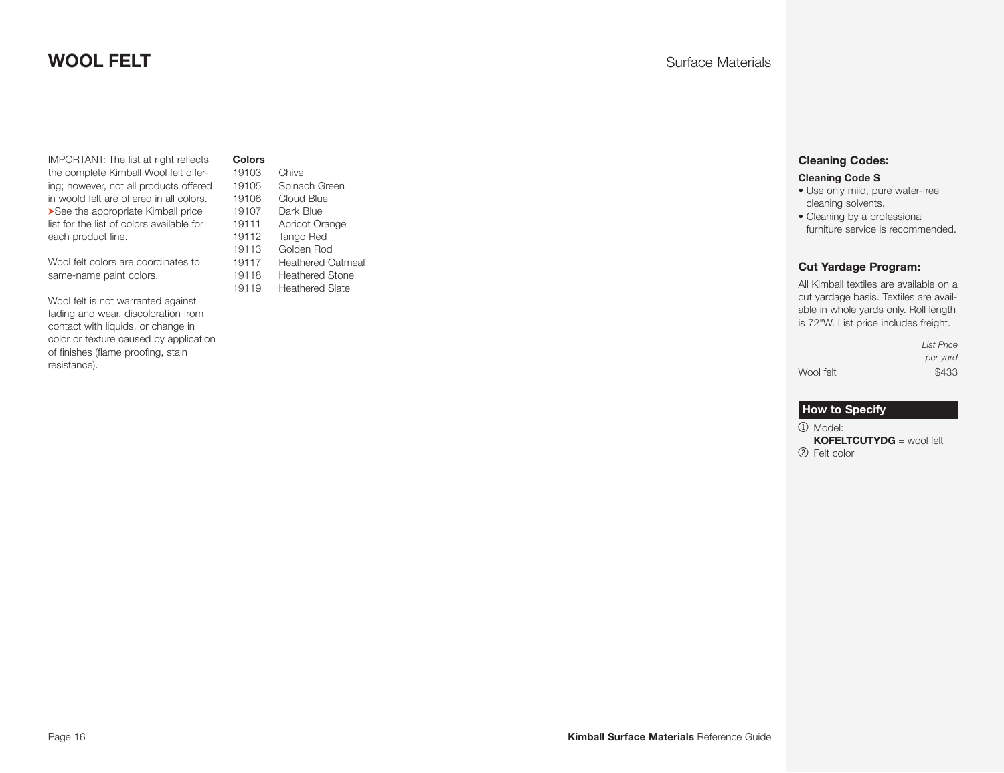# **WOOL FELT** Surface Materials

IMPORTANT: The list at right reflects the complete Kimball Wool felt offering; however, not all products offered in woold felt are offered in all colors. ➤See the appropriate Kimball price list for the list of colors available for each product line.

Wool felt colors are coordinates to same-name paint colors.

Wool felt is not warranted against fading and wear, discoloration from contact with liquids, or change in color or texture caused by application of finishes (flame proofing, stain resistance).

**Colors**

| 19103 | Chive                    |
|-------|--------------------------|
| 19105 | Spinach Green            |
| 19106 | Cloud Blue               |
| 19107 | Dark Blue                |
| 19111 | Apricot Orange           |
| 19112 | <b>Tango Red</b>         |
| 19113 | Golden Rod               |
| 19117 | <b>Heathered Oatmeal</b> |
| 19118 | Heathered Stone          |
| 19119 | <b>Heathered Slate</b>   |

#### **Cleaning Codes:**

#### **Cleaning Code S**

- Use only mild, pure water-free cleaning solvents.
- Cleaning by a professional furniture service is recommended.

#### **Cut Yardage Program:**

All Kimball textiles are available on a cut yardage basis. Textiles are available in whole yards only. Roll length is 72"W. List price includes freight.

|           | <b>List Price</b> |
|-----------|-------------------|
|           | per yard          |
| Wool felt | \$433             |

#### **How to Specify**

1 Model: **KOFELTCUTYDG** = wool felt 2 Felt color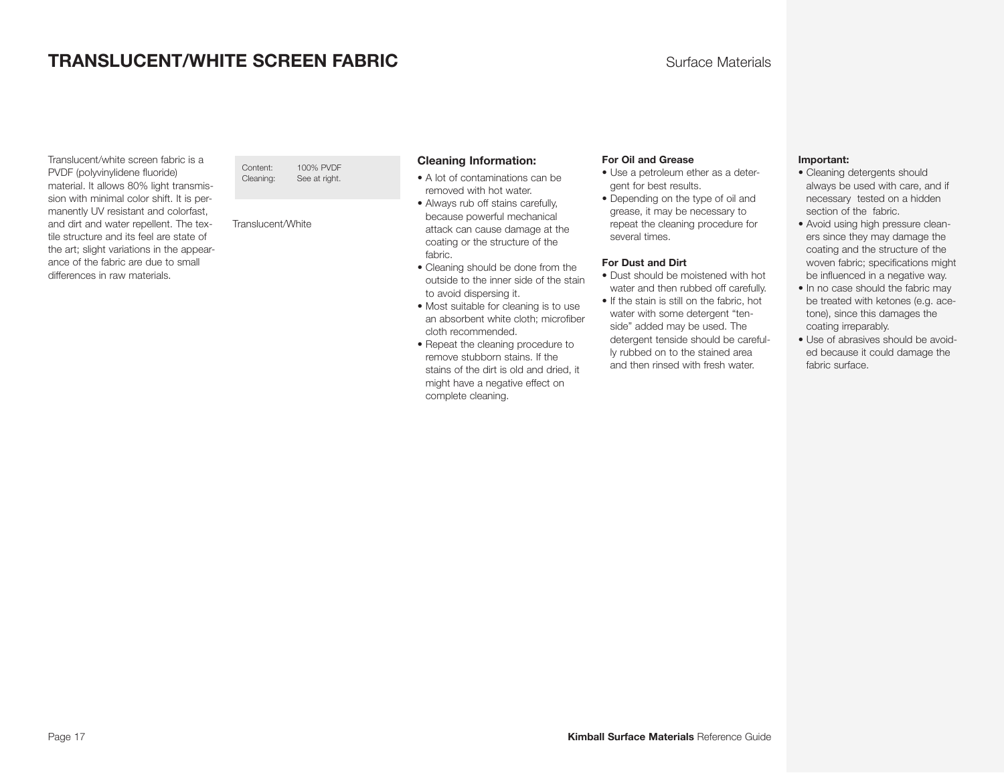# **TRANSLUCENT/WHITE SCREEN FABRIC EXAMPLEMENT AND SULFACE Materials**

Translucent/white screen fabric is a PVDF (polyvinylidene fluoride) material. It allows 80% light transmission with minimal color shift. It is permanently UV resistant and colorfast, and dirt and water repellent. The textile structure and its feel are state of the art; slight variations in the appearance of the fabric are due to small differences in raw materials.

Content: 100% PVDF Cleaning: See at right.

Translucent/White

#### **Cleaning Information:**

- A lot of contaminations can be removed with hot water.
- Always rub off stains carefully, because powerful mechanical attack can cause damage at the coating or the structure of the fabric.
- Cleaning should be done from the outside to the inner side of the stain to avoid dispersing it.
- Most suitable for cleaning is to use an absorbent white cloth; microfiber cloth recommended.
- Repeat the cleaning procedure to remove stubborn stains. If the stains of the dirt is old and dried, it might have a negative effect on complete cleaning.

#### **For Oil and Grease**

- Use a petroleum ether as a detergent for best results.
- Depending on the type of oil and grease, it may be necessary to repeat the cleaning procedure for several times.

#### **For Dust and Dirt**

- Dust should be moistened with hot water and then rubbed off carefully.
- If the stain is still on the fabric, hot water with some detergent "tenside" added may be used. The detergent tenside should be carefully rubbed on to the stained area and then rinsed with fresh water.

#### **Important:**

- Cleaning detergents should always be used with care, and if necessary tested on a hidden section of the fabric.
- Avoid using high pressure cleaners since they may damage the coating and the structure of the woven fabric; specifications might be influenced in a negative way.
- In no case should the fabric may be treated with ketones (e.g. acetone), since this damages the coating irreparably.
- Use of abrasives should be avoided because it could damage the fabric surface.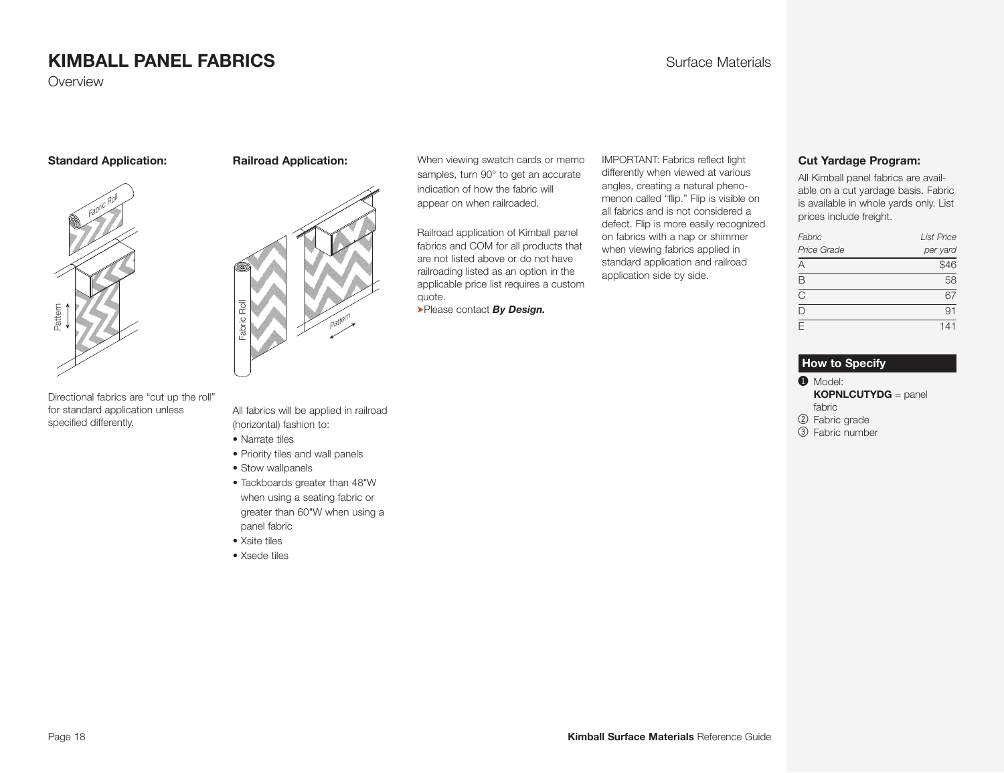Overview

#### **Standard Application:**

# Fabric Rol Pattern

Directional fabrics are "cut up the roll" for standard application unless specified differently.



**Railroad Application:** 

When viewing swatch cards or memo samples, turn 90° to get an accurate indication of how the fabric will appear on when railroaded.

Railroad application of Kimball panel fabrics and COM for all products that are not listed above or do not have railroading listed as an option in the applicable price list requires a custom quote.

➤Please contact *By Design.*

IMPORTANT: Fabrics reflect light differently when viewed at various angles, creating a natural phenomenon called "flip." Flip is visible on all fabrics and is not considered a defect. Flip is more easily recognized on fabrics with a nap or shimmer when viewing fabrics applied in standard application and railroad application side by side.

#### <span id="page-17-0"></span>**Cut Yardage Program:**

All Kimball panel fabrics are available on a cut yardage basis. Fabric is available in whole yards only. List prices include freight.

| Fabric      | <b>List Price</b> |
|-------------|-------------------|
| Price Grade | per yard          |
| А           | $\frac{1}{1546}$  |
| R           | 58                |
| C           | 67                |
| n           | 91                |
| F           | 141               |

#### **How to Specify**

 $\bullet$  Model:

**KOPNLCUTYDG** = panel fabric

2 Fabric grade

3 Fabric number

All fabrics will be applied in railroad (horizontal) fashion to:

- Narrate tiles
- Priority tiles and wall panels
- Stow wallpanels
- Tackboards greater than 48"W when using a seating fabric or greater than 60"W when using a panel fabric
- Xsite tiles
- Xsede tiles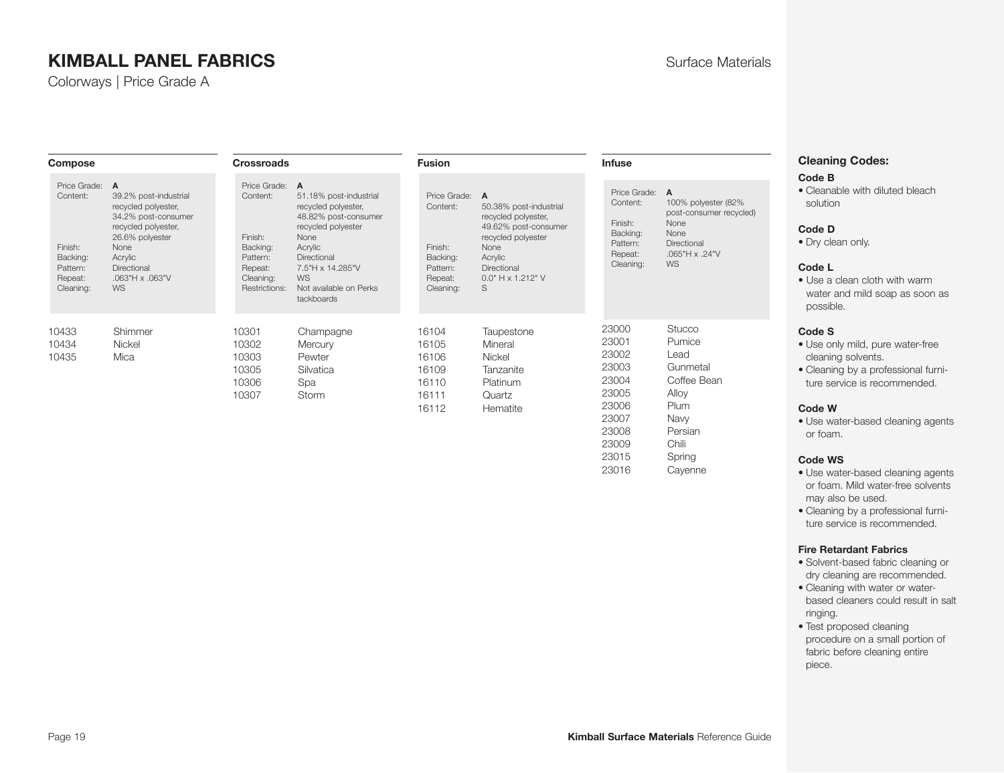Colorways | Price Grade A

| <b>Compose</b>                                                                      |                                                                                                                                                                                                   | <b>Crossroads</b>                                                                                      |                                                                                                                                                                                                        | <b>Fusion</b>                                                                       |                                                                                                                                                              | <b>Infuse</b>                                                                          |                                                                                                                         |  |
|-------------------------------------------------------------------------------------|---------------------------------------------------------------------------------------------------------------------------------------------------------------------------------------------------|--------------------------------------------------------------------------------------------------------|--------------------------------------------------------------------------------------------------------------------------------------------------------------------------------------------------------|-------------------------------------------------------------------------------------|--------------------------------------------------------------------------------------------------------------------------------------------------------------|----------------------------------------------------------------------------------------|-------------------------------------------------------------------------------------------------------------------------|--|
| Price Grade:<br>Content:<br>Finish:<br>Backing:<br>Pattern:<br>Repeat:<br>Cleaning: | $\overline{A}$<br>39.2% post-industrial<br>recycled polyester,<br>34.2% post-consumer<br>recycled polyester,<br>26.6% polyester<br>None<br>Acrylic<br>Directional<br>.063"H x .063"V<br><b>WS</b> | Price Grade: A<br>Content:<br>Finish:<br>Backing:<br>Pattern:<br>Repeat:<br>Cleaning:<br>Restrictions: | 51.18% post-industrial<br>recycled polyester,<br>48.82% post-consumer<br>recycled polyester<br>None<br>Acrylic<br>Directional<br>7.5"H x 14.285"V<br><b>WS</b><br>Not available on Perks<br>tackboards | Price Grade:<br>Content:<br>Finish:<br>Backing:<br>Pattern:<br>Repeat:<br>Cleaning: | A<br>50.38% post-industrial<br>recycled polyester,<br>49.62% post-consumer<br>recycled polyester<br>None<br>Acrylic<br>Directional<br>0.0" H x 1.212" V<br>S | Price Grade:<br>Content:<br>Finish:<br>Backing:<br>Pattern:<br>Repeat:<br>Cleaning:    | $\overline{A}$<br>100% polyester (82%<br>post-consumer recycled)<br>None<br>None<br>Directional<br>.065"H x .24"V<br>WS |  |
| 10433<br>10434<br>10435                                                             | Shimmer<br>Nickel<br>Mica                                                                                                                                                                         | 10301<br>10302<br>10303<br>10305<br>10306<br>10307                                                     | Champagne<br>Mercury<br>Pewter<br>Silvatica<br>Spa<br>Storm                                                                                                                                            | 16104<br>16105<br>16106<br>16109<br>16110<br>16111<br>16112                         | Taupestone<br>Mineral<br>Nickel<br>Tanzanite<br>Platinum<br>Quartz<br>Hematite                                                                               | 23000<br>23001<br>23002<br>23003<br>23004<br>23005<br>23006<br>23007<br>23008<br>23009 | <b>Stucco</b><br>Pumice<br>Lead<br>Gunmetal<br>Coffee Bean<br>Alloy<br>Plum<br>Navy<br>Persian<br>Chili                 |  |

# <span id="page-18-0"></span>**Cleaning Codes:**

#### **Code B**

• Cleanable with diluted bleach solution

#### **Code D**

• Dry clean only.

#### **Code L**

• Use a clean cloth with warm water and mild soap as soon as possible.

#### **Code S**

- Use only mild, pure water-free cleaning solvents.
- Cleaning by a professional furniture service is recommended.

#### **Code W**

• Use water-based cleaning agents or foam.

#### **Code WS**

- Use water-based cleaning agents or foam. Mild water-free solvents may also be used.
- Cleaning by a professional furniture service is recommended.

#### **Fire Retardant Fabrics**

- Solvent-based fabric cleaning or dry cleaning are recommended.
- Cleaning with water or waterbased cleaners could result in salt ringing.
- Test proposed cleaning procedure on a small portion of fabric before cleaning entire piece.

23015 Spring 23016 Cayenne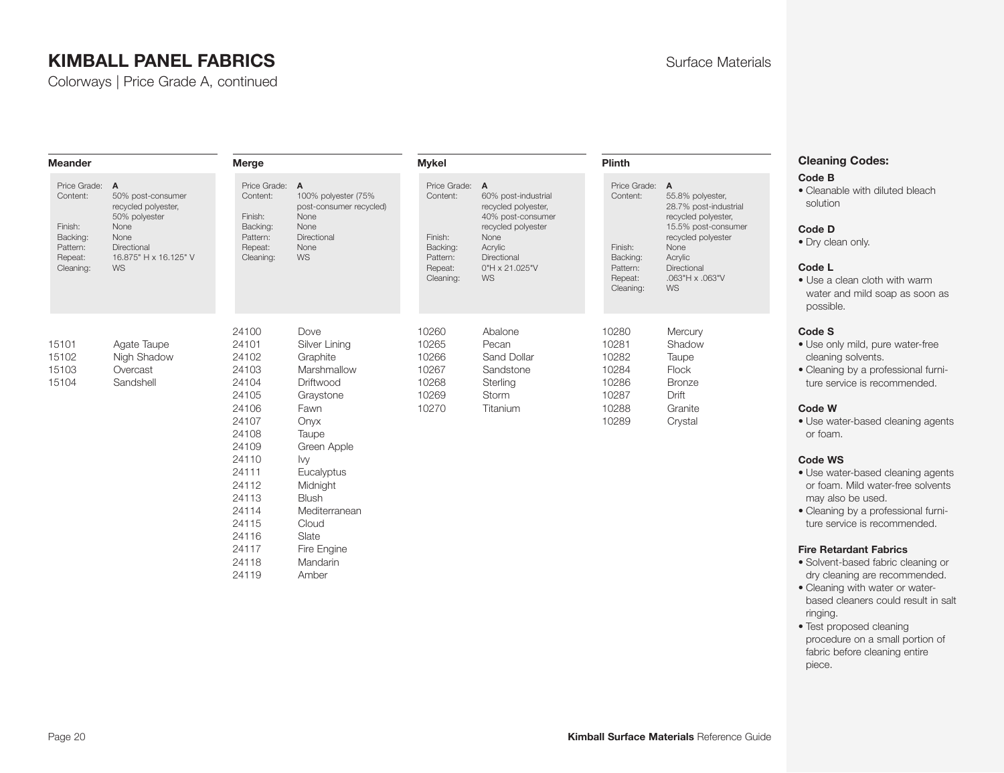Colorways | Price Grade A, continued

| <b>Meander</b>                                                                        |                                                                                                                                | Merge                                                                                                                                                                   |                                                                                                                                                                                                                                   | <b>Mykel</b>                                                                          |                                                                                                                                                        | <b>Plinth</b>                                                                       |                                                                                                                                                                                            |
|---------------------------------------------------------------------------------------|--------------------------------------------------------------------------------------------------------------------------------|-------------------------------------------------------------------------------------------------------------------------------------------------------------------------|-----------------------------------------------------------------------------------------------------------------------------------------------------------------------------------------------------------------------------------|---------------------------------------------------------------------------------------|--------------------------------------------------------------------------------------------------------------------------------------------------------|-------------------------------------------------------------------------------------|--------------------------------------------------------------------------------------------------------------------------------------------------------------------------------------------|
| Price Grade: A<br>Content:<br>Finish:<br>Backing:<br>Pattern:<br>Repeat:<br>Cleaning: | 50% post-consumer<br>recycled polyester,<br>50% polyester<br>None<br>None<br>Directional<br>16.875" H x 16.125" V<br><b>WS</b> | Price Grade: A<br>Content:<br>Finish:<br>Backing:<br>Pattern:<br>Repeat:<br>Cleaning:                                                                                   | 100% polyester (75%<br>post-consumer recycled)<br>None<br>None<br>Directional<br>None<br><b>WS</b>                                                                                                                                | Price Grade: A<br>Content:<br>Finish:<br>Backing:<br>Pattern:<br>Repeat:<br>Cleaning: | 60% post-industrial<br>recycled polyester,<br>40% post-consumer<br>recycled polyester<br>None<br>Acrylic<br>Directional<br>$0"H \times 21.025"V$<br>WS | Price Grade:<br>Content:<br>Finish:<br>Backing:<br>Pattern:<br>Repeat:<br>Cleaning: | $\overline{A}$<br>55.8% polyester,<br>28.7% post-industrial<br>recycled polyester,<br>15.5% post-consumer<br>recycled polyester<br>None<br>Acrylic<br>Directional<br>.063"H x .063"V<br>WS |
| 15101<br>15102<br>15103<br>15104                                                      | Agate Taupe<br>Nigh Shadow<br>Overcast<br>Sandshell                                                                            | 24100<br>24101<br>24102<br>24103<br>24104<br>24105<br>24106<br>24107<br>24108<br>24109<br>24110<br>24111<br>24112<br>24113<br>24114<br>24115<br>24116<br>24117<br>24118 | Dove<br>Silver Lining<br>Graphite<br>Marshmallow<br>Driftwood<br>Graystone<br>Fawn<br>Onyx<br>Taupe<br>Green Apple<br>lvy<br>Eucalyptus<br>Midnight<br><b>Blush</b><br>Mediterranean<br>Cloud<br>Slate<br>Fire Engine<br>Mandarin | 10260<br>10265<br>10266<br>10267<br>10268<br>10269<br>10270                           | Abalone<br>Pecan<br>Sand Dollar<br>Sandstone<br>Sterling<br>Storm<br>Titanium                                                                          | 10280<br>10281<br>10282<br>10284<br>10286<br>10287<br>10288<br>10289                | Mercury<br>Shadow<br>Taupe<br><b>Flock</b><br><b>Bronze</b><br>Drift<br>Granite<br>Crystal                                                                                                 |

24119 Amber

# **Cleaning Codes:**

#### **Code B**

• Cleanable with diluted bleach solution

#### **Code D**

• Dry clean only.

#### **Code L**

• Use a clean cloth with warm water and mild soap as soon as possible.

#### **Code S**

- Use only mild, pure water-free cleaning solvents.
- Cleaning by a professional furniture service is recommended.

#### **Code W**

• Use water-based cleaning agents or foam.

#### **Code WS**

- Use water-based cleaning agents or foam. Mild water-free solvents may also be used.
- Cleaning by a professional furniture service is recommended.

- Solvent-based fabric cleaning or dry cleaning are recommended.
- Cleaning with water or waterbased cleaners could result in salt ringing.
- Test proposed cleaning procedure on a small portion of fabric before cleaning entire piece.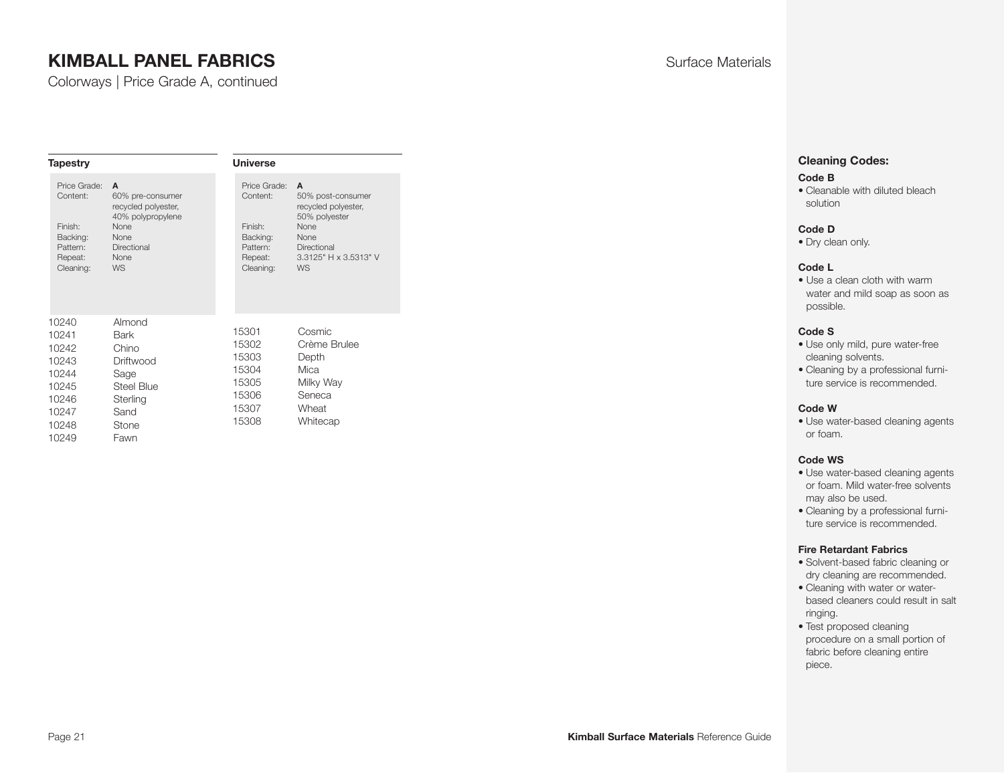Colorways | Price Grade A, continued

| <b>Tapestry</b>                                                                        |                                                                                                                                     | <b>Universe</b>                                                                     |                                                                                                                                            |  |  |  |
|----------------------------------------------------------------------------------------|-------------------------------------------------------------------------------------------------------------------------------------|-------------------------------------------------------------------------------------|--------------------------------------------------------------------------------------------------------------------------------------------|--|--|--|
| Price Grade:<br>Content:<br>Finish:<br>Backing:<br>Pattern:<br>Repeat:<br>Cleaning:    | A<br>60% pre-consumer<br>recycled polyester,<br>40% polypropylene<br>None<br><b>None</b><br>Directional<br><b>None</b><br><b>WS</b> | Price Grade:<br>Content:<br>Finish:<br>Backing:<br>Pattern:<br>Repeat:<br>Cleaning: | A<br>50% post-consumer<br>recycled polyester,<br>50% polyester<br>None<br><b>None</b><br>Directional<br>3.3125" H x 3.5313" V<br><b>WS</b> |  |  |  |
| 10240<br>10241<br>10242<br>10243<br>10244<br>10245<br>10246<br>10247<br>10248<br>10249 | Almond<br>Bark<br>Chino<br>Driftwood<br>Sage<br><b>Steel Blue</b><br>Sterling<br>Sand<br><b>Stone</b><br>Fawn                       | 15301<br>15302<br>15303<br>15304<br>15305<br>15306<br>15307<br>15308                | Cosmic<br>Crème Brulee<br>Depth<br>Mica<br>Milky Way<br>Seneca<br>Wheat<br>Whitecap                                                        |  |  |  |

#### **Cleaning Codes:**

#### **Code B**

• Cleanable with diluted bleach solution

#### **Code D**

• Dry clean only.

#### **Code L**

• Use a clean cloth with warm water and mild soap as soon as possible.

#### **Code S**

- Use only mild, pure water-free cleaning solvents.
- Cleaning by a professional furniture service is recommended.

#### **Code W**

• Use water-based cleaning agents or foam.

#### **Code WS**

- Use water-based cleaning agents or foam. Mild water-free solvents may also be used.
- Cleaning by a professional furniture service is recommended.

- Solvent-based fabric cleaning or dry cleaning are recommended.
- Cleaning with water or waterbased cleaners could result in salt ringing.
- Test proposed cleaning procedure on a small portion of fabric before cleaning entire piece.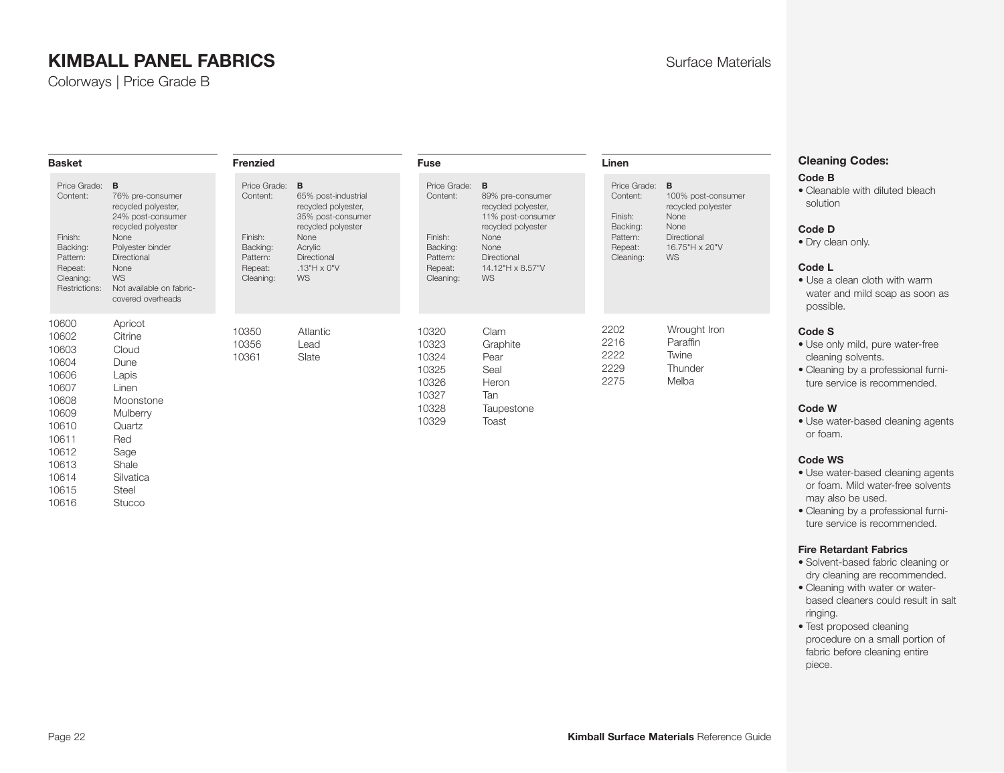Colorways | Price Grade B

| <b>Basket</b>                                                                                                                                                                                                                                                                                                           | Frenzied                                                                            |                                                                                                                                                                   | <b>Fuse</b>                                                                                  |                                                                                                                                                    | Linen                                                                                        |                                                                                                        | Cle                                                                                                                    |
|-------------------------------------------------------------------------------------------------------------------------------------------------------------------------------------------------------------------------------------------------------------------------------------------------------------------------|-------------------------------------------------------------------------------------|-------------------------------------------------------------------------------------------------------------------------------------------------------------------|----------------------------------------------------------------------------------------------|----------------------------------------------------------------------------------------------------------------------------------------------------|----------------------------------------------------------------------------------------------|--------------------------------------------------------------------------------------------------------|------------------------------------------------------------------------------------------------------------------------|
| B<br>Price Grade:<br>Content:<br>76% pre-consumer<br>recycled polyester,<br>24% post-consumer<br>recycled polyester<br>Finish:<br><b>None</b><br>Polyester binder<br>Backing:<br>Directional<br>Pattern:<br>None<br>Repeat:<br><b>WS</b><br>Cleaning:<br>Not available on fabric-<br>Restrictions:<br>covered overheads | Price Grade:<br>Content:<br>Finish:<br>Backing:<br>Pattern:<br>Repeat:<br>Cleaning: | B<br>65% post-industrial<br>recycled polyester,<br>35% post-consumer<br>recycled polyester<br>None<br>Acrylic<br>Directional<br>$.13''H \times 0''V$<br><b>WS</b> | Price Grade: <b>B</b><br>Content:<br>Finish:<br>Backing:<br>Pattern:<br>Repeat:<br>Cleaning: | 89% pre-consumer<br>recycled polyester,<br>11% post-consumer<br>recycled polyester<br>None<br>None<br>Directional<br>14.12"H x 8.57"V<br><b>WS</b> | Price Grade: <b>B</b><br>Content:<br>Finish:<br>Backing:<br>Pattern:<br>Repeat:<br>Cleaning: | 100% post-consumer<br>recycled polyester<br>None<br>None<br>Directional<br>16.75"H x 20"V<br><b>WS</b> | Co<br>$\bullet$ C<br><b>SC</b><br>Co<br>$\bullet$ Di<br>Co<br>$\bullet$ U<br>W<br>po                                   |
| 10600<br>Apricot<br>Citrine<br>10602<br>10603<br>Cloud<br>10604<br>Dune<br>10606<br>Lapis<br>10607<br>Linen<br>10608<br>Moonstone<br>10609<br>Mulberry<br>10610<br>Quartz<br>10611<br>Red<br>10612<br>Sage<br>Shale<br>10613<br>10614<br>Silvatica                                                                      | 10350<br>10356<br>10361                                                             | Atlantic<br>Lead<br>Slate                                                                                                                                         | 10320<br>10323<br>10324<br>10325<br>10326<br>10327<br>10328<br>10329                         | Clam<br>Graphite<br>Pear<br>Seal<br>Heron<br>Tan<br>Taupestone<br>Toast                                                                            | 2202<br>2216<br>2222<br>2229<br>2275                                                         | Wrought Iron<br>Paraffin<br>Twine<br>Thunder<br>Melba                                                  | Co<br>$\bullet$ U<br><b>c</b><br>$\bullet$ C<br>tu<br>Co<br>$\bullet$ U<br><b>Or</b><br>Co<br>$\bullet$ U<br><b>or</b> |

**Paning Codes:** 

#### **Code B**

leanable with diluted bleach **slution** 

#### **Code D**

ry clean only.

#### **Code L**

Ise a clean cloth with warm vater and mild soap as soon as possible.

#### **Code S**

- lse only mild, pure water-free eaning solvents.
- leaning by a professional furnitre service is recommended.

#### **Code W**

se water-based cleaning agents foam.

#### **Code WS**

- se water-based cleaning agents or foam. Mild water-free solvents may also be used.
- Cleaning by a professional furniture service is recommended.

#### **Fire Retardant Fabrics**

- Solvent-based fabric cleaning or dry cleaning are recommended.
- Cleaning with water or waterbased cleaners could result in salt ringing.
- Test proposed cleaning procedure on a small portion of fabric before cleaning entire piece.

10616 Stucco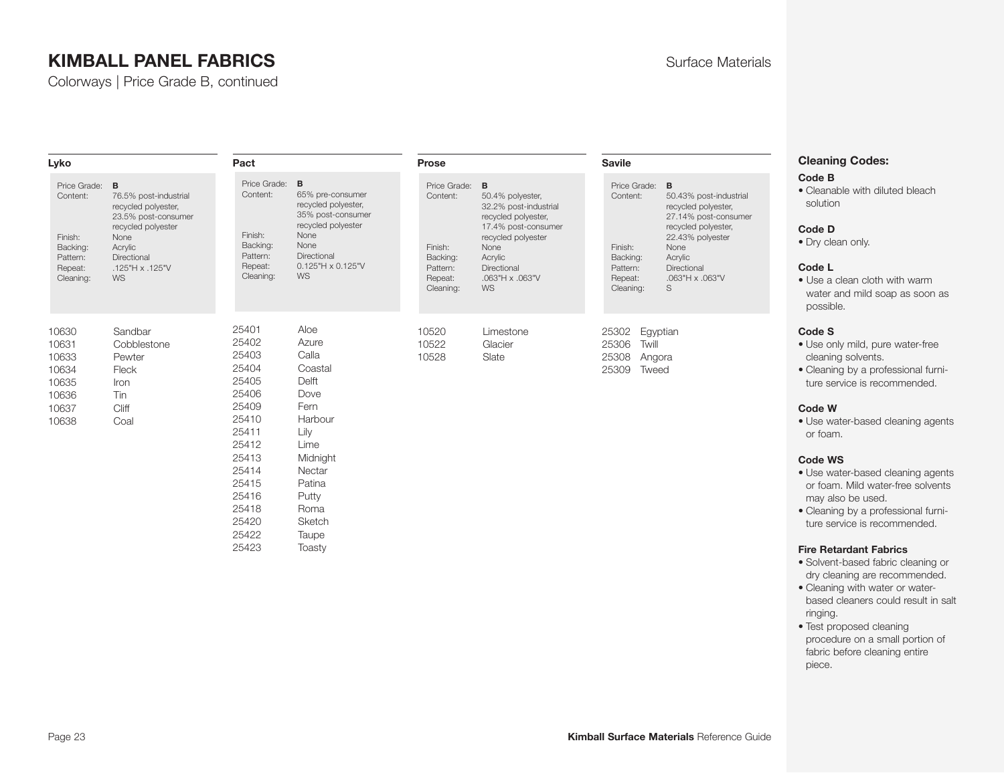Colorways | Price Grade B, continued

| Lyko                                                                                |                                                                                                                                                                        | Pact                                                                                                                                                  |                                                                                                                                                                  | Prose                                                                               |                                                                                                                                                                                                   | <b>Savile</b>                                                                       |                                                                                                                                                                                                                                                                                                                                                                                                   | <b>Cleaning Codes:</b>                                                                                                                                                                |
|-------------------------------------------------------------------------------------|------------------------------------------------------------------------------------------------------------------------------------------------------------------------|-------------------------------------------------------------------------------------------------------------------------------------------------------|------------------------------------------------------------------------------------------------------------------------------------------------------------------|-------------------------------------------------------------------------------------|---------------------------------------------------------------------------------------------------------------------------------------------------------------------------------------------------|-------------------------------------------------------------------------------------|---------------------------------------------------------------------------------------------------------------------------------------------------------------------------------------------------------------------------------------------------------------------------------------------------------------------------------------------------------------------------------------------------|---------------------------------------------------------------------------------------------------------------------------------------------------------------------------------------|
| Price Grade:<br>Content:<br>Finish:<br>Backing:<br>Pattern:<br>Repeat:<br>Cleaning: | B<br>76.5% post-industrial<br>recycled polyester,<br>23.5% post-consumer<br>recycled polyester<br>None<br>Acrylic<br>Directional<br>$.125$ "H x $.125$ "V<br><b>WS</b> | Price Grade:<br>Content:<br>Finish:<br>Backing:<br>Pattern:<br>Repeat:<br>Cleaning:                                                                   | B<br>65% pre-consumer<br>recycled polyester,<br>35% post-consumer<br>recycled polyester<br>None<br>None<br>Directional<br>0.125"H x 0.125"V<br><b>WS</b>         | Price Grade:<br>Content:<br>Finish:<br>Backing:<br>Pattern:<br>Repeat:<br>Cleaning: | $\overline{B}$<br>50.4% polyester,<br>32.2% post-industrial<br>recycled polyester,<br>17.4% post-consumer<br>recycled polyester<br>None<br>Acrylic<br>Directional<br>.063"H x .063"V<br><b>WS</b> | Price Grade:<br>Content:<br>Finish:<br>Backing:<br>Pattern:<br>Repeat:<br>Cleaning: | B<br>50.43% post-industrial<br>recycled polyester,<br>27.14% post-consumer<br>recycled polyester,<br>22.43% polyester<br>None<br>Acrylic<br>Directional<br>.063"H x .063"V<br>S                                                                                                                                                                                                                   | <b>Code B</b><br>• Cleanable with diluted bleach<br>solution<br>Code D<br>• Dry clean only.<br>Code L<br>• Use a clean cloth with warm<br>water and mild soap as soon as<br>possible. |
| 10630<br>10631<br>10633<br>10634<br>10635<br>10636<br>10637<br>10638                | Sandbar<br>Cobblestone<br>Pewter<br>Fleck<br>Iron<br>Tin<br>Cliff<br>Coal                                                                                              | 25401<br>25402<br>25403<br>25404<br>25405<br>25406<br>25409<br>25410<br>25411<br>25412<br>25413<br>25414<br>25415<br>25416<br>25418<br>25420<br>25422 | Aloe<br>Azure<br>Calla<br>Coastal<br>Delft<br>Dove<br>Fern<br>Harbour<br>Lily<br>Lime<br>Midnight<br>Nectar<br>Patina<br>Putty<br>Roma<br><b>Sketch</b><br>Taupe | 10520<br>10522<br>10528                                                             | Egyptian<br>Limestone<br>25302<br>Glacier<br>25306<br>Twill<br>Slate<br>25308<br>Angora<br>25309<br>Tweed                                                                                         |                                                                                     | Code S<br>• Use only mild, pure water-free<br>cleaning solvents.<br>• Cleaning by a professional furni-<br>ture service is recommended.<br><b>Code W</b><br>• Use water-based cleaning agents<br>or foam.<br><b>Code WS</b><br>• Use water-based cleaning agents<br>or foam. Mild water-free solvents<br>may also be used.<br>• Cleaning by a professional furni-<br>ture service is recommended. |                                                                                                                                                                                       |
|                                                                                     |                                                                                                                                                                        | 25423                                                                                                                                                 | Toasty                                                                                                                                                           |                                                                                     |                                                                                                                                                                                                   |                                                                                     |                                                                                                                                                                                                                                                                                                                                                                                                   | <b>Fire Retardant Fabrics</b>                                                                                                                                                         |

• Solvent-based fabric cleaning or dry cleaning are recommended. • Cleaning with water or waterbased cleaners could result in salt

• Test proposed cleaning procedure on a small portion of fabric before cleaning entire

ringing.

piece.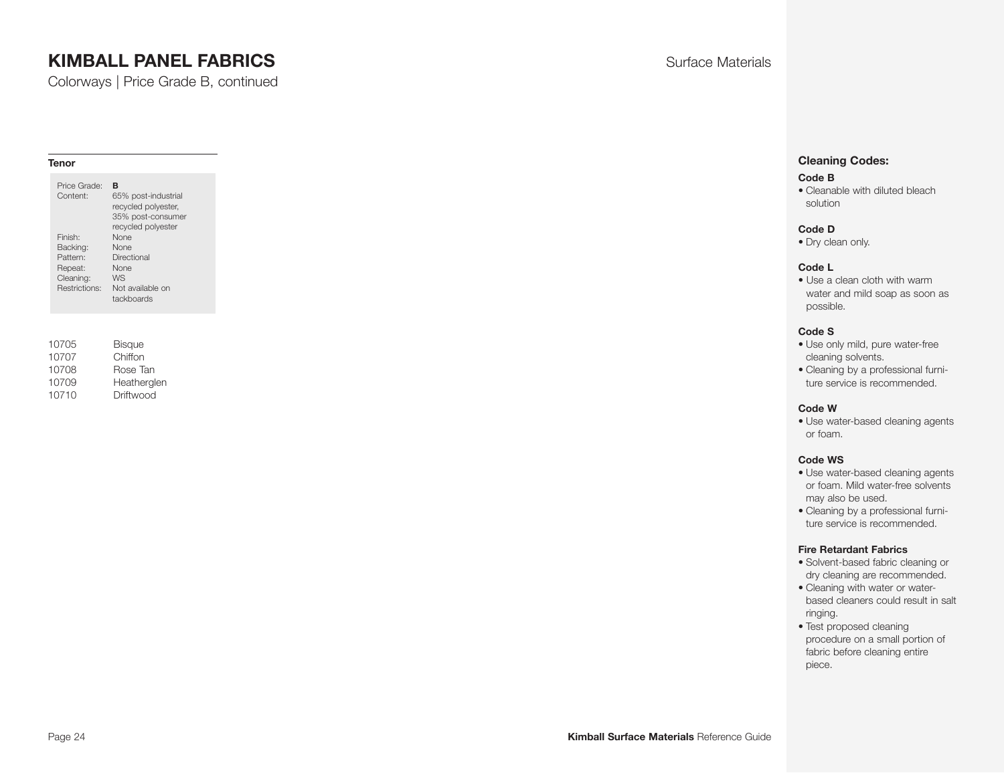Colorways | Price Grade B, continued

#### **Tenor**

| 10705 | <b>Bisque</b> |
|-------|---------------|
| 10707 | Chiffon       |
| 10708 | Rose Tan      |
| 10709 | Heatherglen   |
| 10710 | Driftwood     |

#### **Cleaning Codes:**

#### **Code B**

• Cleanable with diluted bleach solution

#### **Code D**

• Dry clean only.

#### **Code L**

• Use a clean cloth with warm water and mild soap as soon as possible.

#### **Code S**

- Use only mild, pure water-free cleaning solvents.
- Cleaning by a professional furniture service is recommended.

#### **Code W**

• Use water-based cleaning agents or foam.

#### **Code WS**

- Use water-based cleaning agents or foam. Mild water-free solvents may also be used.
- Cleaning by a professional furniture service is recommended.

- Solvent-based fabric cleaning or dry cleaning are recommended.
- Cleaning with water or waterbased cleaners could result in salt ringing.
- Test proposed cleaning procedure on a small portion of fabric before cleaning entire piece.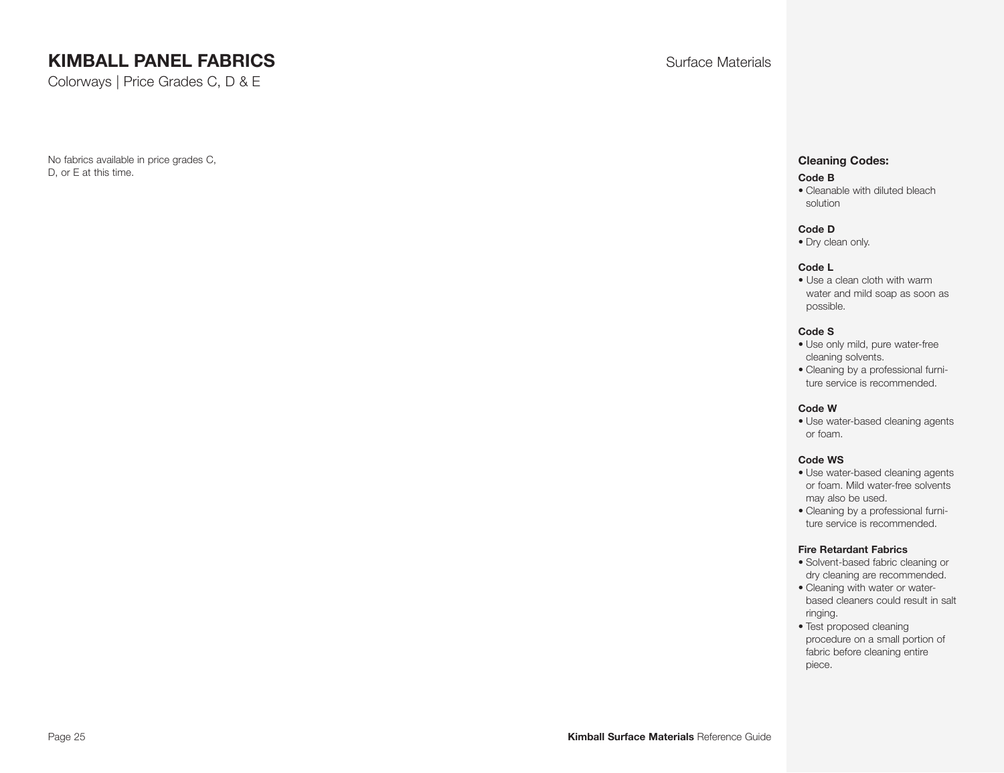Colorways | Price Grades C, D & E

No fabrics available in price grades C, D, or E at this time.

#### **Cleaning Codes:**

#### **Code B**

• Cleanable with diluted bleach solution

#### **Code D**

• Dry clean only.

#### **Code L**

• Use a clean cloth with warm water and mild soap as soon as possible.

#### **Code S**

- Use only mild, pure water-free cleaning solvents.
- Cleaning by a professional furniture service is recommended.

#### **Code W**

• Use water-based cleaning agents or foam.

#### **Code WS**

- Use water-based cleaning agents or foam. Mild water-free solvents may also be used.
- Cleaning by a professional furniture service is recommended.

- Solvent-based fabric cleaning or dry cleaning are recommended.
- Cleaning with water or waterbased cleaners could result in salt ringing.
- Test proposed cleaning procedure on a small portion of fabric before cleaning entire piece.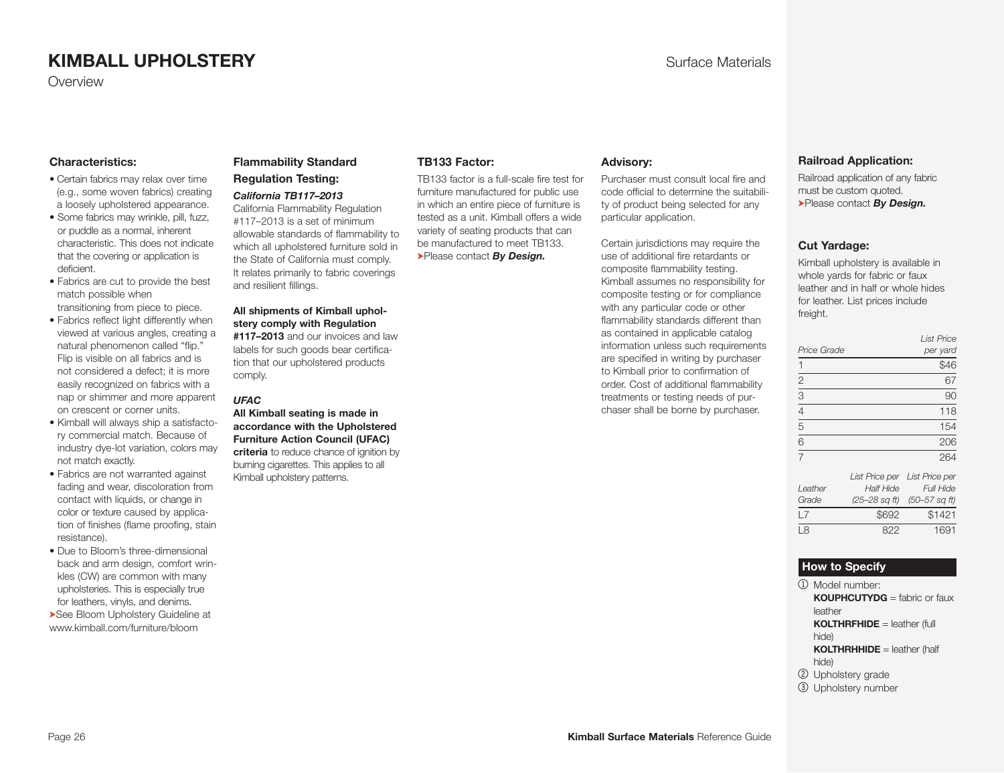#### **Characteristics:**

- Certain fabrics may relax over time (e.g., some woven fabrics) creating a loosely upholstered appearance.
- Some fabrics may wrinkle, pill, fuzz, or puddle as a normal, inherent characteristic. This does not indicate that the covering or application is deficient.
- Fabrics are cut to provide the best match possible when transitioning from piece to piece.
- Fabrics reflect light differently when viewed at various angles, creating a natural phenomenon called "flip." Flip is visible on all fabrics and is not considered a defect; it is more easily recognized on fabrics with a
- nap or shimmer and more apparent on crescent or corner units. • Kimball will always ship a satisfactory commercial match. Because of industry dye-lot variation, colors may
- not match exactly. • Fabrics are not warranted against fading and wear, discoloration from contact with liquids, or change in color or texture caused by application of finishes (flame proofing, stain resistance).
- Due to Bloom's three-dimensional back and arm design, comfort wrinkles (CW) are common with many upholsteries. This is especially true for leathers, vinyls, and denims.

➤See Bloom Upholstery Guideline at www.kimball.com/furniture/bloom

#### **Flammability Standard Regulation Testing:**

*California TB117–2013* California Flammability Regulation #117–2013 is a set of minimum allowable standards of flammability to which all upholstered furniture sold in the State of California must comply. It relates primarily to fabric coverings

#### **All shipments of Kimball upholstery comply with Regulation**

and resilient fillings.

**#117–2013** and our invoices and law labels for such goods bear certification that our upholstered products comply.

#### *UFAC*

**All Kimball seating is made in accordance with the Uphol stered Furniture Action Council (UFAC) criteria** to reduce chance of ignition by burning cigarettes. This applies to all Kimball upholstery patterns.

#### **TB133 Factor:**

TB133 factor is a full-scale fire test for furniture manufactured for public use in which an entire piece of furniture is tested as a unit. Kimball offers a wide variety of seating products that can be manufactured to meet TB133. ➤Please contact *By Design.*

#### **Advisory:**

Purchaser must consult local fire and code official to determine the suitability of product being selected for any particular application.

Certain jurisdictions may require the use of additional fire retardants or composite flammability testing. Kimball assumes no responsibility for composite testing or for compliance with any particular code or other flammability standards different than as contained in applicable catalog information unless such requirements are specified in writing by purchaser to Kimball prior to confirmation of order. Cost of additional flammability treatments or testing needs of purchaser shall be borne by purchaser.

#### <span id="page-25-0"></span>**Railroad Application:**

Railroad application of any fabric must be custom quoted. ➤Please contact *By Design.*

#### **Cut Yardage:**

Kimball upholstery is available in whole yards for fabric or faux leather and in half or whole hides for leather. List prices include freight.

|                | <b>List Price</b> |
|----------------|-------------------|
| Price Grade    | per yard          |
|                | \$46              |
| $\overline{2}$ | 67                |
| $\overline{3}$ | 90                |
| $\overline{4}$ | 118               |
| $\overline{5}$ | 154               |
| 6              | 206               |
| $\overline{7}$ | 264               |
|                |                   |

|         |                  | List Price per List Price per |
|---------|------------------|-------------------------------|
| Leather | <b>Half Hide</b> | <b>Full Hide</b>              |
| Grade   |                  | (25–28 sq ft) (50–57 sq ft)   |
| ۱7      | \$692            | \$1421                        |
| 18      | 822              | 1691                          |

#### **How to Specify**

- 1 Model number: **KOUPHCUTYDG** = fabric or faux leather **KOLTHRFHIDE** = leather (full hide) **KOLTHRHHIDE** = leather (half
- hide)
- 2 Upholstery grade
- 3 Upholstery number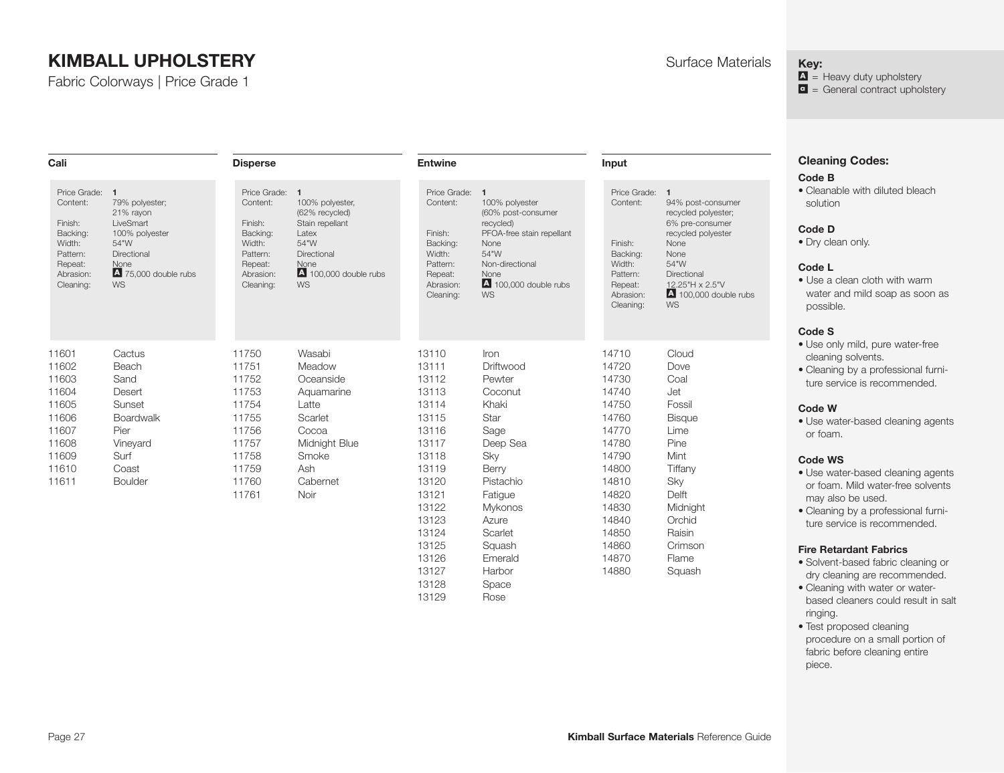Fabric Colorways | Price Grade 1

**Disperse** 

**Cali** 

**Input** 

#### <span id="page-26-0"></span>**Key:**

 $\Delta$  = Heavy duty upholstery  $\bullet$  = General contract upholstery

# **Cleaning Codes:**

#### **Code B**

• Cleanable with diluted bleach solution

#### **Code D**

• Dry clean only.

#### **Code L**

• Use a clean cloth with warm water and mild soap as soon as possible.

#### **Code S**

- Use only mild, pure water-free cleaning solvents.
- Cleaning by a professional furniture service is recommended.

#### **Code W**

• Use water-based cleaning agents or foam.

#### **Code WS**

- Use water-based cleaning agents or foam. Mild water-free solvents may also be used.
- Cleaning by a professional furniture service is recommended.

#### **Fire Retardant Fabrics**

- Solvent-based fabric cleaning or dry cleaning are recommended.
- Cleaning with water or waterbased cleaners could result in salt ringing.
- Test proposed cleaning procedure on a small portion of fabric before cleaning entire piece.

| Price Grade:<br>Content:<br>Finish:<br>Backing:<br>Width:<br>Pattern:<br>Repeat:<br>Abrasion:<br>Cleaning: | $\mathbf{1}$<br>79% polyester:<br>21% rayon<br>LiveSmart<br>100% polyester<br>54"W<br>Directional<br>None<br>4 75,000 double rubs<br>WS | Price Grade:<br>Content:<br>Finish:<br>Backing:<br>Width:<br>Pattern:<br>Repeat:<br>Abrasion:<br>Cleaning: | $\mathbf{1}$<br>100% polyester,<br>(62% recycled)<br>Stain repellant<br>Latex<br>54"W<br>Directional<br>None<br>4 100,000 double rubs<br><b>WS</b> | Price Grade:<br>Content:<br>Finish:<br>Backing:<br>Width:<br>Pattern:<br>Repeat:<br>Abrasion:<br>Cleaning:                                                     | $\mathbf{1}$<br>100% polyester<br>(60% post-consumer<br>recycled)<br>PFOA-free stain repellant<br>None<br>54"W<br>Non-directional<br>None<br>$\blacksquare$ 100,000 double rubs<br><b>WS</b> | Price Grade:<br>Content:<br>Finish:<br>Backing:<br>Width:<br>Pattern:<br>Repeat:<br>Abrasion:<br>Cleaning:                                                     | $\mathbf{1}$<br>94% post<br>recycled p<br>6% pre-c<br>recycled p<br>None<br>None<br>54"W<br>Directiona<br>12.25''H<br>$A_{100,00}$<br><b>WS</b>                         |
|------------------------------------------------------------------------------------------------------------|-----------------------------------------------------------------------------------------------------------------------------------------|------------------------------------------------------------------------------------------------------------|----------------------------------------------------------------------------------------------------------------------------------------------------|----------------------------------------------------------------------------------------------------------------------------------------------------------------|----------------------------------------------------------------------------------------------------------------------------------------------------------------------------------------------|----------------------------------------------------------------------------------------------------------------------------------------------------------------|-------------------------------------------------------------------------------------------------------------------------------------------------------------------------|
| 11601<br>11602<br>11603<br>11604<br>11605<br>11606<br>11607<br>11608<br>11609<br>11610<br>11611            | Cactus<br>Beach<br>Sand<br>Desert<br>Sunset<br>Boardwalk<br>Pier<br>Vineyard<br>Surf<br>Coast<br><b>Boulder</b>                         | 11750<br>11751<br>11752<br>11753<br>11754<br>11755<br>11756<br>11757<br>11758<br>11759<br>11760<br>11761   | Wasabi<br>Meadow<br>Oceanside<br>Aquamarine<br>Latte<br>Scarlet<br>Cocoa<br>Midnight Blue<br>Smoke<br>Ash<br>Cabernet<br>Noir                      | 13110<br>13111<br>13112<br>13113<br>13114<br>13115<br>13116<br>13117<br>13118<br>13119<br>13120<br>13121<br>13122<br>13123<br>13124<br>13125<br>13126<br>13127 | Iron<br>Driftwood<br>Pewter<br>Coconut<br>Khaki<br>Star<br>Sage<br>Deep Sea<br>Sky<br>Berry<br>Pistachio<br>Fatigue<br><b>Mykonos</b><br>Azure<br>Scarlet<br>Squash<br>Emerald<br>Harbor     | 14710<br>14720<br>14730<br>14740<br>14750<br>14760<br>14770<br>14780<br>14790<br>14800<br>14810<br>14820<br>14830<br>14840<br>14850<br>14860<br>14870<br>14880 | Cloud<br>Dove<br>Coal<br>Jet<br>Fossil<br><b>Bisque</b><br>Lime<br>Pine<br>Mint<br>Tiffany<br>Sky<br>Delft<br>Midnigh<br>Orchid<br>Raisin<br>Crimsor<br>Flame<br>Squash |

**Entwine** 

13128 Space 13129 Rose

Cloud Dove Coal Jet Fossil **Bisque** 1 ime Pine Mint **Tiffany** Sky Delft Midnight **Orchid** Raisin Crimson Flame

94% post-consumer recycled polyester; 6% pre-consumer recycled polyester None None 54"W Directional Repeat: 12.25"H x 2.5"V  $\overline{A}$  100,000 double rubs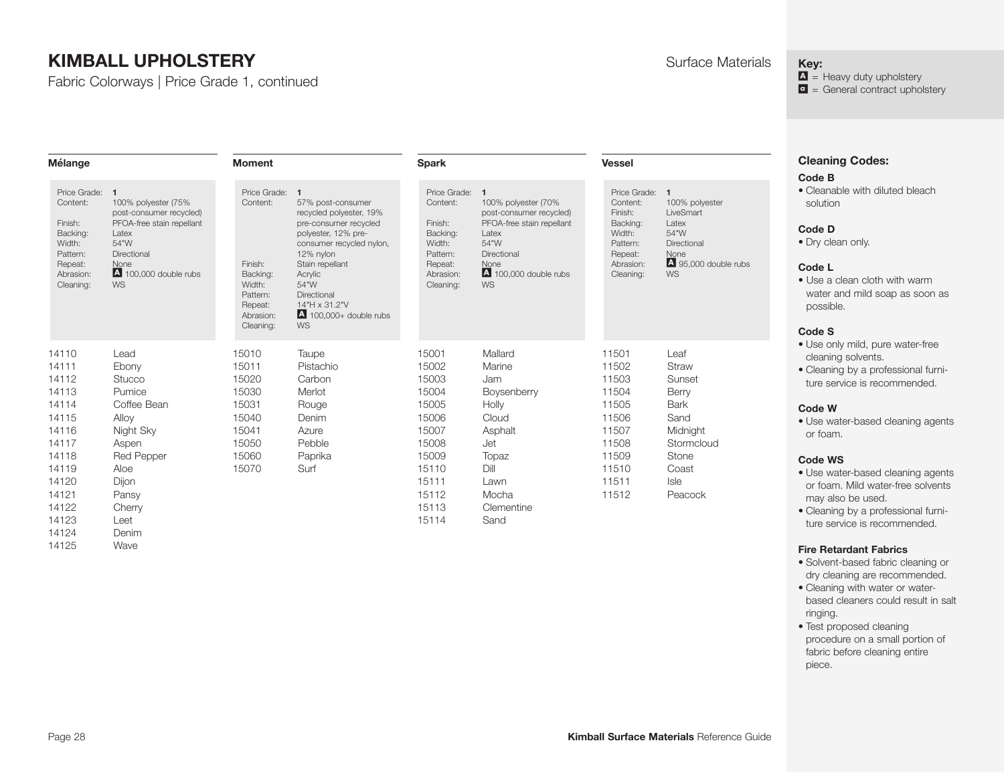14111 Ebony 14112 Stucco 14113 Pumice 14114 Coffee Bean 14115 Alloy 14116 Night Sky 14117 Aspen 14118 Red Pepper 14119 Aloe 14120 Dijon 14121 Pansy 14122 Cherry 14123 Leet 14124 Denim 14125 Wave

Fabric Colorways | Price Grade 1, continued

15011 Pistachio 15020 Carbon 15030 Merlot 15031 Rouge 15040 Denim 15041 Azure 15050 Pebble 15060 Paprika 15070 Surf

| Mélange                                                                                                      |                                                                                                                                                           | Moment                                                                                                       |                                                                                                                                                                                                                                                                        | <b>Spark</b>                                                                                               |                                                                                                                                                                 | <b>Vessel</b>                                                                                              |                                                                                                                | <b>Cleaning Codes:</b><br><b>Code B</b>                                                                                                                                        |
|--------------------------------------------------------------------------------------------------------------|-----------------------------------------------------------------------------------------------------------------------------------------------------------|--------------------------------------------------------------------------------------------------------------|------------------------------------------------------------------------------------------------------------------------------------------------------------------------------------------------------------------------------------------------------------------------|------------------------------------------------------------------------------------------------------------|-----------------------------------------------------------------------------------------------------------------------------------------------------------------|------------------------------------------------------------------------------------------------------------|----------------------------------------------------------------------------------------------------------------|--------------------------------------------------------------------------------------------------------------------------------------------------------------------------------|
| Price Grade: 1<br>Content:<br>Finish:<br>Backing:<br>Width:<br>Pattern:<br>Repeat:<br>Abrasion:<br>Cleaning: | 100% polyester (75%<br>post-consumer recycled)<br>PFOA-free stain repellant<br>Latex<br>54"W<br>Directional<br>None<br>4 100,000 double rubs<br><b>WS</b> | Price Grade: 1<br>Content:<br>Finish:<br>Backing:<br>Width:<br>Pattern:<br>Repeat:<br>Abrasion:<br>Cleaning: | 57% post-consumer<br>recycled polyester, 19%<br>pre-consumer recycled<br>polyester, 12% pre-<br>consumer recycled nylon,<br>12% nylon<br>Stain repellant<br>Acrylic<br>54"W<br><b>Directional</b><br>14"H x 31.2"V<br>$\blacksquare$ 100,000+ double rubs<br><b>WS</b> | Price Grade:<br>Content:<br>Finish:<br>Backing:<br>Width:<br>Pattern:<br>Repeat:<br>Abrasion:<br>Cleaning: | 100% polyester (70%<br>post-consumer recycled)<br>PFOA-free stain repellant<br>Latex<br>54"W<br>Directional<br>None<br>$\blacksquare$ 100,000 double rubs<br>WS | Price Grade:<br>Content:<br>Finish:<br>Backing:<br>Width:<br>Pattern:<br>Repeat:<br>Abrasion:<br>Cleaning: | -1<br>100% polyester<br>LiveSmart<br>Latex<br>54"W<br>Directional<br>None<br>4 95,000 double rubs<br><b>WS</b> | • Cleanable with diluted bleach<br>solution<br>Code D<br>• Dry clean only.<br>Code L<br>• Use a clean cloth with warm<br>water and mild soap as soon as<br>possible.<br>Code S |
| 14110                                                                                                        | Lead                                                                                                                                                      | 15010                                                                                                        | Taupe                                                                                                                                                                                                                                                                  | 15001                                                                                                      | Mallard                                                                                                                                                         | 11501                                                                                                      | Leaf                                                                                                           | • Use only mild, pure water-free<br>cleaning solvents                                                                                                                          |

15002 Marine 15003 Jam 15004 Boysenberry 15005 Holly 15006 Cloud 15007 Asphalt 15008 Jet 15009 Topaz 15110 Dill 15111 Lawn 15112 Mocha 15113 Clementine 15114 Sand

- cleaning solvents. • Cleaning by a professional furni-
- ture service is recommended.

#### **Code W**

• Use water-based cleaning agents or foam.

#### **Code WS**

- Use water-based cleaning agents or foam. Mild water-free solvents may also be used.
- Cleaning by a professional furniture service is recommended.

#### **Fire Retardant Fabrics**

- Solvent-based fabric cleaning or dry cleaning are recommended.
- Cleaning with water or waterbased cleaners could result in salt ringing.
- Test proposed cleaning procedure on a small portion of fabric before cleaning entire piece.

| <i>A</i> aterials |  |
|-------------------|--|
|                   |  |

#### **Key:**

 $\Delta$  = Heavy duty upholstery  $\blacksquare$  = General contract upholstery

| Page 28 | <b>Kimball Surface Materials Reference Guide</b> |
|---------|--------------------------------------------------|
|---------|--------------------------------------------------|

11502 Straw 11503 Sunset 11504 Berry 11505 Bark 11506 Sand 11507 Midnight 11508 Stormcloud 11509 Stone 11510 Coast 11511 Isle 11512 Peacock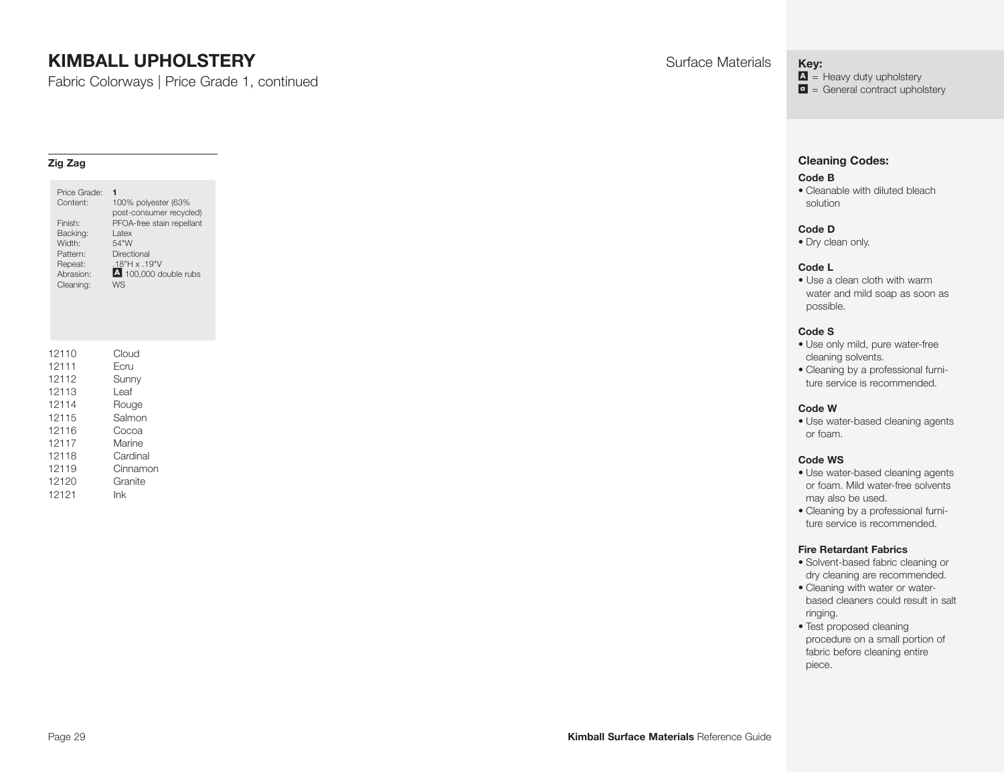Fabric Colorways | Price Grade 1, continued

#### **Zig Zag**

| Price Grade:<br>Content:<br>Finish:<br>Backing:<br>Width:<br>Pattern:<br>Repeat:<br>Abrasion:<br>Cleaning: | 1<br>100% polyester (63%<br>post-consumer recycled)<br>PFOA-free stain repellant<br>Latex<br>54"W<br>Directional<br>.18"H x .19"V<br>4 100,000 double rubs<br>W.S. |
|------------------------------------------------------------------------------------------------------------|--------------------------------------------------------------------------------------------------------------------------------------------------------------------|
| 12110<br>12111<br>12112                                                                                    | Cloud<br>Ecru<br>Sunny                                                                                                                                             |
| 12113                                                                                                      | Leaf                                                                                                                                                               |
| 12114                                                                                                      | Rouge                                                                                                                                                              |
| 12115                                                                                                      | Salmon                                                                                                                                                             |
| 12116                                                                                                      | Cocoa                                                                                                                                                              |
| 12117                                                                                                      | Marine                                                                                                                                                             |
| 12118<br>12119                                                                                             | Cardinal<br>Cinnamon                                                                                                                                               |
| 12120                                                                                                      | Granite                                                                                                                                                            |
| 12121                                                                                                      | lnk                                                                                                                                                                |
|                                                                                                            |                                                                                                                                                                    |

**Key:**

 $\Delta$  = Heavy duty upholstery  $\bullet$  = General contract upholstery

#### **Cleaning Codes:**

#### **Code B**

• Cleanable with diluted bleach solution

#### **Code D**

• Dry clean only.

#### **Code L**

• Use a clean cloth with warm water and mild soap as soon as possible.

#### **Code S**

- Use only mild, pure water-free cleaning solvents.
- Cleaning by a professional furniture service is recommended.

#### **Code W**

• Use water-based cleaning agents or foam.

#### **Code WS**

- Use water-based cleaning agents or foam. Mild water-free solvents may also be used.
- Cleaning by a professional furniture service is recommended.

- Solvent-based fabric cleaning or dry cleaning are recommended.
- Cleaning with water or waterbased cleaners could result in salt ringing.
- Test proposed cleaning procedure on a small portion of fabric before cleaning entire piece.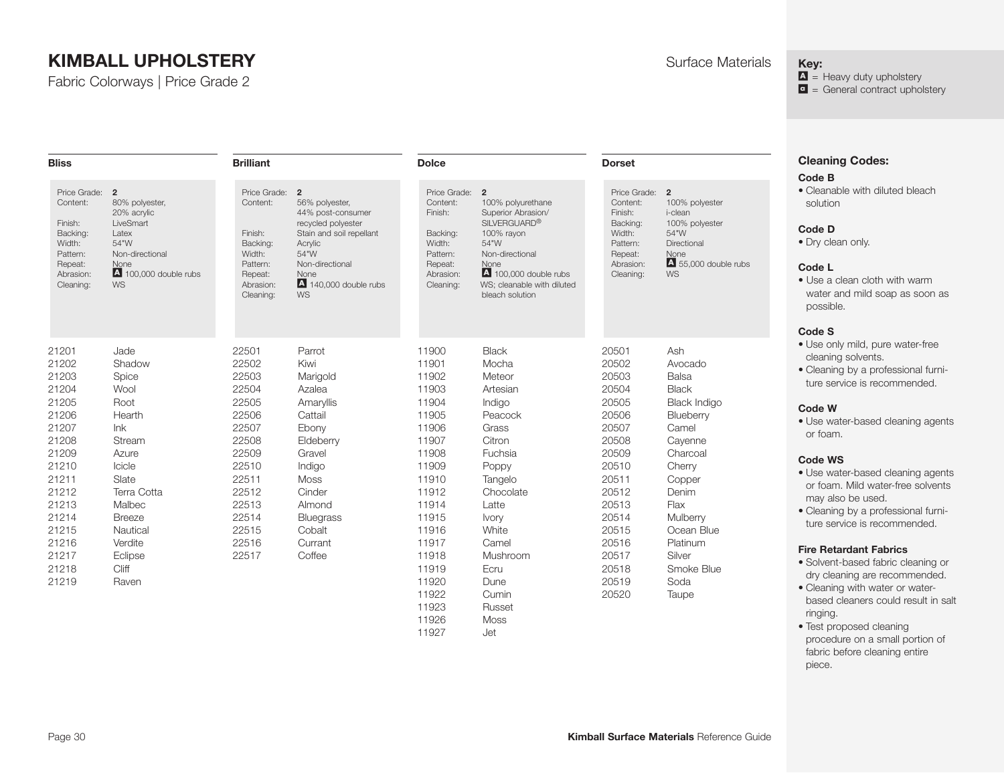Fabric Colorways | Price Grade 2

**Brilliant** 

**Dorset** 

#### **Key:**

 $\Delta$  = Heavy duty upholstery  $\bullet$  = General contract upholstery

# **Cleaning Codes:**

#### **Code B**

• Cleanable with diluted bleach solution

#### **Code D**

• Dry clean only.

#### **Code L**

• Use a clean cloth with warm water and mild soap as soon as possible.

#### **Code S**

- Use only mild, pure water-free cleaning solvents.
- Cleaning by a professional furniture service is recommended.

#### **Code W**

• Use water-based cleaning agents or foam.

#### **Code WS**

- Use water-based cleaning agents or foam. Mild water-free solvents may also be used.
- Cleaning by a professional furniture service is recommended.

#### **Fire Retardant Fabrics**

- Solvent-based fabric cleaning or dry cleaning are recommended.
- Cleaning with water or waterbased cleaners could result in salt ringing.
- Test proposed cleaning procedure on a small portion of fabric before cleaning entire piece.

| <b>Bliss</b>                                                                                               |                                                                                                                                                      | <b>Brilliant</b>                                                                                           |                                                                                                                                                                                                     | <b>Dolce</b>                                                                                                 |                                                                                                                                                                                                        | <b>Dorset</b>                                                                                                |                                                                                                                 |
|------------------------------------------------------------------------------------------------------------|------------------------------------------------------------------------------------------------------------------------------------------------------|------------------------------------------------------------------------------------------------------------|-----------------------------------------------------------------------------------------------------------------------------------------------------------------------------------------------------|--------------------------------------------------------------------------------------------------------------|--------------------------------------------------------------------------------------------------------------------------------------------------------------------------------------------------------|--------------------------------------------------------------------------------------------------------------|-----------------------------------------------------------------------------------------------------------------|
| Price Grade:<br>Content:<br>Finish:<br>Backing:<br>Width:<br>Pattern:<br>Repeat:<br>Abrasion:<br>Cleaning: | $\overline{2}$<br>80% polyester,<br>20% acrylic<br>LiveSmart<br>Latex<br>54"W<br>Non-directional<br>None<br>$\overline{A}$ 100.000 double rubs<br>WS | Price Grade:<br>Content:<br>Finish:<br>Backing:<br>Width:<br>Pattern:<br>Repeat:<br>Abrasion:<br>Cleaning: | $\overline{2}$<br>56% polyester,<br>44% post-consumer<br>recycled polyester<br>Stain and soil repellant<br>Acrylic<br>54"W<br>Non-directional<br>None<br>$\blacktriangle$ 140,000 double rubs<br>WS | Price Grade: 2<br>Content:<br>Finish:<br>Backing:<br>Width:<br>Pattern:<br>Repeat:<br>Abrasion:<br>Cleaning: | 100% polyurethane<br>Superior Abrasion/<br><b>SILVERGUARD®</b><br>100% rayon<br>54"W<br>Non-directional<br>None<br>$\overline{A}$ 100.000 double rubs<br>WS; cleanable with diluted<br>bleach solution | Price Grade: 2<br>Content:<br>Finish:<br>Backing:<br>Width:<br>Pattern:<br>Repeat:<br>Abrasion:<br>Cleaning: | 100% polyester<br>i-clean<br>100% polyester<br>54"W<br>Directional<br>None<br>4 55,000 double rubs<br><b>WS</b> |
| 21201<br>21202<br>21203                                                                                    | Jade<br>Shadow                                                                                                                                       | 22501<br>22502<br>22503                                                                                    | Parrot<br>Kiwi                                                                                                                                                                                      | 11900<br>11901                                                                                               | <b>Black</b><br>Mocha<br>Meteor                                                                                                                                                                        | 20501<br>20502<br>20503                                                                                      | Ash<br>Avocado                                                                                                  |
| 21204                                                                                                      | Spice<br>Wool                                                                                                                                        | 22504                                                                                                      | Marigold<br>Azalea                                                                                                                                                                                  | 11902<br>11903                                                                                               | Artesian                                                                                                                                                                                               | 20504                                                                                                        | <b>Balsa</b><br><b>Black</b>                                                                                    |
| 21205                                                                                                      | Root                                                                                                                                                 | 22505                                                                                                      | Amaryllis                                                                                                                                                                                           | 11904                                                                                                        | Indigo                                                                                                                                                                                                 | 20505                                                                                                        | <b>Black Indigo</b>                                                                                             |
| 21206                                                                                                      | Hearth                                                                                                                                               | 22506                                                                                                      | Cattail                                                                                                                                                                                             | 11905                                                                                                        | Peacock                                                                                                                                                                                                | 20506                                                                                                        | Blueberry                                                                                                       |
| 21207                                                                                                      | lnk                                                                                                                                                  | 22507                                                                                                      | Ebony                                                                                                                                                                                               | 11906                                                                                                        | Grass                                                                                                                                                                                                  | 20507                                                                                                        | Camel                                                                                                           |
| 21208                                                                                                      | Stream                                                                                                                                               | 22508                                                                                                      | Eldeberry                                                                                                                                                                                           | 11907                                                                                                        | Citron                                                                                                                                                                                                 | 20508                                                                                                        | Cayenne                                                                                                         |
| 21209                                                                                                      | Azure                                                                                                                                                | 22509                                                                                                      | Gravel                                                                                                                                                                                              | 11908                                                                                                        | Fuchsia                                                                                                                                                                                                | 20509                                                                                                        | Charcoal                                                                                                        |
| 21210                                                                                                      | Icicle                                                                                                                                               | 22510                                                                                                      | Indigo                                                                                                                                                                                              | 11909                                                                                                        | Poppy                                                                                                                                                                                                  | 20510                                                                                                        | Cherry                                                                                                          |
| 21211                                                                                                      | Slate                                                                                                                                                | 22511                                                                                                      | Moss                                                                                                                                                                                                | 11910                                                                                                        | Tangelo                                                                                                                                                                                                | 20511                                                                                                        | Copper                                                                                                          |
| 21212                                                                                                      | Terra Cotta                                                                                                                                          | 22512                                                                                                      | Cinder                                                                                                                                                                                              | 11912                                                                                                        | Chocolate                                                                                                                                                                                              | 20512                                                                                                        | Denim                                                                                                           |
| 21213                                                                                                      | Malbec                                                                                                                                               | 22513                                                                                                      | Almond                                                                                                                                                                                              | 11914                                                                                                        | Latte                                                                                                                                                                                                  | 20513                                                                                                        | Flax                                                                                                            |
| 21214                                                                                                      | <b>Breeze</b>                                                                                                                                        | 22514                                                                                                      | <b>Bluegrass</b>                                                                                                                                                                                    | 11915                                                                                                        | <b>Ivory</b>                                                                                                                                                                                           | 20514                                                                                                        | Mulberry                                                                                                        |
| 21215                                                                                                      | Nautical                                                                                                                                             | 22515                                                                                                      | Cobalt                                                                                                                                                                                              | 11916                                                                                                        | White                                                                                                                                                                                                  | 20515                                                                                                        | Ocean Blue                                                                                                      |
| 21216                                                                                                      | Verdite                                                                                                                                              | 22516                                                                                                      | Currant                                                                                                                                                                                             | 11917                                                                                                        | Camel                                                                                                                                                                                                  | 20516                                                                                                        | Platinum                                                                                                        |
| 21217                                                                                                      | Eclipse                                                                                                                                              | 22517                                                                                                      | Coffee                                                                                                                                                                                              | 11918                                                                                                        | Mushroom                                                                                                                                                                                               | 20517                                                                                                        | Silver                                                                                                          |
| 21218                                                                                                      | Cliff                                                                                                                                                |                                                                                                            |                                                                                                                                                                                                     | 11919                                                                                                        | Ecru                                                                                                                                                                                                   | 20518                                                                                                        | Smoke Blue                                                                                                      |
| 21219                                                                                                      | Raven                                                                                                                                                |                                                                                                            |                                                                                                                                                                                                     | 11920                                                                                                        | Dune                                                                                                                                                                                                   | 20519                                                                                                        | Soda                                                                                                            |
|                                                                                                            |                                                                                                                                                      |                                                                                                            |                                                                                                                                                                                                     | 11922                                                                                                        | Cumin                                                                                                                                                                                                  | 20520                                                                                                        | Taupe                                                                                                           |
|                                                                                                            |                                                                                                                                                      |                                                                                                            |                                                                                                                                                                                                     | 11923                                                                                                        | Russet                                                                                                                                                                                                 |                                                                                                              |                                                                                                                 |
|                                                                                                            |                                                                                                                                                      |                                                                                                            |                                                                                                                                                                                                     | 11926                                                                                                        | Moss                                                                                                                                                                                                   |                                                                                                              |                                                                                                                 |
|                                                                                                            |                                                                                                                                                      |                                                                                                            |                                                                                                                                                                                                     | 11927                                                                                                        | Jet                                                                                                                                                                                                    |                                                                                                              |                                                                                                                 |

**Dolce**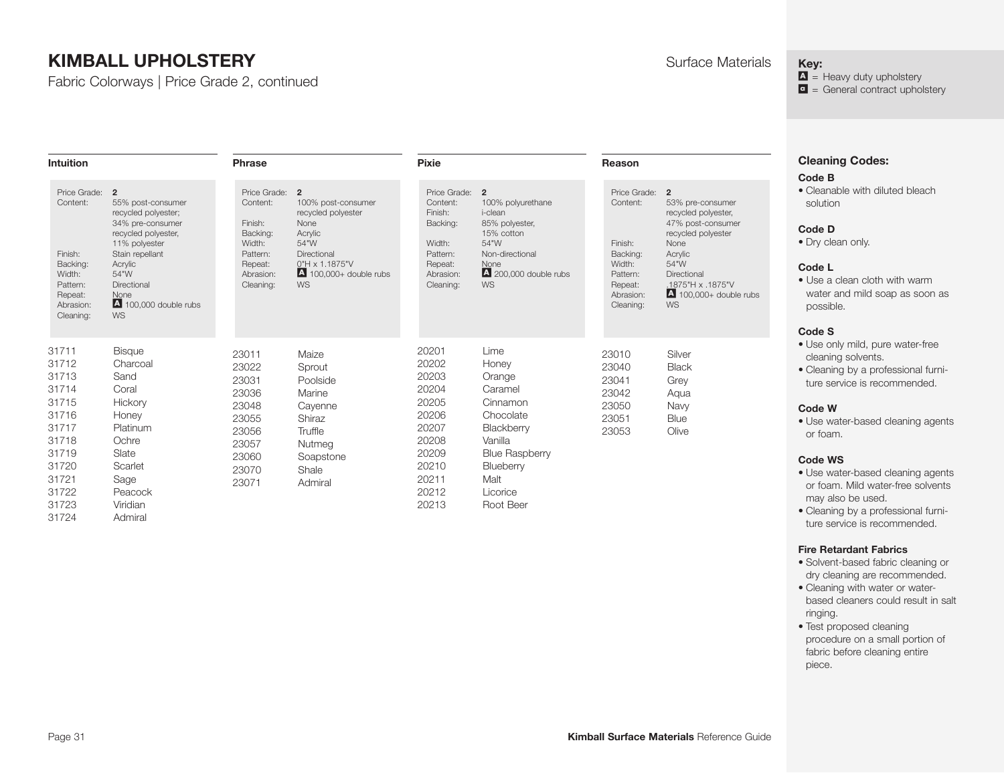**Intuition** 

Fabric Colorways | Price Grade 2, continued

**Phrase** 

**Reason** 

#### **Key:**

 $\Delta$  = Heavy duty upholstery  $\bullet$  = General contract upholstery

| <b>Cleaning Codes:</b> |  |
|------------------------|--|
| Code B                 |  |

• Cleanable with diluted bleach solution

#### **Code D**

• Dry clean only.

#### **Code L**

• Use a clean cloth with warm water and mild soap as soon as possible.

#### **Code S**

- Use only mild, pure water-free cleaning solvents.
- Cleaning by a professional furniture service is recommended.

#### **Code W**

• Use water-based cleaning agents or foam.

#### **Code WS**

- Use water-based cleaning agents or foam. Mild water-free solvents may also be used.
- Cleaning by a professional furniture service is recommended.

#### **Fire Retardant Fabrics**

- Solvent-based fabric cleaning or dry cleaning are recommended.
- Cleaning with water or waterbased cleaners could result in salt ringing.
- Test proposed cleaning procedure on a small portion of fabric before cleaning entire piece.

| Price Grade:<br>Content:<br>Finish:<br>Backing:<br>Width:<br>Pattern:<br>Repeat:<br>Abrasion:<br>Cleaning:                 | $\overline{2}$<br>55% post-consumer<br>recycled polyester;<br>34% pre-consumer<br>recycled polyester,<br>11% polyester<br>Stain repellant<br>Acrylic<br>54"W<br>Directional<br>None<br>4 100,000 double rubs<br>WS | Price Grade: 2<br>Content:<br>Finish:<br>Backing:<br>Width:<br>Pattern:<br>Repeat:<br>Abrasion:<br>Cleaning: | 100% post-consumer<br>recycled polyester<br>None<br>Acrylic<br>54"W<br>Directional<br>0"H x 1.1875"V<br>$\triangle$ 100,000+ double rubs<br><b>WS</b> | Price Grade: 2<br>Content:<br>Finish:<br>Backing:<br>Width:<br>Pattern:<br>Repeat:<br>Abrasion:<br>Cleaning:      | 100% polyurethane<br>i-clean<br>85% polyester,<br>15% cotton<br>54"W<br>Non-directional<br><b>None</b><br>$\triangle$ 200,000 double rubs<br><b>WS</b>      | Price Grade:<br>Content:<br>Finish:<br>Backing:<br>Width:<br>Pattern:<br>Repeat:<br>Abrasion:<br>Cleaning: | $\overline{2}$<br>53% pre-consumer<br>recycled polyester,<br>47% post-consumer<br>recycled polyester<br>None<br>Acrylic<br>54"W<br>Directional<br>.1875"H x .1875"V<br>$\triangle$ 100,000+ double rubs<br><b>WS</b> |
|----------------------------------------------------------------------------------------------------------------------------|--------------------------------------------------------------------------------------------------------------------------------------------------------------------------------------------------------------------|--------------------------------------------------------------------------------------------------------------|-------------------------------------------------------------------------------------------------------------------------------------------------------|-------------------------------------------------------------------------------------------------------------------|-------------------------------------------------------------------------------------------------------------------------------------------------------------|------------------------------------------------------------------------------------------------------------|----------------------------------------------------------------------------------------------------------------------------------------------------------------------------------------------------------------------|
| 31711<br>31712<br>31713<br>31714<br>31715<br>31716<br>31717<br>31718<br>31719<br>31720<br>31721<br>31722<br>31723<br>31724 | <b>Bisque</b><br>Charcoal<br>Sand<br>Coral<br>Hickory<br>Honey<br>Platinum<br>Ochre<br>Slate<br>Scarlet<br>Sage<br>Peacock<br>Viridian<br>Admiral                                                                  | 23011<br>23022<br>23031<br>23036<br>23048<br>23055<br>23056<br>23057<br>23060<br>23070<br>23071              | Maize<br>Sprout<br>Poolside<br>Marine<br>Cayenne<br>Shiraz<br>Truffle<br>Nutmeg<br>Soapstone<br>Shale<br>Admiral                                      | 20201<br>20202<br>20203<br>20204<br>20205<br>20206<br>20207<br>20208<br>20209<br>20210<br>20211<br>20212<br>20213 | Lime<br>Honey<br>Orange<br>Caramel<br>Cinnamon<br>Chocolate<br>Blackberry<br>Vanilla<br><b>Blue Raspberry</b><br>Blueberry<br>Malt<br>Licorice<br>Root Beer | 23010<br>23040<br>23041<br>23042<br>23050<br>23051<br>23053                                                | Silver<br><b>Black</b><br>Grey<br>Aqua<br>Navy<br>Blue<br>Olive                                                                                                                                                      |

**Pixie**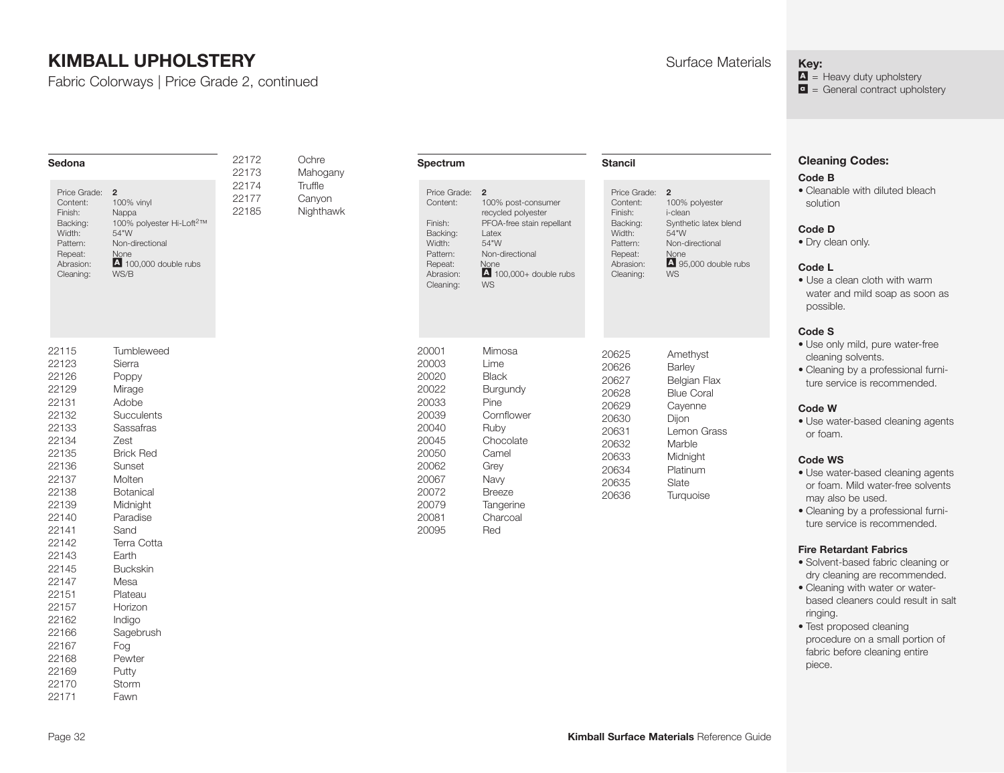Fabric Colorways | Price Grade 2, continued

| Sedona                                                                                                                                                                                                                                 |                                                                                                                                                                                                                                                                                                    | 22172<br>22173          | Ochre<br>Mahogany              | Spectrum                                                                                                                            |                                                                                                                                                                              | <b>Stancil</b>                                                                                           |                                                                  |                                                                                                                                                    | <b>Cleaning Codes:</b><br>Code B                                                                                                                                                                                                                                                                                                                                                                                                                                                                                                                                                                                                                                                         |
|----------------------------------------------------------------------------------------------------------------------------------------------------------------------------------------------------------------------------------------|----------------------------------------------------------------------------------------------------------------------------------------------------------------------------------------------------------------------------------------------------------------------------------------------------|-------------------------|--------------------------------|-------------------------------------------------------------------------------------------------------------------------------------|------------------------------------------------------------------------------------------------------------------------------------------------------------------------------|----------------------------------------------------------------------------------------------------------|------------------------------------------------------------------|----------------------------------------------------------------------------------------------------------------------------------------------------|------------------------------------------------------------------------------------------------------------------------------------------------------------------------------------------------------------------------------------------------------------------------------------------------------------------------------------------------------------------------------------------------------------------------------------------------------------------------------------------------------------------------------------------------------------------------------------------------------------------------------------------------------------------------------------------|
| Price Grade: 2<br>Content:<br>Finish:<br>Backing:<br>Width:<br>Pattern:<br>Repeat:<br>Abrasion:<br>Cleaning:                                                                                                                           | 100% vinyl<br>Nappa<br>100% polyester Hi-Loft <sup>2™</sup><br>54"W<br>Non-directional<br>None<br>$\overline{A}$ 100.000 double rubs<br>WS/B                                                                                                                                                       | 22174<br>22177<br>22185 | Truffle<br>Canyon<br>Nighthawk | Price Grade: 2<br>Content:<br>Finish:<br>Backing:<br>Width:<br>Pattern:<br>Repeat:<br>Abrasion:<br>Cleaning:                        | 100% post-consumer<br>recycled polyester<br>PFOA-free stain repellant<br>Latex<br>54"W<br>Non-directional<br><b>None</b><br>$\overline{A}$ 100.000+ double rubs<br><b>WS</b> | Finish:<br>Width:<br>Pattern:<br>Repeat:                                                                 | Price Grade: 2<br>Content:<br>Backing:<br>Abrasion:<br>Cleaning: | 100% polyester<br>i-clean<br>Synthetic latex blend<br>54"W<br>Non-directional<br>None<br>4 95,000 double rubs<br><b>WS</b>                         | • Cleanable with diluted bleach<br>solution<br>Code D<br>• Dry clean only.<br>Code L<br>• Use a clean cloth with warm<br>water and mild soap as soon as<br>possible.<br>Code S                                                                                                                                                                                                                                                                                                                                                                                                                                                                                                           |
| 22115<br>22123<br>22126<br>22129<br>22131<br>22132<br>22133<br>22134<br>22135<br>22136<br>22137<br>22138<br>22139<br>22140<br>22141<br>22142<br>22143<br>22145<br>22147<br>22151<br>22157<br>22162<br>22166<br>22167<br>22168<br>22169 | Tumbleweed<br>Sierra<br>Poppy<br>Mirage<br>Adobe<br>Succulents<br>Sassafras<br>Zest<br><b>Brick Red</b><br>Sunset<br>Molten<br>Botanical<br>Midnight<br>Paradise<br>Sand<br>Terra Cotta<br>Earth<br><b>Buckskin</b><br>Mesa<br>Plateau<br>Horizon<br>Indigo<br>Sagebrush<br>Fog<br>Pewter<br>Putty |                         |                                | 20001<br>20003<br>20020<br>20022<br>20033<br>20039<br>20040<br>20045<br>20050<br>20062<br>20067<br>20072<br>20079<br>20081<br>20095 | Mimosa<br>Lime<br><b>Black</b><br>Burgundy<br>Pine<br>Cornflower<br>Ruby<br>Chocolate<br>Camel<br>Grey<br>Navy<br><b>Breeze</b><br>Tangerine<br>Charcoal<br>Red              | 20625<br>20626<br>20627<br>20628<br>20629<br>20630<br>20631<br>20632<br>20633<br>20634<br>20635<br>20636 |                                                                  | Amethyst<br>Barley<br>Belgian Flax<br><b>Blue Coral</b><br>Cayenne<br>Dijon<br>Lemon Grass<br>Marble<br>Midnight<br>Platinum<br>Slate<br>Turquoise | · Use only mild, pure water-free<br>cleaning solvents.<br>· Cleaning by a professional furni-<br>ture service is recommended.<br>Code W<br>• Use water-based cleaning agents<br>or foam.<br><b>Code WS</b><br>· Use water-based cleaning agents<br>or foam. Mild water-free solvents<br>may also be used.<br>• Cleaning by a professional furni-<br>ture service is recommended.<br><b>Fire Retardant Fabrics</b><br>· Solvent-based fabric cleaning or<br>dry cleaning are recommended.<br>• Cleaning with water or water-<br>based cleaners could result in salt<br>ringing.<br>• Test proposed cleaning<br>procedure on a small portion of<br>fabric before cleaning entire<br>piece. |

## **Key:**

 $\mathbf{A}$  = Heavy duty upholstery **a** = General contract upholstery

22170 Storm 22171 Fawn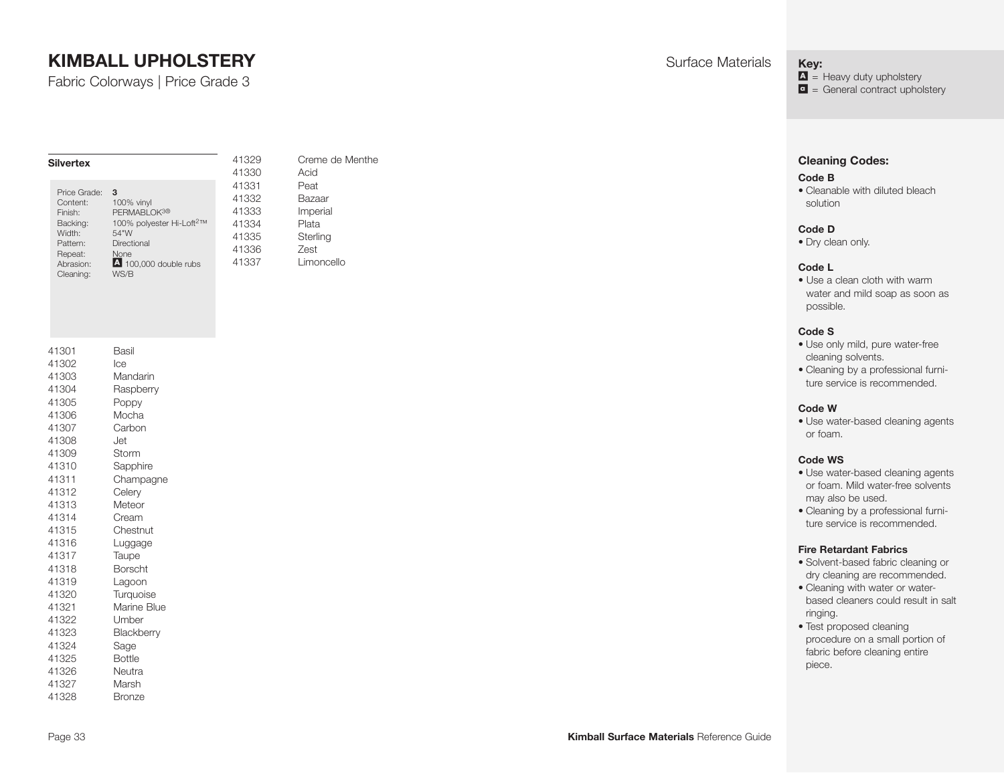Fabric Colorways | Price Grade 3

| <b>Silvertex</b> |                                      |
|------------------|--------------------------------------|
| Price Grade:     | 3                                    |
| Content:         | 100% vinyl                           |
| Finish:          | PERMABLOK <sup>3®</sup>              |
| Backing:         | 100% polyester Hi-Loft <sup>2™</sup> |
| Width:           | 54"W                                 |
| Pattern:         | Directional                          |
| Repeat:          | <b>None</b>                          |
| Abrasion:        | 4 100,000 double rubs                |
| Cleaning:        | WS/B                                 |

41329 Creme de Menthe 41330 Acid 41331 Peat 41332 Bazaar 41333 Imperial 41334 Plata 41335 Sterling 41336 Zest 41337 Limoncello

| 41301 | Basil          |
|-------|----------------|
| 41302 | lce            |
| 41303 | Mandarin       |
| 41304 | Raspberry      |
| 41305 | Poppy          |
| 41306 | Mocha          |
| 41307 | Carbon         |
| 41308 | Jet            |
| 41309 | Storm          |
| 41310 | Sapphire       |
| 41311 | Champagne      |
| 41312 | Celery         |
| 41313 | Meteor         |
| 41314 | Cream          |
| 41315 | Chestnut       |
| 41316 | Luggage        |
| 41317 | Taupe          |
| 41318 | <b>Borscht</b> |
| 41319 | Lagoon         |
| 41320 | Turquoise      |
| 41321 | Marine Blue    |
| 41322 | Umber          |
| 41323 | Blackberry     |
| 41324 | Sage           |
| 41325 | <b>Bottle</b>  |
| 41326 | Neutra         |
| 41327 | Marsh          |
| 41328 | Bronze         |

**Key:**

 $\Delta$  = Heavy duty upholstery  $\bullet$  = General contract upholstery

#### **Cleaning Codes:**

#### **Code B**

• Cleanable with diluted bleach solution

#### **Code D**

• Dry clean only.

#### **Code L**

• Use a clean cloth with warm water and mild soap as soon as possible.

#### **Code S**

- Use only mild, pure water-free cleaning solvents.
- Cleaning by a professional furniture service is recommended.

#### **Code W**

• Use water-based cleaning agents or foam.

#### **Code WS**

- Use water-based cleaning agents or foam. Mild water-free solvents may also be used.
- Cleaning by a professional furniture service is recommended.

- Solvent-based fabric cleaning or dry cleaning are recommended.
- Cleaning with water or waterbased cleaners could result in salt ringing.
- Test proposed cleaning procedure on a small portion of fabric before cleaning entire piece.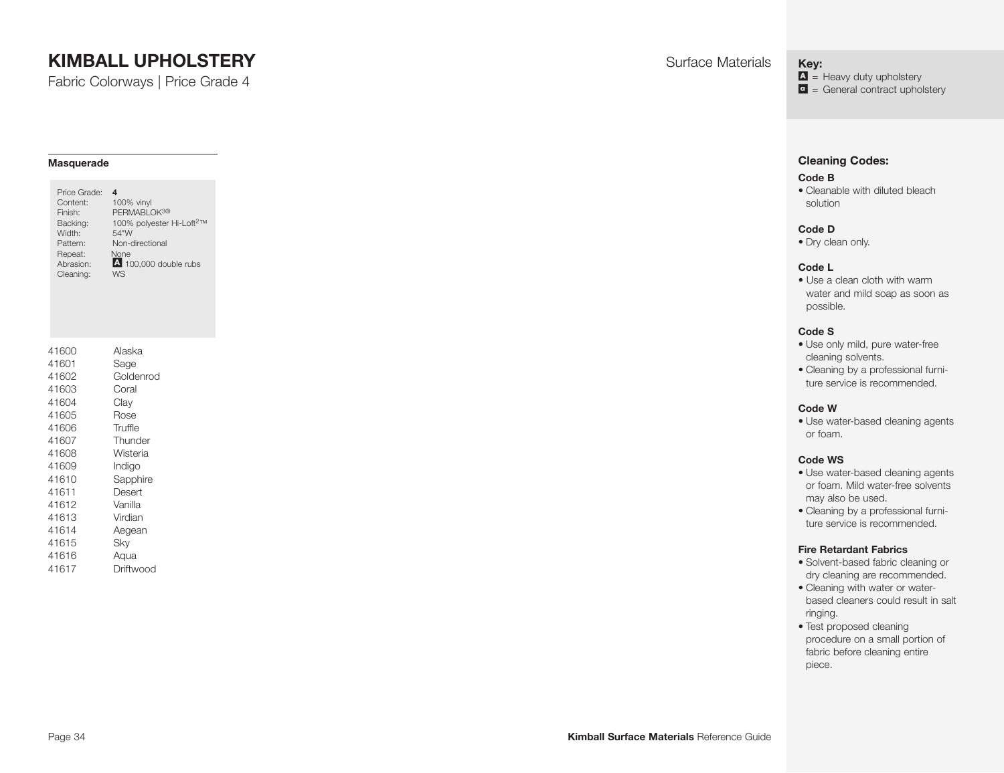Fabric Colorways | Price Grade 4

#### **Masquerade**

| Price Grade:<br>Content:<br>Finish:<br>Backing:<br>Width:<br>Pattern:<br>Repeat:<br>Abrasion:<br>Cleaning: | 4<br>100% vinyl<br>PERMABLOK <sup>3®</sup><br>100% polyester Hi-Loft <sup>2™</sup><br>54"W<br>Non-directional<br>None<br>4 100,000 double rubs<br><b>WS</b> |
|------------------------------------------------------------------------------------------------------------|-------------------------------------------------------------------------------------------------------------------------------------------------------------|
| 41600                                                                                                      | Alaska                                                                                                                                                      |
| 41601                                                                                                      | Sage                                                                                                                                                        |
| 41602                                                                                                      | Goldenrod                                                                                                                                                   |
| 41603                                                                                                      | Coral                                                                                                                                                       |
| 41604                                                                                                      | Clay                                                                                                                                                        |
| 41605                                                                                                      | Rose                                                                                                                                                        |
| 41606                                                                                                      | Truffle                                                                                                                                                     |
| 41607                                                                                                      | Thunder                                                                                                                                                     |
| 41608                                                                                                      | Wisteria                                                                                                                                                    |
| 41609                                                                                                      | Indigo                                                                                                                                                      |
| 41610                                                                                                      | Sapphire                                                                                                                                                    |
| 41611                                                                                                      | Desert                                                                                                                                                      |
| 41612                                                                                                      | Vanilla                                                                                                                                                     |
| 41613                                                                                                      | Virdian                                                                                                                                                     |
| 41614                                                                                                      | Aegean                                                                                                                                                      |
| 41615                                                                                                      | Sky                                                                                                                                                         |
| 41616                                                                                                      | Aqua                                                                                                                                                        |
| 41617                                                                                                      | Driftwood                                                                                                                                                   |

**Key:**

 $\Delta$  = Heavy duty upholstery  $\bullet$  = General contract upholstery

#### **Cleaning Codes:**

#### **Code B**

• Cleanable with diluted bleach solution

#### **Code D**

• Dry clean only.

#### **Code L**

• Use a clean cloth with warm water and mild soap as soon as possible.

#### **Code S**

- Use only mild, pure water-free cleaning solvents.
- Cleaning by a professional furniture service is recommended.

#### **Code W**

• Use water-based cleaning agents or foam.

#### **Code WS**

- Use water-based cleaning agents or foam. Mild water-free solvents may also be used.
- Cleaning by a professional furniture service is recommended.

- Solvent-based fabric cleaning or dry cleaning are recommended.
- Cleaning with water or waterbased cleaners could result in salt ringing.
- Test proposed cleaning procedure on a small portion of fabric before cleaning entire piece.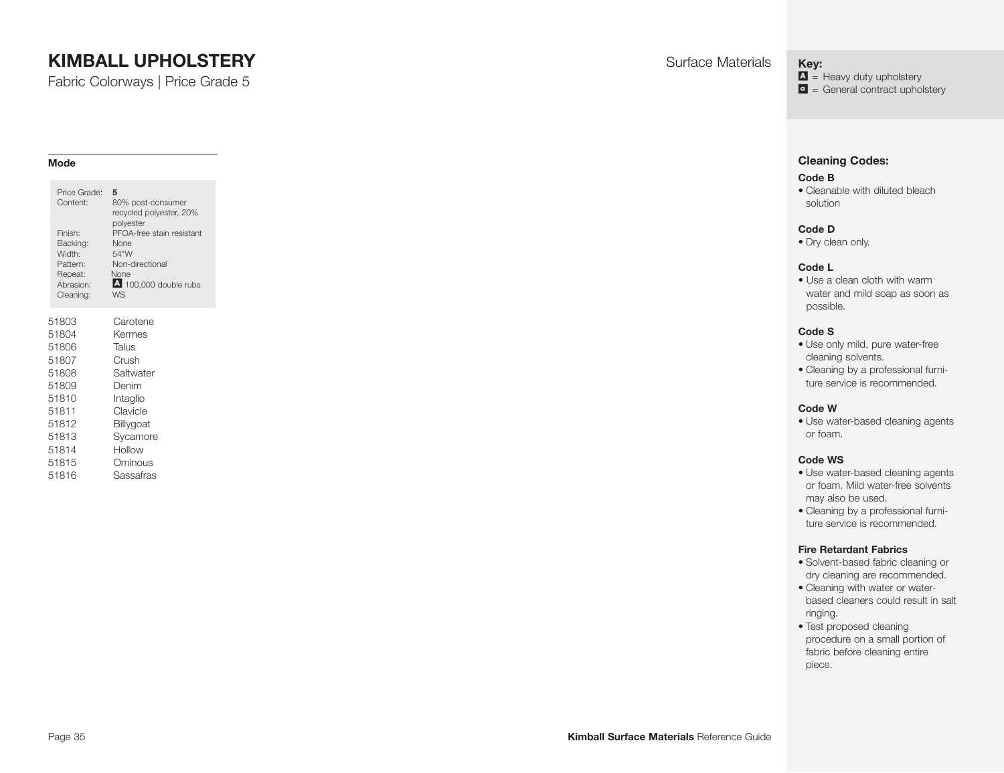Fabric Colorways | Price Grade 5

#### **Mode**

| Price Grade:<br>Content:<br>Finish:<br>Backing:<br>Width:<br>Pattern:<br>Repeat:<br>Abrasion:<br>Cleaning: | 5<br>80% post-consumer<br>recycled polyester, 20%<br>polyester<br>PFOA-free stain resistant<br>None<br>54"W<br>Non-directional<br>None<br>4 100,000 double rubs<br>W.S |
|------------------------------------------------------------------------------------------------------------|------------------------------------------------------------------------------------------------------------------------------------------------------------------------|
| 51803                                                                                                      | Carotene                                                                                                                                                               |
| 51804                                                                                                      | Kermes                                                                                                                                                                 |
| 51806                                                                                                      | Talus                                                                                                                                                                  |
| 51807                                                                                                      | Crush                                                                                                                                                                  |
| 51808                                                                                                      | Saltwater                                                                                                                                                              |
| 51809                                                                                                      | Denim                                                                                                                                                                  |
| 51810                                                                                                      | Intaglio                                                                                                                                                               |
| 51811                                                                                                      | Clavicle                                                                                                                                                               |
| 51812                                                                                                      | Billygoat                                                                                                                                                              |
| 51813                                                                                                      | Sycamore                                                                                                                                                               |
| 51814                                                                                                      | Hollow                                                                                                                                                                 |
| 51815                                                                                                      | Ominous                                                                                                                                                                |
| 51816                                                                                                      | Sassafras                                                                                                                                                              |

**Key:**

 $\Delta$  = Heavy duty upholstery

 $\bullet$  = General contract upholstery

#### **Cleaning Codes:**

#### **Code B**

• Cleanable with diluted bleach solution

#### **Code D**

• Dry clean only.

#### **Code L**

• Use a clean cloth with warm water and mild soap as soon as possible.

#### **Code S**

- Use only mild, pure water-free cleaning solvents.
- Cleaning by a professional furniture service is recommended.

#### **Code W**

• Use water-based cleaning agents or foam.

#### **Code WS**

- Use water-based cleaning agents or foam. Mild water-free solvents may also be used.
- Cleaning by a professional furniture service is recommended.

- Solvent-based fabric cleaning or dry cleaning are recommended.
- Cleaning with water or waterbased cleaners could result in salt ringing.
- Test proposed cleaning procedure on a small portion of fabric before cleaning entire piece.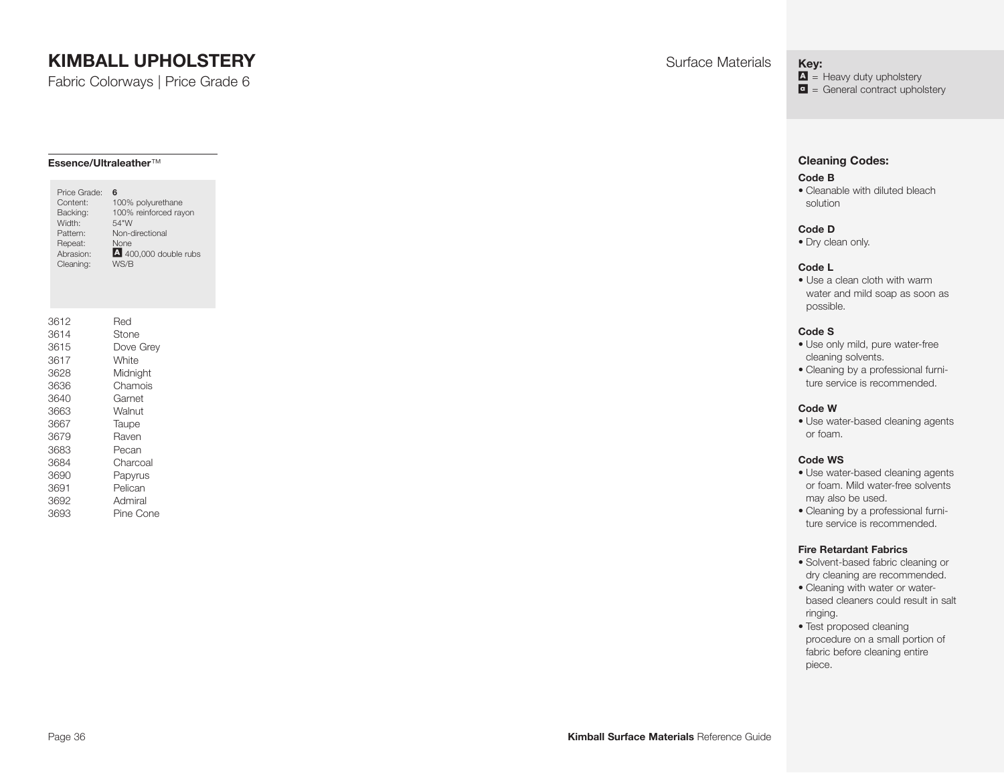Fabric Colorways | Price Grade 6

#### **Essence/Ultraleather**™

| Content:<br>Backing:<br>Width:<br>Pattern:<br>Repeat:<br>Abrasion:<br>Cleaning: | Price Grade: | 6<br>100% polyurethane<br>100% reinforced rayon<br>54"W<br>Non-directional<br>None<br>400,000 double rubs<br>WS/B |
|---------------------------------------------------------------------------------|--------------|-------------------------------------------------------------------------------------------------------------------|
| 3612<br>3614                                                                    |              | Red<br>Stone                                                                                                      |
| 3615                                                                            |              | Dove Grev                                                                                                         |
| 3617                                                                            |              | White                                                                                                             |
| 3628                                                                            |              | Midnight                                                                                                          |
| 3636                                                                            |              | Chamois                                                                                                           |
| 3640                                                                            |              | Garnet                                                                                                            |
| 3663                                                                            |              | Walnut                                                                                                            |
| 3667                                                                            |              | Taupe                                                                                                             |
| 3679                                                                            |              | Raven                                                                                                             |
| 3683                                                                            |              | Pecan                                                                                                             |
| 3684                                                                            |              | Charcoal                                                                                                          |
| 3690                                                                            |              | Papyrus                                                                                                           |
| 3691                                                                            |              | Pelican                                                                                                           |
| 3692                                                                            |              | Admiral                                                                                                           |
| 3693                                                                            |              | Pine Cone                                                                                                         |

**Key:**

 $\Delta$  = Heavy duty upholstery  $\bullet$  = General contract upholstery

#### **Cleaning Codes:**

#### **Code B**

• Cleanable with diluted bleach solution

#### **Code D**

• Dry clean only.

#### **Code L**

• Use a clean cloth with warm water and mild soap as soon as possible.

#### **Code S**

- Use only mild, pure water-free cleaning solvents.
- Cleaning by a professional furniture service is recommended.

#### **Code W**

• Use water-based cleaning agents or foam.

#### **Code WS**

- Use water-based cleaning agents or foam. Mild water-free solvents may also be used.
- Cleaning by a professional furniture service is recommended.

- Solvent-based fabric cleaning or dry cleaning are recommended.
- Cleaning with water or waterbased cleaners could result in salt ringing.
- Test proposed cleaning procedure on a small portion of fabric before cleaning entire piece.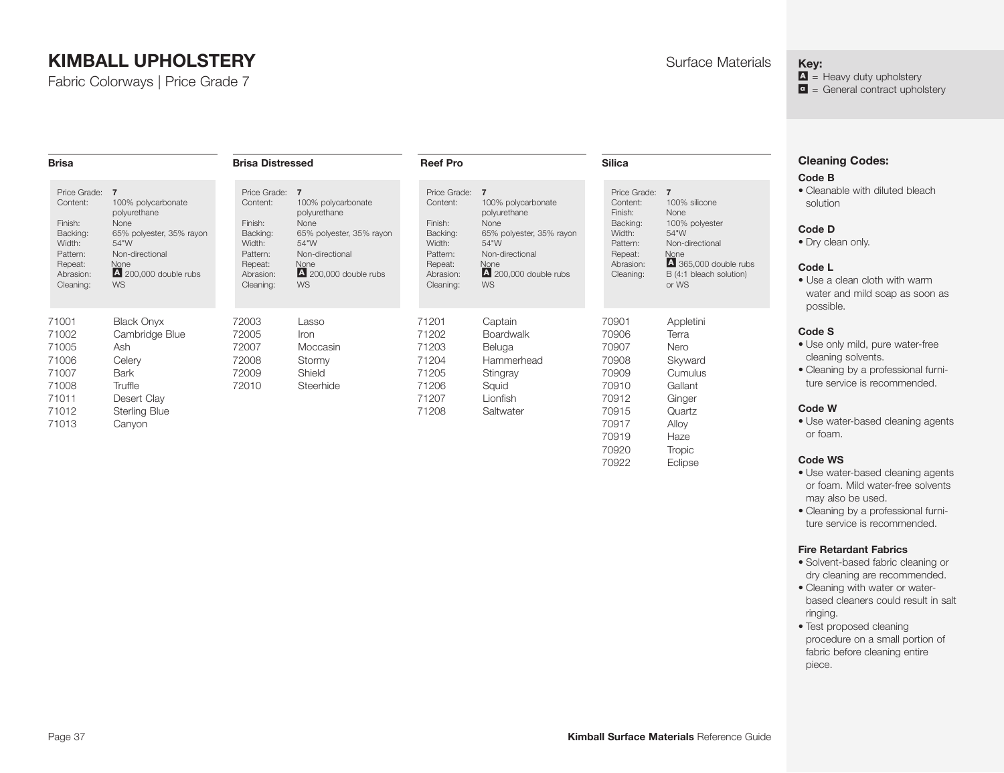Fabric Colorways | Price Grade 7

#### **Key:**

 $\Delta$  = Heavy duty upholstery  $\bullet$  = General contract upholstery

| <b>Cleaning Codes:</b> |  |
|------------------------|--|
| - - -                  |  |

#### **Code B**

• Cleanable with diluted bleach solution

#### **Code D**

• Dry clean only.

#### **Code L**

• Use a clean cloth with warm water and mild soap as soon as possible.

#### **Code S**

- Use only mild, pure water-free cleaning solvents.
- Cleaning by a professional furniture service is recommended.

#### **Code W**

• Use water-based cleaning agents or foam.

#### **Code WS**

- Use water-based cleaning agents or foam. Mild water-free solvents may also be used.
- Cleaning by a professional furniture service is recommended.

#### **Fire Retardant Fabrics**

- Solvent-based fabric cleaning or dry cleaning are recommended.
- Cleaning with water or waterbased cleaners could result in salt ringing.
- Test proposed cleaning procedure on a small portion of fabric before cleaning entire piece.

| <b>Brisa</b>                                                                                                 |                                                                                                                                                 | <b>Brisa Distressed</b>                                                                                    |                                                                                                                                                            | <b>Reef Pro</b>                                                                                              |                                                                                                                                                        | <b>Silica</b>                                                                                              |                                                                                                                                                           |
|--------------------------------------------------------------------------------------------------------------|-------------------------------------------------------------------------------------------------------------------------------------------------|------------------------------------------------------------------------------------------------------------|------------------------------------------------------------------------------------------------------------------------------------------------------------|--------------------------------------------------------------------------------------------------------------|--------------------------------------------------------------------------------------------------------------------------------------------------------|------------------------------------------------------------------------------------------------------------|-----------------------------------------------------------------------------------------------------------------------------------------------------------|
| Price Grade: 7<br>Content:<br>Finish:<br>Backing:<br>Width:<br>Pattern:<br>Repeat:<br>Abrasion:<br>Cleaning: | 100% polycarbonate<br>polyurethane<br>None<br>65% polyester, 35% rayon<br>54"W<br>Non-directional<br>None<br>4 200,000 double rubs<br><b>WS</b> | Price Grade:<br>Content:<br>Finish:<br>Backing:<br>Width:<br>Pattern:<br>Repeat:<br>Abrasion:<br>Cleaning: | $\overline{7}$<br>100% polycarbonate<br>polyurethane<br>None<br>65% polyester, 35% rayon<br>54"W<br>Non-directional<br>None<br>4 200,000 double rubs<br>WS | Price Grade: 7<br>Content:<br>Finish:<br>Backing:<br>Width:<br>Pattern:<br>Repeat:<br>Abrasion:<br>Cleaning: | 100% polycarbonate<br>polyurethane<br>None<br>65% polyester, 35% rayon<br>54"W<br>Non-directional<br><b>None</b><br>4 200,000 double rubs<br><b>WS</b> | Price Grade:<br>Content:<br>Finish:<br>Backing:<br>Width:<br>Pattern:<br>Repeat:<br>Abrasion:<br>Cleaning: | $\overline{7}$<br>100% silicone<br>None<br>100% polyester<br>54"W<br>Non-directional<br>None<br>4 365,000 double rubs<br>B (4:1 bleach solution)<br>or WS |
| 71001<br>71002<br>71005<br>71006<br>71007<br>71008<br>71011<br>71012<br>71013                                | <b>Black Onyx</b><br>Cambridge Blue<br>Ash<br>Celery<br><b>Bark</b><br>Truffle<br>Desert Clay<br><b>Sterling Blue</b><br>Canyon                 | 72003<br>72005<br>72007<br>72008<br>72009<br>72010                                                         | Lasso<br>Iron<br>Moccasin<br>Stormy<br>Shield<br>Steerhide                                                                                                 | 71201<br>71202<br>71203<br>71204<br>71205<br>71206<br>71207<br>71208                                         | Captain<br><b>Boardwalk</b><br>Beluga<br>Hammerhead<br>Stingray<br>Squid<br>Lionfish<br>Saltwater                                                      | 70901<br>70906<br>70907<br>70908<br>70909<br>70910<br>70912<br>70915<br>70917<br>70919                     | Appletini<br>Terra<br>Nero<br>Skyward<br>Cumulus<br>Gallant<br>Ginger<br>Quartz<br>Alloy<br>Haze                                                          |

70920 Tropic 70922 Eclipse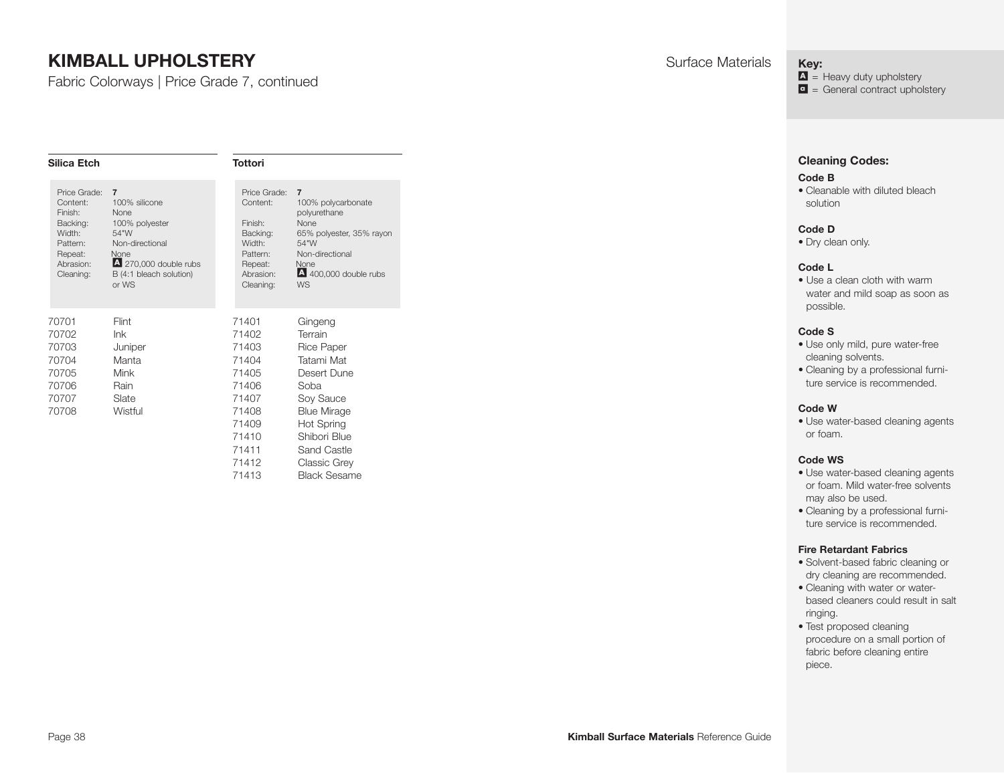Fabric Colorways | Price Grade 7, continued

| Silica Etch                                                                                                |                                                                                                                                                           | <b>Tottori</b>                                                                                                    |                                                                                                                                                                                                                   |
|------------------------------------------------------------------------------------------------------------|-----------------------------------------------------------------------------------------------------------------------------------------------------------|-------------------------------------------------------------------------------------------------------------------|-------------------------------------------------------------------------------------------------------------------------------------------------------------------------------------------------------------------|
| Price Grade:<br>Content:<br>Finish:<br>Backing:<br>Width:<br>Pattern:<br>Repeat:<br>Abrasion:<br>Cleaning: | $\overline{7}$<br>100% silicone<br>None<br>100% polyester<br>54"W<br>Non-directional<br>None<br>4 270,000 double rubs<br>B (4:1 bleach solution)<br>or WS | Price Grade:<br>Content:<br>Finish:<br>Backing:<br>Width:<br>Pattern:<br>Repeat:<br>Abrasion:<br>Cleaning:        | $\overline{7}$<br>100% polycarbonate<br>polyurethane<br>None<br>65% polyester, 35% rayon<br>54"W<br>Non-directional<br>None<br>400,000 double rubs<br>WS                                                          |
| 70701<br>70702<br>70703<br>70704<br>70705<br>70706<br>70707<br>70708                                       | Flint<br>lnk<br>Juniper<br>Manta<br>Mink<br>Rain<br>Slate<br>Wistful                                                                                      | 71401<br>71402<br>71403<br>71404<br>71405<br>71406<br>71407<br>71408<br>71409<br>71410<br>71411<br>71412<br>71413 | Gingeng<br>Terrain<br><b>Rice Paper</b><br>Tatami Mat<br>Desert Dune<br>Soba<br>Soy Sauce<br><b>Blue Mirage</b><br><b>Hot Spring</b><br>Shibori Blue<br>Sand Castle<br><b>Classic Grey</b><br><b>Black Sesame</b> |

**Key:**

 $\Delta$  = Heavy duty upholstery  $\bullet$  = General contract upholstery

#### **Cleaning Codes:**

#### **Code B**

• Cleanable with diluted bleach solution

#### **Code D**

• Dry clean only.

#### **Code L**

• Use a clean cloth with warm water and mild soap as soon as possible.

#### **Code S**

- Use only mild, pure water-free cleaning solvents.
- Cleaning by a professional furniture service is recommended.

#### **Code W**

• Use water-based cleaning agents or foam.

#### **Code WS**

- Use water-based cleaning agents or foam. Mild water-free solvents may also be used.
- Cleaning by a professional furniture service is recommended.

- Solvent-based fabric cleaning or dry cleaning are recommended.
- Cleaning with water or waterbased cleaners could result in salt ringing.
- Test proposed cleaning procedure on a small portion of fabric before cleaning entire piece.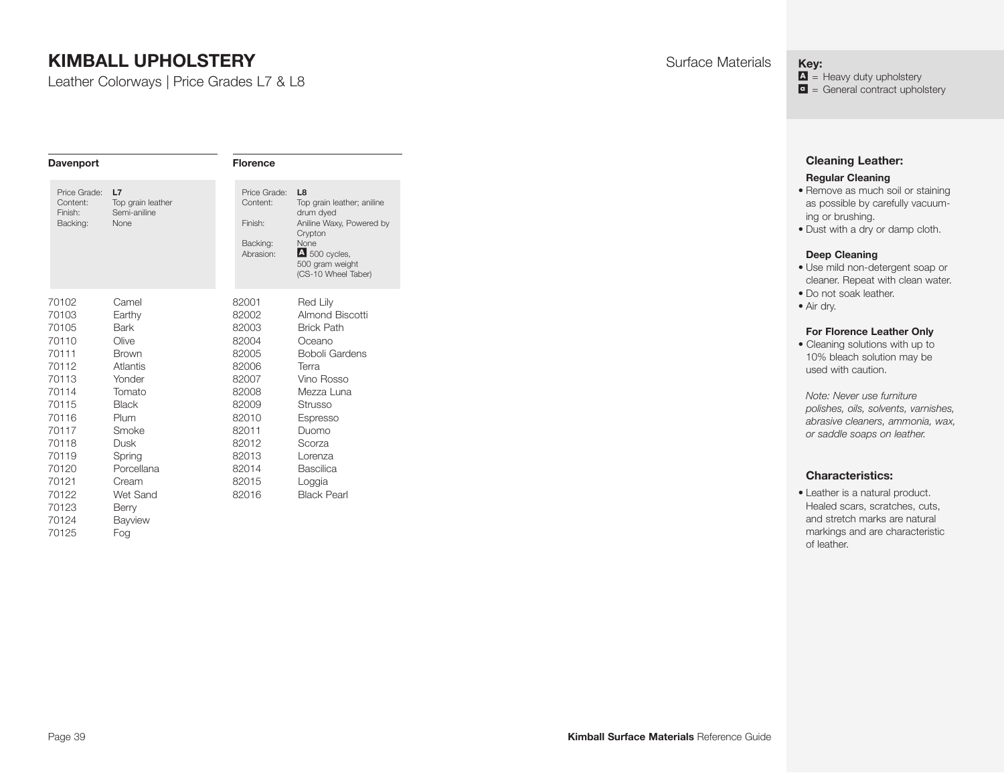Leather Colorways | Price Grades L7 & L8

| <b>Davenport</b>                                                                                |                                                                                                                   | <b>Florence</b>                                                                                 |                                                                                                                                                                     |
|-------------------------------------------------------------------------------------------------|-------------------------------------------------------------------------------------------------------------------|-------------------------------------------------------------------------------------------------|---------------------------------------------------------------------------------------------------------------------------------------------------------------------|
| Price Grade:<br>Content:<br>Finish:<br>Backing:                                                 | L7<br>Top grain leather<br>Semi-aniline<br><b>None</b>                                                            | Price Grade:<br>Content:<br>Finish:<br>Backing:<br>Abrasion:                                    | L <sub>8</sub><br>Top grain leather; aniline<br>drum dyed<br>Aniline Waxy, Powered by<br>Crypton<br>None<br>4 500 cycles,<br>500 gram weight<br>(CS-10 Wheel Taber) |
| 70102<br>70103<br>70105<br>70110<br>70111<br>70112<br>70113<br>70114<br>70115<br>70116<br>70117 | Camel<br>Earthy<br>Bark<br>Olive<br><b>Brown</b><br>Atlantis<br>Yonder<br>Tomato<br><b>Black</b><br>Plum<br>Smoke | 82001<br>82002<br>82003<br>82004<br>82005<br>82006<br>82007<br>82008<br>82009<br>82010<br>82011 | Red Lily<br>Almond Biscotti<br><b>Brick Path</b><br>Oceano<br><b>Boboli Gardens</b><br>Terra<br>Vino Rosso<br>Mezza Luna<br>Strusso<br>Espresso<br>Duomo            |
| 70118<br>70119<br>70120<br>70121<br>70122<br>70123<br>70124<br>70125                            | Dusk<br>Spring<br>Porcellana<br>Cream<br>Wet Sand<br>Berry<br>Bayview<br>Fog                                      | 82012<br>82013<br>82014<br>82015<br>82016                                                       | Scorza<br>Lorenza<br>Bascilica<br>Loggia<br><b>Black Pearl</b>                                                                                                      |

<span id="page-38-0"></span>**Key:**

 $\Delta$  = Heavy duty upholstery  $\bullet$  = General contract upholstery

# **Cleaning Leather:**

#### **Regular Cleaning**

- Remove as much soil or staining as possible by carefully vacuuming or brushing.
- Dust with a dry or damp cloth.

#### **Deep Cleaning**

- Use mild non-detergent soap or cleaner. Repeat with clean water.
- Do not soak leather.
- Air dry.

#### **For Florence Leather Only**

• Cleaning solutions with up to 10% bleach solution may be used with caution.

*Note: Never use furniture polishes, oils, solvents, varnishes, abrasive cleaners, ammonia, wax, or saddle soaps on leather.* 

#### **Characteristics:**

• Leather is a natural product. Healed scars, scratches, cuts, and stretch marks are natural markings and are characteristic of leather.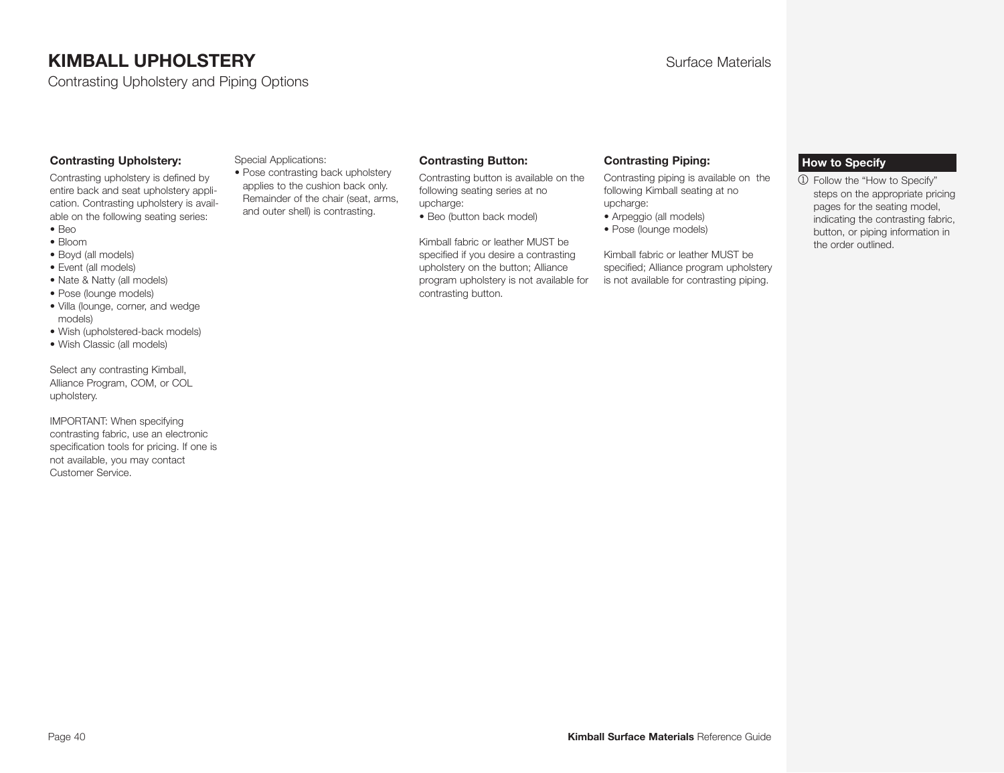Contrasting Upholstery and Piping Options

#### **Contrasting Upholstery:**

Contrasting upholstery is defined by entire back and seat upholstery application. Contrasting upholstery is available on the following seating series:

- Beo • Bloom
- Boyd (all models)
- Event (all models)
- Nate & Natty (all models)
- Pose (lounge models)
- Villa (lounge, corner, and wedge models)
- Wish (upholstered-back models)
- Wish Classic (all models)

Select any contrasting Kimball, Alliance Program, COM, or COL upholstery.

IMPORTANT: When specifying contrasting fabric, use an electronic specification tools for pricing. If one is not available, you may contact Customer Service.

#### Special Applications:

• Pose contrasting back upholstery applies to the cushion back only. Remainder of the chair (seat, arms, and outer shell) is contrasting.

#### **Contrasting Button:**

Contrasting button is available on the following seating series at no upcharge:

• Beo (button back model)

Kimball fabric or leather MUST be specified if you desire a contrasting upholstery on the button; Alliance program upholstery is not available for contrasting button.

#### **Contrasting Piping:**

Contrasting piping is available on the following Kimball seating at no upcharge:

- Arpeggio (all models)
- Pose (lounge models)

Kimball fabric or leather MUST be specified; Alliance program upholstery is not available for contrasting piping.

#### <span id="page-39-0"></span>**How to Specify**

1 Follow the "How to Specify" steps on the appropriate pricing pages for the seating model, indicating the contrasting fabric, button, or piping information in the order outlined.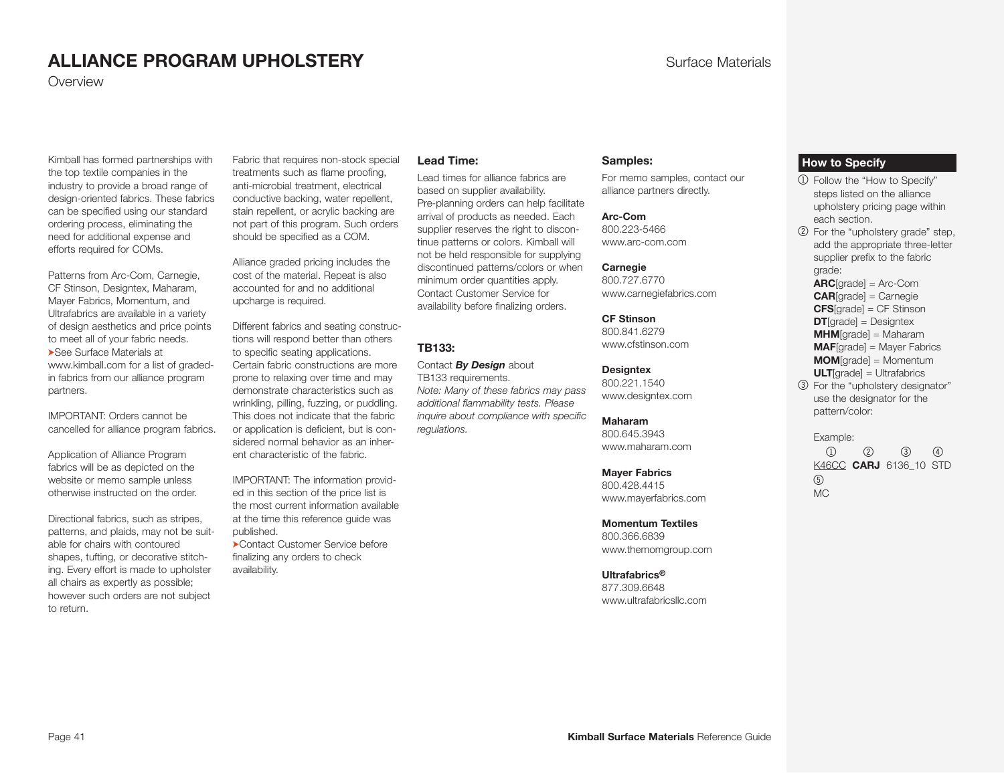# **ALLIANCE PROGRAM UPHOLSTERY Surface Materials**

**Overview** 

Kimball has formed partnerships with the top textile companies in the industry to provide a broad range of design-oriented fabrics. These fabrics can be specified using our standard ordering process, eliminating the need for additional expense and efforts required for COMs.

Patterns from Arc-Com, Carnegie, CF Stinson, Designtex, Maharam, Mayer Fabrics, Momentum, and Ultrafabrics are available in a variety of design aesthetics and price points to meet all of your fabric needs. ➤See Surface Materials at www.kimball.com for a list of gradedin fabrics from our alliance program partners.

IMPORTANT: Orders cannot be cancelled for alliance program fabrics.

Application of Alliance Program fabrics will be as depicted on the website or memo sample unless otherwise instructed on the order.

Directional fabrics, such as stripes, patterns, and plaids, may not be suitable for chairs with contoured shapes, tufting, or decorative stitching. Every effort is made to upholster all chairs as expertly as possible; however such orders are not subject to return.

Fabric that requires non-stock special treatments such as flame proofing, anti-microbial treatment, electrical conductive backing, water repellent, stain repellent, or acrylic backing are not part of this program. Such orders should be specified as a COM.

Alliance graded pricing includes the cost of the material. Repeat is also accounted for and no additional upcharge is required.

Different fabrics and seating constructions will respond better than others to specific seating applications. Certain fabric constructions are more prone to relaxing over time and may demonstrate characteristics such as wrinkling, pilling, fuzzing, or puddling. This does not indicate that the fabric or application is deficient, but is considered normal behavior as an inherent characteristic of the fabric.

IMPORTANT: The information provided in this section of the price list is the most current information available at the time this reference guide was published.

➤Contact Customer Service before finalizing any orders to check availability.

#### **Lead Time:**

Lead times for alliance fabrics are based on supplier availability. Pre-planning orders can help facilitate arrival of products as needed. Each supplier reserves the right to discontinue patterns or colors. Kimball will not be held responsible for supplying discontinued patterns/colors or when minimum order quantities apply. Contact Customer Service for availability before finalizing orders.

#### **TB133:**

Contact *By Design* about TB133 requirements. *Note: Many of these fabrics may pass additional flammability tests. Please inquire about com pliance with specific regulations.*

#### **Samples:**

For memo samples, contact our alliance partners directly.

**Arc-Com** 800.223-5466 www.arc-com.com

**Carnegie** 800.727.6770 www.carnegiefabrics.com

**CF Stinson** 800.841.6279 www.cfstinson.com

**Designtex** 800.221.1540 www.designtex.com

#### **Maharam**

800.645.3943 www.maharam.com

**Mayer Fabrics**

800.428.4415 www.mayerfabrics.com

**Momentum Textiles**

800.366.6839 www.themomgroup.com

**Ultrafabrics®**

877.309.6648 www.ultrafabricsllc.com

#### <span id="page-40-0"></span>**How to Specify**

- 1 Follow the "How to Specify" steps listed on the alliance upholstery pricing page within each section.
- 2 For the "upholstery grade" step, add the appropriate three-letter supplier prefix to the fabric grade:

**ARC**[grade] = Arc-Com **CAR**[grade] = Carnegie

**CFS**[grade] = CF Stinson

**DT**[grade] = Designtex

**MHM**[grade] = Maharam

**MAF**[grade] = Mayer Fabrics

- **MOM**[grade] = Momentum
- **ULT**[grade] = Ultrafabrics
- 3 For the "upholstery designator" use the designator for the pattern/color:

Example:

 $1 2 3 4$  K46CC **CARJ** 6136\_10 STD 5 MC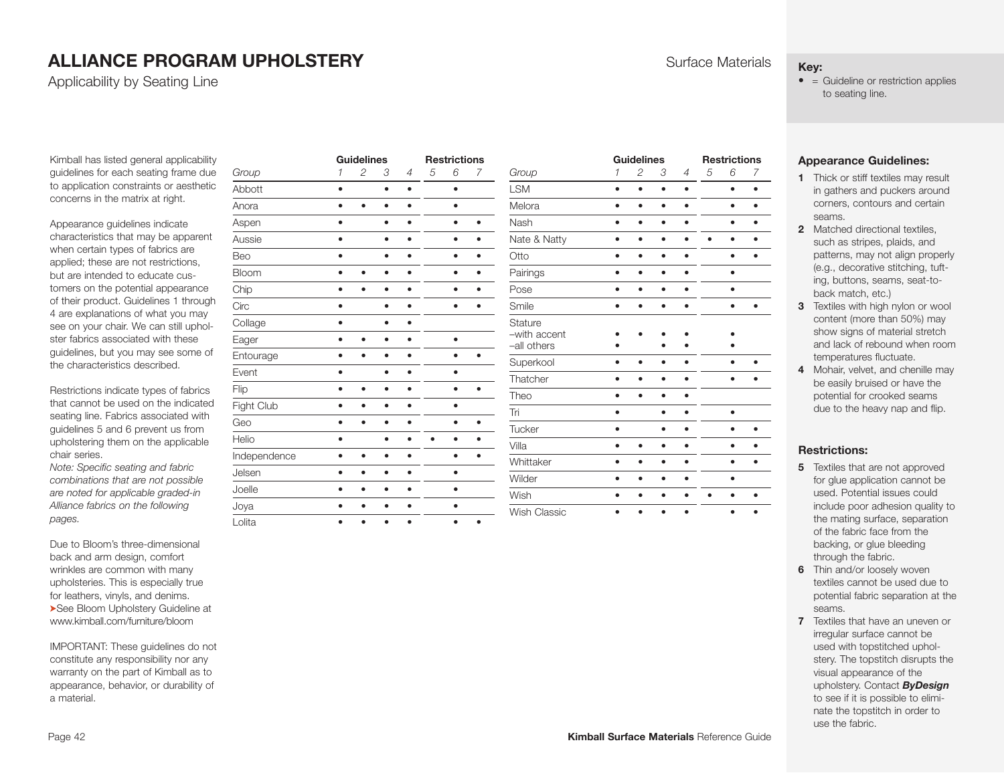# **ALLIANCE PROGRAM UPHOLSTERY Surface Materials**

Applicability by Seating Line

Kimball has listed general applicability guidelines for each seating frame due to application constraints or aesthetic concerns in the matrix at right.

Appearance quidelines indicate characteristics that may be apparent when certain types of fabrics are applied; these are not restrictions, but are intended to educate customers on the potential appearance of their product. Guidelines 1 through 4 are explanations of what you may see on your chair. We can still upholster fabrics associated with these guidelines, but you may see some of the characteristics described.

Restrictions indicate types of fabrics that cannot be used on the indicated seating line. Fabrics associated with guidelines 5 and 6 prevent us from upholstering them on the applicable chair series.

*Note: Specific seating and fabric combinations that are not possible are noted for applicable graded-in Alliance fabrics on the following pages.* 

Due to Bloom's three-dimensional back and arm design, comfort wrinkles are common with many upholsteries. This is especially true for leathers, vinyls, and denims. ➤See Bloom Upholstery Guideline at www.kimball.com/furniture/bloom

IMPORTANT: These guidelines do not constitute any responsibility nor any warranty on the part of Kimball as to appearance, behavior, or durability of a material.

|              | <b>Guidelines</b> |   |           | <b>Restrictions</b> |   |           |           |  |
|--------------|-------------------|---|-----------|---------------------|---|-----------|-----------|--|
| Group        | $\mathcal I$      | 2 | 3         | 4                   | 5 | 6         | 7         |  |
| Abbott       | ٠                 |   | $\bullet$ | $\bullet$           |   | ٠         |           |  |
| Anora        |                   |   |           |                     |   | ٠         |           |  |
| Aspen        | ٠                 |   | $\bullet$ | ٠                   |   | $\bullet$ | ٠         |  |
| Aussie       |                   |   |           |                     |   |           |           |  |
| Beo          |                   |   |           |                     |   | ٠         |           |  |
| Bloom        |                   |   | ٠         |                     |   | $\bullet$ | ٠         |  |
| Chip         |                   |   |           |                     |   |           |           |  |
| Circ         |                   |   |           |                     |   | ٠         |           |  |
| Collage      | ٠                 |   |           |                     |   |           |           |  |
| Eager        |                   |   |           |                     |   | $\bullet$ |           |  |
| Entourage    |                   |   |           |                     |   |           |           |  |
| Event        |                   |   |           |                     |   | ٠         |           |  |
| Flip         |                   |   |           |                     |   | ٠         | ٠         |  |
| Fight Club   |                   |   |           |                     |   | ٠         |           |  |
| Geo          |                   |   | $\bullet$ |                     |   | $\bullet$ | $\bullet$ |  |
| Helio        |                   |   |           |                     |   |           |           |  |
| Independence |                   | ٠ | ٠         |                     |   | ٠         |           |  |
| Jelsen       |                   |   | ٠         | ٠                   |   | ٠         |           |  |
| Joelle       |                   |   |           |                     |   |           |           |  |
| Joya         |                   | ٠ | ٠         |                     |   | ٠         |           |  |
| Lolita       | ٠                 |   |           | ٠                   |   | $\bullet$ | $\bullet$ |  |

|                                        |              | <b>Guidelines</b> |   |                |   | <b>Restrictions</b> |   |
|----------------------------------------|--------------|-------------------|---|----------------|---|---------------------|---|
| Group                                  | $\mathcal I$ | 2                 | 3 | $\overline{4}$ | 5 | 6                   | 7 |
| <b>LSM</b>                             |              | ٠                 |   |                |   | ٠                   |   |
| Melora                                 |              |                   | ٠ |                |   | ٠                   |   |
| Nash                                   |              | ٠                 | ٠ |                |   | ٠                   |   |
| Nate & Natty                           | ٠            | ٠                 | ٠ |                |   | ٠                   |   |
| Otto                                   |              |                   |   |                |   |                     |   |
| Pairings                               |              |                   |   |                |   |                     |   |
| Pose                                   |              | ٠                 | ٠ | ٠              |   | ٠                   |   |
| Smile                                  |              |                   | ٠ | ٠              |   | $\bullet$           |   |
| Stature<br>-with accent<br>-all others |              |                   |   |                |   |                     |   |
| Superkool                              |              |                   |   |                |   |                     |   |
| Thatcher                               |              |                   | ٠ |                |   | ٠                   |   |
| Theo                                   |              |                   |   |                |   |                     |   |
| Tri                                    | ٠            |                   | ٠ |                |   | ٠                   |   |
| Tucker                                 |              |                   |   |                |   | ٠                   |   |
| Villa                                  |              | ٠                 |   |                |   | ٠                   |   |
| Whittaker                              |              |                   |   |                |   |                     |   |
| Wilder                                 |              |                   |   |                |   |                     |   |
| Wish                                   |              |                   |   |                |   |                     |   |
| <b>Wish Classic</b>                    | a            |                   |   | ٠              |   | ٠                   |   |

#### **Key:**

 $\bullet$  = Guideline or restriction applies to seating line.

#### **Appearance Guidelines:**

- **1** Thick or stiff textiles may result in gathers and puckers around corners, contours and certain seams.
- **2** Matched directional textiles such as stripes, plaids, and patterns, may not align properly (e.g., decorative stitching, tufting, buttons, seams, seat-toback match, etc.)
- **3** Textiles with high nylon or wool content (more than 50%) may show signs of material stretch and lack of rebound when room temperatures fluctuate.
- **4** Mohair, velvet, and chenille may be easily bruised or have the potential for crooked seams due to the heavy nap and flip.

#### **Restrictions:**

- **5** Textiles that are not approved for glue application cannot be used. Potential issues could include poor adhesion quality to the mating surface, separation of the fabric face from the backing, or glue bleeding through the fabric.
- **6** Thin and/or loosely woven textiles cannot be used due to potential fabric separation at the seams.
- **7** Textiles that have an uneven or irregular surface cannot be used with topstitched upholstery. The topstitch disrupts the visual appearance of the upholstery. Contact *ByDesign* to see if it is possible to eliminate the topstitch in order to use the fabric.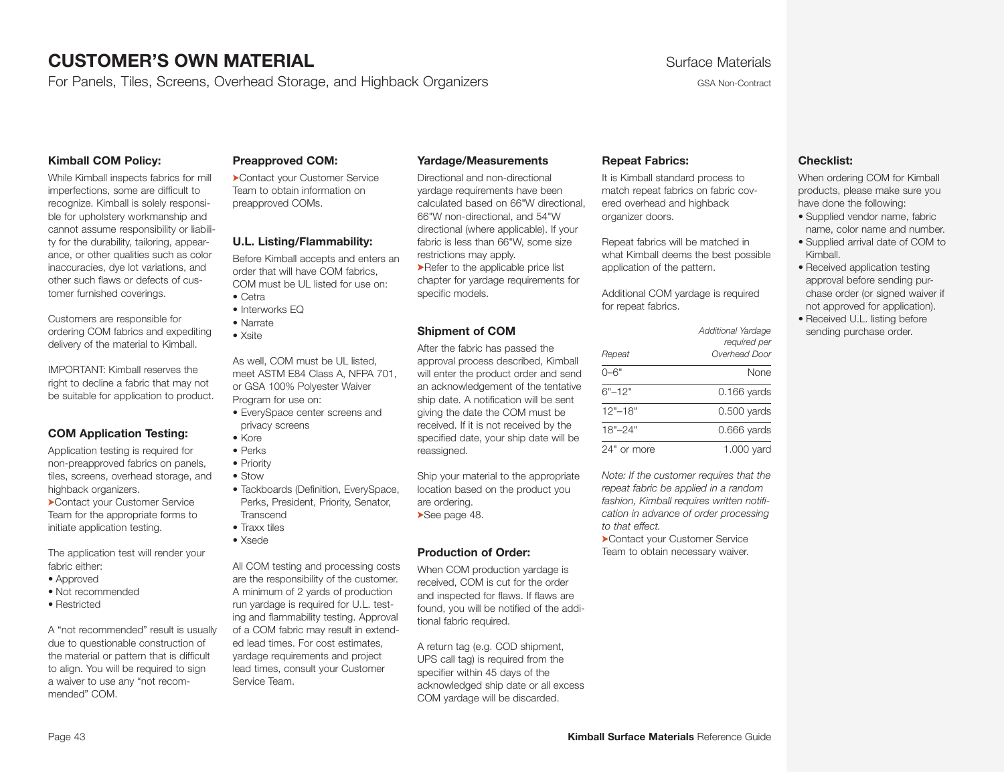# **CUSTOMER'S OWN MATERIAL CUSTOMER'S OWN MATERIAL Surface Materials**

For Panels, Tiles, Screens, Overhead Storage, and Highback Organizers Geanness CSA Non-Contract

#### **Kimball COM Policy:**

While Kimball inspects fabrics for mill imperfections, some are difficult to recognize. Kimball is solely responsible for upholstery workmanship and cannot assume responsibility or liability for the durability, tailoring, appearance, or other qualities such as color inaccuracies, dye lot variations, and other such flaws or defects of customer furnished coverings.

Customers are responsible for ordering COM fabrics and expediting delivery of the material to Kimball.

IMPORTANT: Kimball reserves the right to decline a fabric that may not be suitable for application to product.

#### **COM Application Testing:**

Application testing is required for non-preapproved fabrics on panels, tiles, screens, overhead storage, and highback organizers.

➤Contact your Customer Service Team for the appropriate forms to initiate application testing.

The application test will render your fabric either:

- Approved
- Not recommended
- Restricted

A "not recommended" result is usually due to questionable construction of the material or pattern that is difficult to align. You will be required to sign a waiver to use any "not recommended" COM.

#### **Preapproved COM:**

➤Contact your Customer Service Team to obtain information on preapproved COMs.

#### **U.L. Listing/Flammability:**

Before Kimball accepts and enters an order that will have COM fabrics, COM must be UL listed for use on: • Cetra

- Interworks EQ
- Narrate
- Xsite

As well, COM must be UL listed, meet ASTM E84 Class A, NFPA 701, or GSA 100% Polyester Waiver Program for use on:

- EverySpace center screens and privacy screens
- Kore
- Perks
- Priority
- Stow
- Tackboards (Definition, EverySpace, Perks, President, Priority, Senator, **Transcend**
- Traxx tiles
- Xsede

All COM testing and processing costs are the responsibility of the customer. A minimum of 2 yards of production run yardage is required for U.L. testing and flammability testing. Approval of a COM fabric may result in extended lead times. For cost estimates, yardage requirements and project lead times, consult your Customer Service Team.

#### **Yardage/Measurements**

Directional and non-directional yardage requirements have been calculated based on 66"W directional, 66"W non-directional, and 54"W directional (where applicable). If your fabric is less than 66"W, some size restrictions may apply.

➤Refer to t[he a](#page-47-0)pplicable price list chapter for yardage requirements for specific models.

#### **Shipment of COM**

After the fabric has passed the approval process described, Kimball will enter the product order and send an acknowledgement of the tentative ship date. A notification will be sent giving the date the COM must be received. If it is not received by the specified date, your ship date will be reassigned.

Ship your material to the appropriate location based on the product you are ordering. ➤See page 48.

#### **Production of Order:**

When COM production yardage is received, COM is cut for the order and inspected for flaws. If flaws are found, you will be notified of the additional fabric required.

A return tag (e.g. COD shipment, UPS call tag) is required from the specifier within 45 days of the acknowledged ship date or all excess COM yardage will be discarded.

#### <span id="page-42-0"></span>**Repeat Fabrics:**

It is Kimball standard process to match repeat fabrics on fabric covered overhead and highback organizer doors.

Repeat fabrics will be matched in what Kimball deems the best possible application of the pattern.

Additional COM yardage is required for repeat fabrics.

|             | Additional Yardage<br>required per |
|-------------|------------------------------------|
| Repeat      | Overhead Door                      |
| 0–6"        | None                               |
| $6"$ –12"   | $0.166$ yards                      |
| $12" - 18"$ | $0.500$ vards                      |
| $18" - 24"$ | $0.666$ yards                      |
| 24" or more | 1.000 yard                         |

*Note: If the customer requires that the repeat fabric be applied in a random fashion, Kimball requires written notification in advance of order processing to that effect.* 

➤Contact your Customer Service Team to obtain necessary waiver.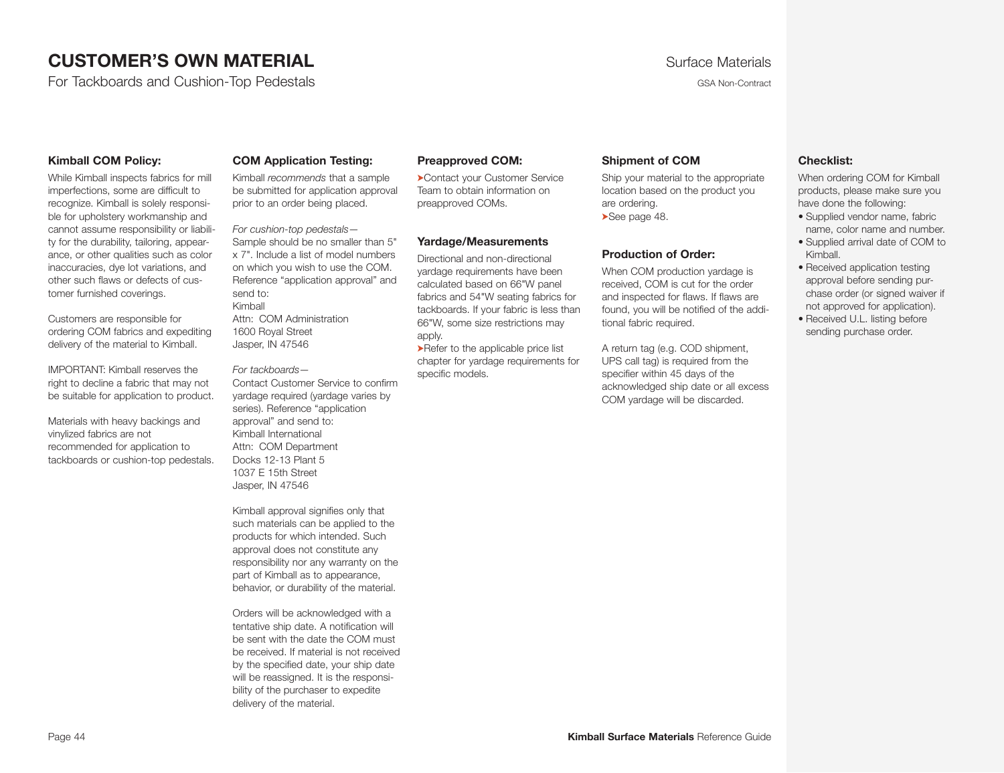# **CUSTOMER'S OWN MATERIAL CUSTOMER'S OWN MATERIAL Surface Materials**

For Tackboards and Cushion-Top Pedestals GSA Non-Contract GSA Non-Contract GSA Non-Contract

<span id="page-43-0"></span>

#### **Kimball COM Policy:**

While Kimball inspects fabrics for mill imperfections, some are difficult to recognize. Kimball is solely responsible for upholstery workmanship and cannot assume responsibility or liability for the durability, tailoring, appearance, or other qualities such as color inaccuracies, dye lot variations, and other such flaws or defects of customer furnished coverings.

Customers are responsible for ordering COM fabrics and expediting delivery of the material to Kimball.

IMPORTANT: Kimball reserves the right to decline a fabric that may not be suitable for application to product.

Materials with heavy backings and vinylized fabrics are not recommended for application to tackboards or cushion-top pedestals.

#### **COM Application Testing:**

Kimball *recommends* that a sample be submitted for application approval prior to an order being placed.

*For cushion-top pedestals—* Sample should be no smaller than 5" x 7". Include a list of model numbers on which you wish to use the COM. Reference "application approval" and send to: Kimball Attn: COM Administration 1600 Royal Street Jasper, IN 47546

*For tackboards—* Contact Customer Service to confirm yardage required (yardage varies by series). Reference "application approval" and send to: Kimball International Attn: COM Department Docks 12-13 Plant 5 1037 E 15th Street

Jasper, IN 47546

Kimball approval signifies only that such materials can be applied to the products for which intended. Such approval does not constitute any responsibility nor any warranty on the part of Kimball as to appearance, behavior, or durability of the material.

Orders will be acknowledged with a tentative ship date. A notification will be sent with the date the COM must be received. If material is not received by the specified date, your ship date will be reassigned. It is the responsibility of the purchaser to expedite delivery of the material.

#### **Preapproved COM:**

➤Contact your Customer Service Team to obtain information on preapproved COMs.

#### **Yardage/Measurements**

Directional and non-directional yardage requirements have been calculated based on 66"W panel fabrics and 54"W seating fabrics for tackboards. If your fabric is less than 66"W, some size restrictions may apply.

➤Refer to the applicable price list chapter for yardage requirements for specific models.

#### **Shipment of COM**

Ship your material to the appropriate location based on the product you are ordering. ➤See page 48.

#### **Production of Order:**

When COM production yardage is received, COM is cut for the order and inspected for flaws. If flaws are found, you will be notified of the additional fabric required.

A return tag (e.g. COD shipment, UPS call tag) is required from the specifier within 45 days of the acknowledged ship date or all excess COM yardage will be discarded.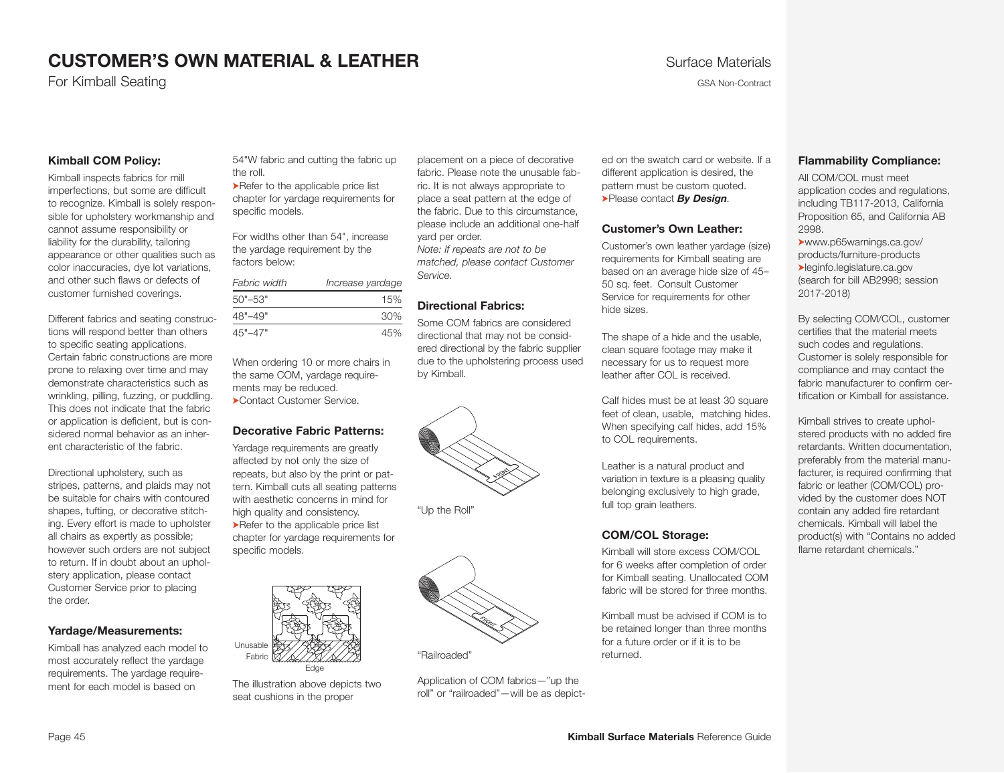For Kimball Seating Gallerian Contract Contract Contract Contract Contract Contract Contract Contract Contract Contract Contract Contract Contract Contract Contract Contract Contract Contract Contract Contract Contract Con

#### **Kimball COM Policy:**

Kimball inspects fabrics for mill imperfections, but some are difficult to recognize. Kimball is solely responsible for upholstery workmanship and cannot assume responsibility or liability for the durability, tailoring appearance or other qualities such as color inaccuracies, dye lot variations, and other such flaws or defects of customer furnished coverings.

Different fabrics and seating constructions will respond better than others to specific seating applications. Certain fabric constructions are more prone to relaxing over time and may demonstrate characteristics such as wrinkling, pilling, fuzzing, or puddling. This does not indicate that the fabric or application is deficient, but is considered normal behavior as an inherent characteristic of the fabric.

Directional upholstery, such as stripes, patterns, and plaids may not be suitable for chairs with contoured shapes, tufting, or decorative stitching. Every effort is made to upholster all chairs as expertly as possible; however such orders are not subject to return. If in doubt about an upholstery application, please contact Customer Service prior to placing the order.

#### **Yardage/Measurements:**

Kimball has analyzed each model to most accurately reflect the yardage requirements. The yardage requirement for each model is based on

54"W fabric and cutting the fabric up the roll.

➤Refer to the applicable price list chapter for yardage requirements for specific models.

For widths other than 54", increase the yardage requirement by the factors below:

| Fabric width | Increase yardage |
|--------------|------------------|
| $50" - 53"$  | 15%              |
| $48" - 49"$  | 30%              |
| $45" - 47"$  | 45%              |

When ordering 10 or more chairs in the same COM, yardage requirements may be reduced. ➤Contact Customer Service.

#### **Decorative Fabric Patterns:**

Yardage requirements are greatly affected by not only the size of repeats, but also by the print or pattern. Kimball cuts all seating patterns with aesthetic concerns in mind for high quality and consistency. ➤Refer to the applicable price list chapter for yardage requirements for specific models.



The illustration above depicts two seat cushions in the proper

place ment on a piece of decorative fabric. Please note the unusable fabric. It is not always appropriate to place a seat pattern at the edge of the fabric. Due to this circumstance, please include an additional one-half yard per order. *Note: If repeats are not to be matched, please contact Customer Service.* 

#### **Directional Fabrics:**

Some COM fabrics are considered directional that may not be considered directional by the fabric supplier due to the upholstering process used by Kimball.



"Up the Roll"



"Railroaded"

Application of COM fabrics—"up the roll" or "railroaded"—will be as depict-

ed on the swatch card or website. If a different application is desired, the pattern must be custom quoted. ➤Please contact *By Design.* 

#### **Customer's Own Leather:**

Customer's own leather yardage (size) requirements for Kimball seating are based on an average hide size of 45– 50 sq. feet. Consult Customer Service for requirements for other hide sizes.

The shape of a hide and the usable, clean square footage may make it necessary for us to request more leather after COL is received.

Calf hides must be at least 30 square feet of clean, usable, matching hides. When specifying calf hides, add 15% to COL requirements.

Leather is a natural product and variation in texture is a pleasing quality belonging exclusively to high grade, full top grain leathers.

#### **COM/COL Storage:**

Kimball will store excess COM/COL for 6 weeks after completion of order for Kimball seating. Unallocated COM fabric will be stored for three months.

Kimball must be advised if COM is to be retained longer than three months for a future order or if it is to be returned.

#### <span id="page-44-0"></span>**Flammability Compliance:**

All COM/COL must meet application codes and regulations, including TB117-2013, California Proposition 65, and California AB 2998.

➤www.p65warnings.ca.gov/ products/furniture-products ➤leginfo.legislature.ca.gov (search for bill AB2998; session 2017-2018)

By selecting COM/COL, customer certifies that the material meets such codes and regulations. Customer is solely responsible for compliance and may contact the fabric manufacturer to confirm certification or Kimball for assistance.

Kimball strives to create upholstered products with no added fire retardants. Written documentation, preferably from the material manufacturer, is required confirming that fabric or leather (COM/COL) provided by the customer does NOT contain any added fire retardant chemicals. Kimball will label the product(s) with "Contains no added flame retardant chemicals."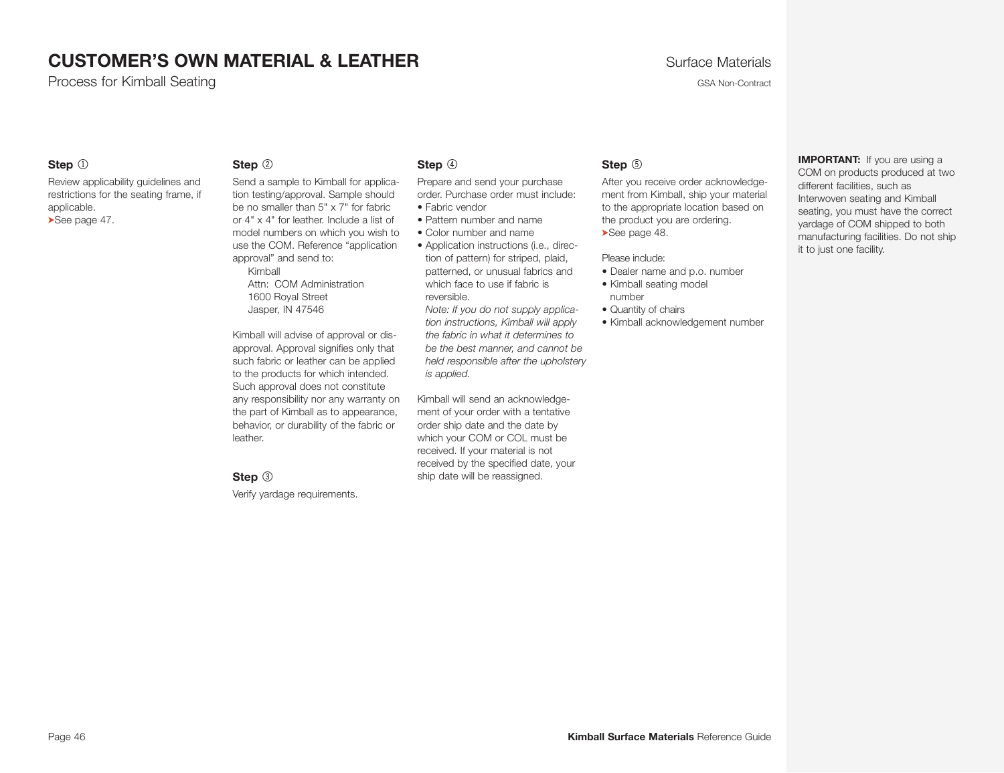Process for Kimball Seating GSA Non-Contract Contract Contract Contract Contract Contract Contract Contract Contract Contract Contract Contract Contract Contract Contract Contract Contract Contract Contract Contract Contra

#### **Step**  $\circled{1}$

Review applicability guidelines and restrictions for the seating frame, if applicable. ➤See page 47.

#### **Step** 2

Send a sample to Kimball for application testing/approval. Sample should be no smaller than 5" x 7" for fabric or 4" x 4" for leather. Include a list of model numbers on which you wish to use the COM. Reference "application approval" and send to:

Kimball Attn: COM Administration 1600 Royal Street Jasper, IN 47546

Kimball will advise of approval or disapproval. Approval signifies only that such fabric or leather can be applied to the products for which intended. Such approval does not constitute any responsibility nor any warranty on the part of Kimball as to appearance, behavior, or durability of the fabric or leather.

#### **Step**  $\circled{3}$

Verify yardage requirements.

#### **Step**  $\circled{4}$

Prepare and send your purchase order. Purchase order must include: • Fabric vendor

- 
- Pattern number and name
- Color number and name
- Application instructions (i.e., direction of pattern) for striped, plaid, patterned, or unusual fabrics and which face to use if fabric is reversible.

*Note: If you do not supply application instructions, Kimball will apply the fabric in what it determines to be the best manner, and cannot be held responsible after the upholstery is applied.*

Kimball will send an acknowledgement of your order with a tentative order ship date and the date by which your COM or COL must be received. If your material is not received by the specified date, your ship date will be reassigned.

#### **Step**  $\circledcirc$

After you receive order acknowledgement from Kimball, ship your material to the appropriate location based on the product you are ordering. ➤See page 48.

Please include:

- Dealer name and p.o. number
- Kimball seating model number
- Quantity of chairs
- Kimball acknowledgement number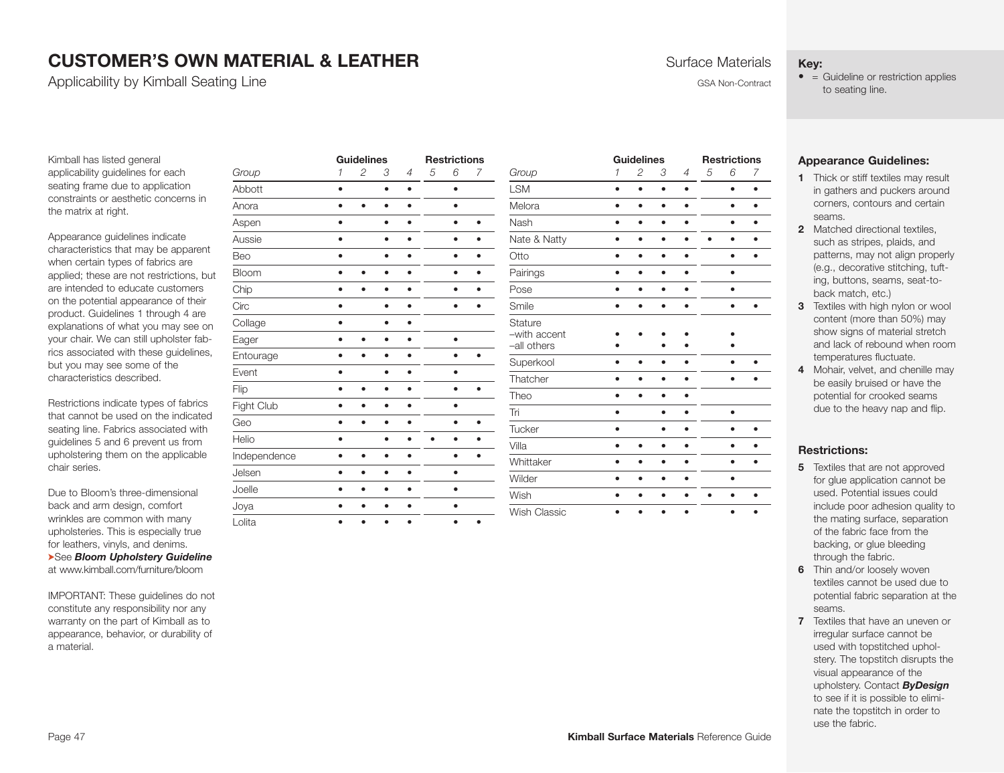Applicability by Kimball Seating Line GSA Non-Contract Contract Contract Contract Contract Contract Contract Contract Contract Contract Contract Contract Contract Contract Contract Contract Contract Contract Contract Contr

#### **Key:**

 $\bullet$  = Guideline or restriction applies to seating line.

Kimball has listed general applicability guidelines for each seating frame due to application constraints or aesthetic concerns in the matrix at right.

Appearance guidelines indicate characteristics that may be apparent when certain types of fabrics are applied; these are not restrictions, but are intended to educate customers on the potential appearance of their product. Guidelines 1 through 4 are explanations of what you may see on your chair. We can still upholster fabrics associated with these guidelines, but you may see some of the characteristics described.

Restrictions indicate types of fabrics that cannot be used on the indicated seating line. Fabrics associated with guidelines 5 and 6 prevent us from upholstering them on the applicable chair series.

Due to Bloom's three-dimensional back and arm design, comfort wrinkles are common with many upholsteries. This is especially true for leathers, vinyls, and denims. ➤See *Bloom Upholstery Guideline* at www.kimball.com/furniture/bloom

IMPORTANT: These guidelines do not constitute any responsibility nor any warranty on the part of Kimball as to appearance, behavior, or durability of a material.

|              |           | <b>Guidelines</b> |           |                |   | <b>Restrictions</b> |           |
|--------------|-----------|-------------------|-----------|----------------|---|---------------------|-----------|
| Group        | 1         | 2                 | 3         | $\overline{4}$ | 5 | 6                   | 7         |
| Abbott       | ٠         |                   | $\bullet$ | ٠              |   | $\bullet$           |           |
| Anora        | ∙         |                   | ٠         |                |   | ٠                   |           |
| Aspen        | $\bullet$ |                   | ٠         |                |   |                     |           |
| Aussie       |           |                   | ٠         |                |   | ٠                   |           |
| Beo          | $\bullet$ |                   | ٠         |                |   | ٠                   |           |
| Bloom        |           |                   |           |                |   |                     |           |
| Chip         |           |                   | ٠         |                |   |                     |           |
| Circ         | ٠         |                   | ٠         |                |   | ٠                   |           |
| Collage      | $\bullet$ |                   | ٠         |                |   |                     |           |
| Eager        |           |                   | ٠         |                |   | ō                   |           |
| Entourage    | ٠         |                   | ٠         |                |   | ٠                   |           |
| Event        | ٠         |                   | $\bullet$ |                |   | ٠                   |           |
| Flip         | ٠         |                   | ٠         |                |   | ٠                   |           |
| Fight Club   | ٠         | ٠                 | ٠         |                |   | ٠                   |           |
| Geo          | $\bullet$ |                   | $\bullet$ |                |   | ٠                   | ٠         |
| Helio        | ٠         |                   |           |                |   | ۰                   |           |
| Independence | $\bullet$ | ٠                 | ٠         |                |   | ٠                   |           |
| Jelsen       | $\bullet$ |                   | $\bullet$ | ٠              |   | $\bullet$           |           |
| Joelle       |           |                   |           |                |   | $\bullet$           |           |
| Joya         | ٠         |                   | ٠         |                |   | ٠                   |           |
| Lolita       | $\bullet$ | ٠                 | $\bullet$ | $\bullet$      |   | $\bullet$           | $\bullet$ |

|                                               |              | <b>Guidelines</b> |           |   |   | <b>Restrictions</b> |   |
|-----------------------------------------------|--------------|-------------------|-----------|---|---|---------------------|---|
| Group                                         | $\mathcal I$ | 2                 | 3         | 4 | 5 | 6                   | 7 |
| <b>LSM</b>                                    |              | $\bullet$         | $\bullet$ |   |   | $\bullet$           |   |
| Melora                                        |              | ٠                 | ٠         |   |   | $\bullet$           | ٠ |
| Nash                                          |              | ٠                 | ٠         |   |   | $\bullet$           |   |
| Nate & Natty                                  |              | ٠                 |           |   |   | $\bullet$           |   |
| Otto                                          |              |                   |           |   |   | $\bullet$           |   |
| Pairings                                      |              | ٠                 | ٠         |   |   | ٠                   |   |
| Pose                                          |              | ٠                 | ٠         |   |   | ٠                   |   |
| Smile                                         |              |                   |           |   |   |                     |   |
| <b>Stature</b><br>-with accent<br>-all others |              |                   |           |   |   |                     |   |
| Superkool                                     |              |                   |           |   |   |                     |   |
| Thatcher                                      |              |                   |           |   |   |                     |   |
| Theo                                          |              | ∙                 | ٠         | ∙ |   |                     |   |
| Tri                                           |              |                   |           |   |   |                     |   |
| Tucker                                        |              |                   | ٠         |   |   | ٠                   |   |
| Villa                                         |              |                   |           |   |   | ٠                   |   |
| Whittaker                                     | ٠            | ٠                 | ٠         | ٠ |   | $\bullet$           | ٠ |
| Wilder                                        |              | ٠                 | ٠         |   |   | ٠                   |   |
| Wish                                          |              | ٠                 | ٠         |   |   | ٠                   |   |
| <b>Wish Classic</b>                           |              |                   |           | ٠ |   |                     |   |

#### **Appearance Guidelines:**

- **1** Thick or stiff textiles may result in gathers and puckers around corners, contours and certain seams.
- **2** Matched directional textiles such as stripes, plaids, and patterns, may not align properly (e.g., decorative stitching, tufting, buttons, seams, seat-toback match, etc.)
- **3** Textiles with high nylon or wool content (more than 50%) may show signs of material stretch and lack of rebound when room temperatures fluctuate.
- **4** Mohair, velvet, and chenille may be easily bruised or have the potential for crooked seams due to the heavy nap and flip.

#### **Restrictions:**

- **5** Textiles that are not approved for glue application cannot be used. Potential issues could include poor adhesion quality to the mating surface, separation of the fabric face from the backing, or glue bleeding through the fabric.
- **6** Thin and/or loosely woven textiles cannot be used due to potential fabric separation at the seams.
- **7** Textiles that have an uneven or irregular surface cannot be used with topstitched upholstery. The topstitch disrupts the visual appearance of the upholstery. Contact *ByDesign* to see if it is possible to eliminate the topstitch in order to use the fabric.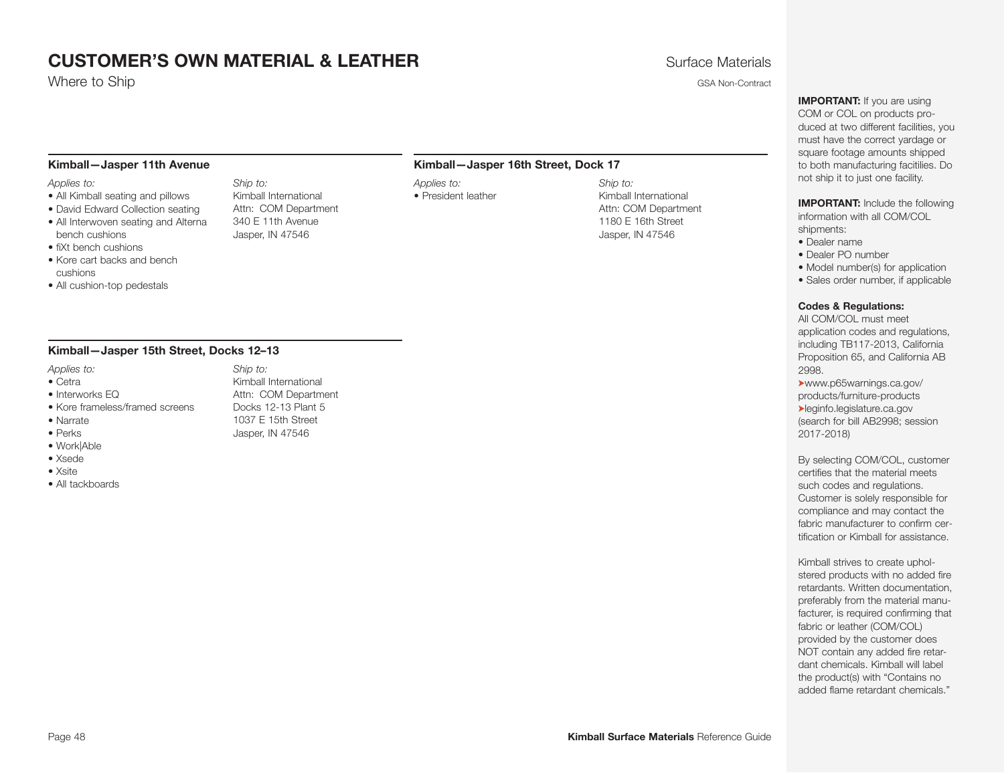where to Ship GSA Non-Contract the Ship GSA Non-Contract the Ship GSA Non-Contract the Ship GSA Non-Contract the Ship GSA Non-Contract the Ship GSA Non-Contract the Ship GSA Non-Contract the Ship GSA Non-Contract the Ship

#### **Kimball—Jasper 11th Avenue**

#### *Applies to:*

- All Kimball seating and pillows
- David Edward Collection seating
- All Interwoven seating and Alterna bench cushions
- fiXt bench cushions
- Kore cart backs and bench cushions
- All cushion-top pedestals

#### **Kimball—Jasper 15th Street, Docks 12–13**

- *Applies to:*
- Cetra
- Interworks EQ
- Kore frameless/framed screens
- Narrate
- Perks
- Work|Able
- Xsede
- Xsite
- All tackboards

#### **Kimball—Jasper 16th Street, Dock 17**

*Applies to:* • President leather

*Ship to:*  Kimball International Attn: COM Department 1180 E 16th Street Jasper, IN 47546

<span id="page-47-0"></span>**IMPORTANT:** If you are using COM or COL on products produced at two different facilities, you must have the correct yardage or square footage amounts shipped to both manufacturing facitilies. Do not ship it to just one facility.

**IMPORTANT:** Include the following information with all COM/COL shipments:

- Dealer name
- Dealer PO number
- Model number(s) for application
- Sales order number, if applicable

#### **Codes & Regulations:**

All COM/COL must meet application codes and regulations, including TB117-2013, California Proposition 65, and California AB 2998.

➤www.p65warnings.ca.gov/ products/furniture-products ➤leginfo.legislature.ca.gov (search for bill AB2998; session 2017-2018)

By selecting COM/COL, customer certifies that the material meets such codes and regulations. Customer is solely responsible for compliance and may contact the fabric manufacturer to confirm certification or Kimball for assistance.

Kimball strives to create upholstered products with no added fire retardants. Written documentation, preferably from the material manufacturer, is required confirming that fabric or leather (COM/COL) provided by the customer does NOT contain any added fire retardant chemicals. Kimball will label the product(s) with "Contains no added flame retardant chemicals."

#### *Ship to:*  Kimball International Attn: COM Department 340 E 11th Avenue

Jasper, IN 47546

*Ship to:* 

Kimball International Attn: COM Department Docks 12-13 Plant 5 1037 E 15th Street Jasper, IN 47546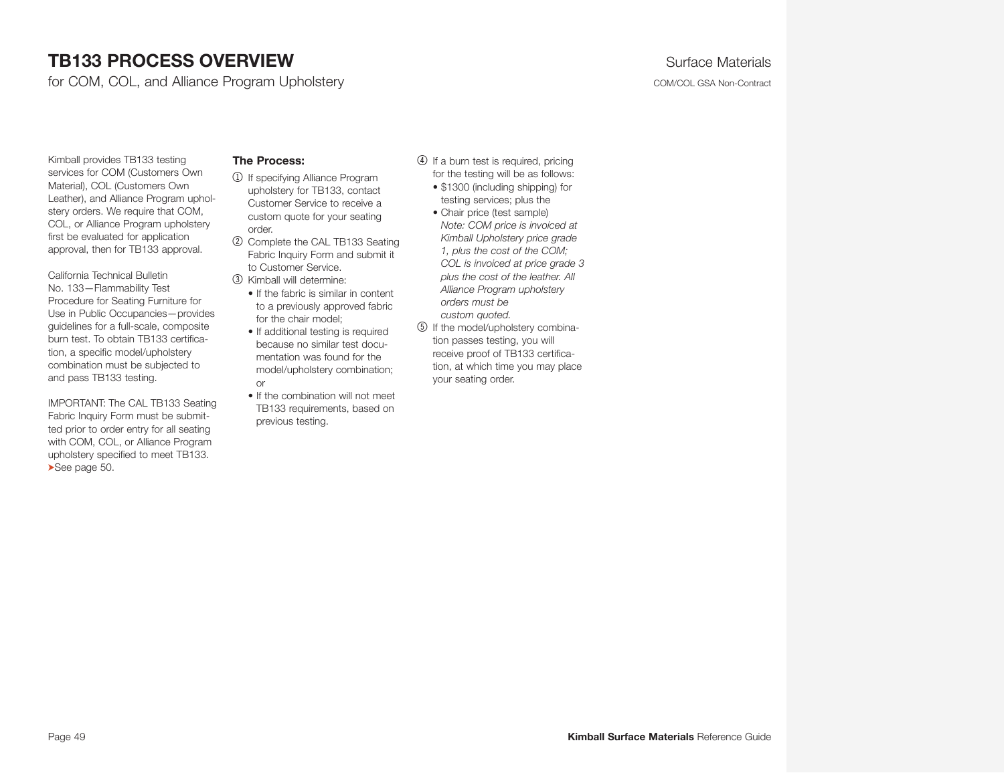# **TB133 PROCESS OVERVIEW TB133 PROCESS OVERVIEW Surface Materials**

for COM, COL, and Alliance Program Upholstery COM/COL GSA Non-Contract

<span id="page-48-0"></span>

Kimball provides TB133 testing services for COM (Customers Own Material), COL (Customers Own Leather), and Alliance Program upholstery orders. We require that COM, COL, or Alli[anc](#page-49-0)e Program upholstery first be evaluated for application approval, then for TB133 approval.

California Technical Bulletin No. 133—Flammability Test Procedure for Seating Furniture for Use in Public Occupancies—provides guidelines for a full-scale, composite burn test. To obtain TB133 certification, a specific model/upholstery combination must be subjected to and pass TB133 testing.

IMPORTANT: The CAL TB133 Seating Fabric Inquiry Form must be submitted prior to order entry for all seating with COM, COL, or Alliance Program upholstery specified to meet TB133. ➤See page 50.

#### **The Process:**

- 1 If specifying Alliance Program upholstery for TB133, contact Customer Service to receive a custom quote for your seating order.
- 2 Complete the CAL TB133 Seating Fabric Inquiry Form and submit it to Customer Service.
- 3 Kimball will determine:
	- If the fabric is similar in content to a previously approved fabric for the chair model;
	- If additional testing is required because no similar test documentation was found for the model/upholstery combination; or
	- If the combination will not meet TB133 requirements, based on previous testing.
- 4 If a burn test is required, pricing for the testing will be as follows:
	- \$1300 (including shipping) for testing services; plus the
	- Chair price (test sample) *Note: COM price is invoiced at Kimball Upholstery price grade 1, plus the cost of the COM; COL is invoiced at price grade 3 plus the cost of the leather. All Alliance Program upholstery orders must be custom quoted.*
- 5 If the model/upholstery combination passes testing, you will receive proof of TB133 certification, at which time you may place your seating order.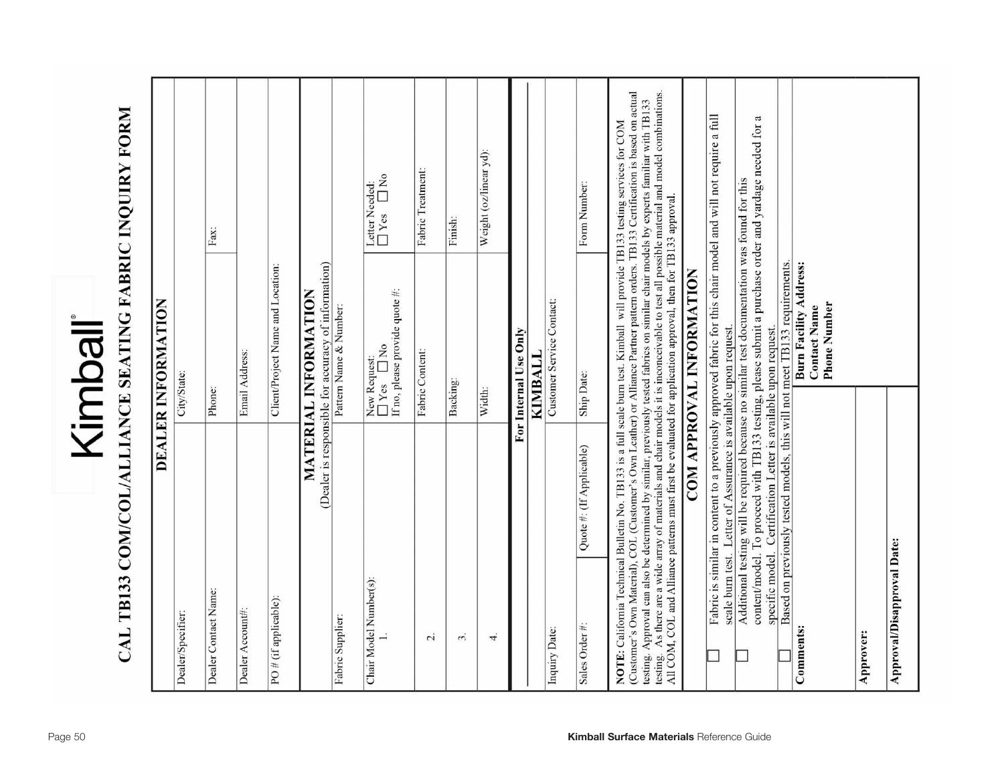<span id="page-49-0"></span>

# CAL TB133 COM/COL/ALLIANCE SEATING FABRIC INQUIRY FORM

| (Customer's Own Material), COL (Customer's Own Leather) or Alliance Partner pattern orders. TB133 Certification is based on actual<br>testing. As there are a wide array of materials and chair models it is inconceivable to test all possible material and model combinations.<br>testing. Approval can also be determined by similar, previously tested fabrics on similar chair models by experts familiar with TB133<br>Fabric is similar in content to a previously approved fabric for this chair model and will not require a full<br>content/model. To proceed with TB133 testing, please submit a purchase order and yardage needed for a<br>NOTE: California Technical Bulletin No. TB133 is a full scale burn test. Kimball will provide TB133 testing services for COM<br>Weight (oz/linear yd):<br>Fabric Treatment:<br>°⊾<br>□<br>Additional testing will be required because no similar test documentation was found for this<br>Letter Needed:<br>Form Number:<br>All COM, COL and Alliance patterns must first be evaluated for application approval, then for TB133 approval.<br>$\Box$ Yes<br>Finish:<br>Fax:<br><b>Burn Facility Address:</b><br>(Dealer is responsible for accuracy of information)<br>Based on previously tested models, this will not meet TB133 requirements<br>Client/Project Name and Location:<br>COM APPROVAL INFORMATION<br>If no, please provide quote #:<br>MATERIAL INFORMATION<br>Customer Service Contact:<br><b>Phone Number</b><br>Pattern Name & Number:<br><b>Contact Name</b><br>specific model. Certification Letter is available upon request.<br>scale burn test. Letter of Assurance is available upon request<br>For Internal Use Only<br>$\sum_{i=1}^{n}$<br>Fabric Content:<br>Email Address:<br><b>KIMBALL</b><br>New Request:<br>□ Yes<br>□ N<br>City/State:<br>Ship Date:<br>Backing:<br>Phone:<br>Width:<br>Quote #: (If Applicable)<br>Approval/Disapproval Date:<br>Chair Model Number(s):<br>Dealer Contact Name:<br>PO# (if applicable):<br>Dealer Account#:<br>Dealer/Specifier:<br>Fabric Supplier:<br>Sales Order #:<br>Comments:<br>Inquiry Date:<br><b>Approver:</b><br>4.<br>$\dot{\mathcal{E}}$<br>$\sim$ |  | DEALER INFORMATION |  |
|-----------------------------------------------------------------------------------------------------------------------------------------------------------------------------------------------------------------------------------------------------------------------------------------------------------------------------------------------------------------------------------------------------------------------------------------------------------------------------------------------------------------------------------------------------------------------------------------------------------------------------------------------------------------------------------------------------------------------------------------------------------------------------------------------------------------------------------------------------------------------------------------------------------------------------------------------------------------------------------------------------------------------------------------------------------------------------------------------------------------------------------------------------------------------------------------------------------------------------------------------------------------------------------------------------------------------------------------------------------------------------------------------------------------------------------------------------------------------------------------------------------------------------------------------------------------------------------------------------------------------------------------------------------------------------------------------------------------------------------------------------------------------------------------------------------------------------------------------------------------------------------------------------------------------------------------------------------------------------------------------------------------------------------------------------------------------------------------------------------------------------------------------------------------------------------------|--|--------------------|--|
|                                                                                                                                                                                                                                                                                                                                                                                                                                                                                                                                                                                                                                                                                                                                                                                                                                                                                                                                                                                                                                                                                                                                                                                                                                                                                                                                                                                                                                                                                                                                                                                                                                                                                                                                                                                                                                                                                                                                                                                                                                                                                                                                                                                         |  |                    |  |
|                                                                                                                                                                                                                                                                                                                                                                                                                                                                                                                                                                                                                                                                                                                                                                                                                                                                                                                                                                                                                                                                                                                                                                                                                                                                                                                                                                                                                                                                                                                                                                                                                                                                                                                                                                                                                                                                                                                                                                                                                                                                                                                                                                                         |  |                    |  |
|                                                                                                                                                                                                                                                                                                                                                                                                                                                                                                                                                                                                                                                                                                                                                                                                                                                                                                                                                                                                                                                                                                                                                                                                                                                                                                                                                                                                                                                                                                                                                                                                                                                                                                                                                                                                                                                                                                                                                                                                                                                                                                                                                                                         |  |                    |  |
|                                                                                                                                                                                                                                                                                                                                                                                                                                                                                                                                                                                                                                                                                                                                                                                                                                                                                                                                                                                                                                                                                                                                                                                                                                                                                                                                                                                                                                                                                                                                                                                                                                                                                                                                                                                                                                                                                                                                                                                                                                                                                                                                                                                         |  |                    |  |
|                                                                                                                                                                                                                                                                                                                                                                                                                                                                                                                                                                                                                                                                                                                                                                                                                                                                                                                                                                                                                                                                                                                                                                                                                                                                                                                                                                                                                                                                                                                                                                                                                                                                                                                                                                                                                                                                                                                                                                                                                                                                                                                                                                                         |  |                    |  |
|                                                                                                                                                                                                                                                                                                                                                                                                                                                                                                                                                                                                                                                                                                                                                                                                                                                                                                                                                                                                                                                                                                                                                                                                                                                                                                                                                                                                                                                                                                                                                                                                                                                                                                                                                                                                                                                                                                                                                                                                                                                                                                                                                                                         |  |                    |  |
|                                                                                                                                                                                                                                                                                                                                                                                                                                                                                                                                                                                                                                                                                                                                                                                                                                                                                                                                                                                                                                                                                                                                                                                                                                                                                                                                                                                                                                                                                                                                                                                                                                                                                                                                                                                                                                                                                                                                                                                                                                                                                                                                                                                         |  |                    |  |
|                                                                                                                                                                                                                                                                                                                                                                                                                                                                                                                                                                                                                                                                                                                                                                                                                                                                                                                                                                                                                                                                                                                                                                                                                                                                                                                                                                                                                                                                                                                                                                                                                                                                                                                                                                                                                                                                                                                                                                                                                                                                                                                                                                                         |  |                    |  |
|                                                                                                                                                                                                                                                                                                                                                                                                                                                                                                                                                                                                                                                                                                                                                                                                                                                                                                                                                                                                                                                                                                                                                                                                                                                                                                                                                                                                                                                                                                                                                                                                                                                                                                                                                                                                                                                                                                                                                                                                                                                                                                                                                                                         |  |                    |  |
|                                                                                                                                                                                                                                                                                                                                                                                                                                                                                                                                                                                                                                                                                                                                                                                                                                                                                                                                                                                                                                                                                                                                                                                                                                                                                                                                                                                                                                                                                                                                                                                                                                                                                                                                                                                                                                                                                                                                                                                                                                                                                                                                                                                         |  |                    |  |
|                                                                                                                                                                                                                                                                                                                                                                                                                                                                                                                                                                                                                                                                                                                                                                                                                                                                                                                                                                                                                                                                                                                                                                                                                                                                                                                                                                                                                                                                                                                                                                                                                                                                                                                                                                                                                                                                                                                                                                                                                                                                                                                                                                                         |  |                    |  |
|                                                                                                                                                                                                                                                                                                                                                                                                                                                                                                                                                                                                                                                                                                                                                                                                                                                                                                                                                                                                                                                                                                                                                                                                                                                                                                                                                                                                                                                                                                                                                                                                                                                                                                                                                                                                                                                                                                                                                                                                                                                                                                                                                                                         |  |                    |  |
|                                                                                                                                                                                                                                                                                                                                                                                                                                                                                                                                                                                                                                                                                                                                                                                                                                                                                                                                                                                                                                                                                                                                                                                                                                                                                                                                                                                                                                                                                                                                                                                                                                                                                                                                                                                                                                                                                                                                                                                                                                                                                                                                                                                         |  |                    |  |
|                                                                                                                                                                                                                                                                                                                                                                                                                                                                                                                                                                                                                                                                                                                                                                                                                                                                                                                                                                                                                                                                                                                                                                                                                                                                                                                                                                                                                                                                                                                                                                                                                                                                                                                                                                                                                                                                                                                                                                                                                                                                                                                                                                                         |  |                    |  |
|                                                                                                                                                                                                                                                                                                                                                                                                                                                                                                                                                                                                                                                                                                                                                                                                                                                                                                                                                                                                                                                                                                                                                                                                                                                                                                                                                                                                                                                                                                                                                                                                                                                                                                                                                                                                                                                                                                                                                                                                                                                                                                                                                                                         |  |                    |  |
|                                                                                                                                                                                                                                                                                                                                                                                                                                                                                                                                                                                                                                                                                                                                                                                                                                                                                                                                                                                                                                                                                                                                                                                                                                                                                                                                                                                                                                                                                                                                                                                                                                                                                                                                                                                                                                                                                                                                                                                                                                                                                                                                                                                         |  |                    |  |
|                                                                                                                                                                                                                                                                                                                                                                                                                                                                                                                                                                                                                                                                                                                                                                                                                                                                                                                                                                                                                                                                                                                                                                                                                                                                                                                                                                                                                                                                                                                                                                                                                                                                                                                                                                                                                                                                                                                                                                                                                                                                                                                                                                                         |  |                    |  |
|                                                                                                                                                                                                                                                                                                                                                                                                                                                                                                                                                                                                                                                                                                                                                                                                                                                                                                                                                                                                                                                                                                                                                                                                                                                                                                                                                                                                                                                                                                                                                                                                                                                                                                                                                                                                                                                                                                                                                                                                                                                                                                                                                                                         |  |                    |  |
|                                                                                                                                                                                                                                                                                                                                                                                                                                                                                                                                                                                                                                                                                                                                                                                                                                                                                                                                                                                                                                                                                                                                                                                                                                                                                                                                                                                                                                                                                                                                                                                                                                                                                                                                                                                                                                                                                                                                                                                                                                                                                                                                                                                         |  |                    |  |
|                                                                                                                                                                                                                                                                                                                                                                                                                                                                                                                                                                                                                                                                                                                                                                                                                                                                                                                                                                                                                                                                                                                                                                                                                                                                                                                                                                                                                                                                                                                                                                                                                                                                                                                                                                                                                                                                                                                                                                                                                                                                                                                                                                                         |  |                    |  |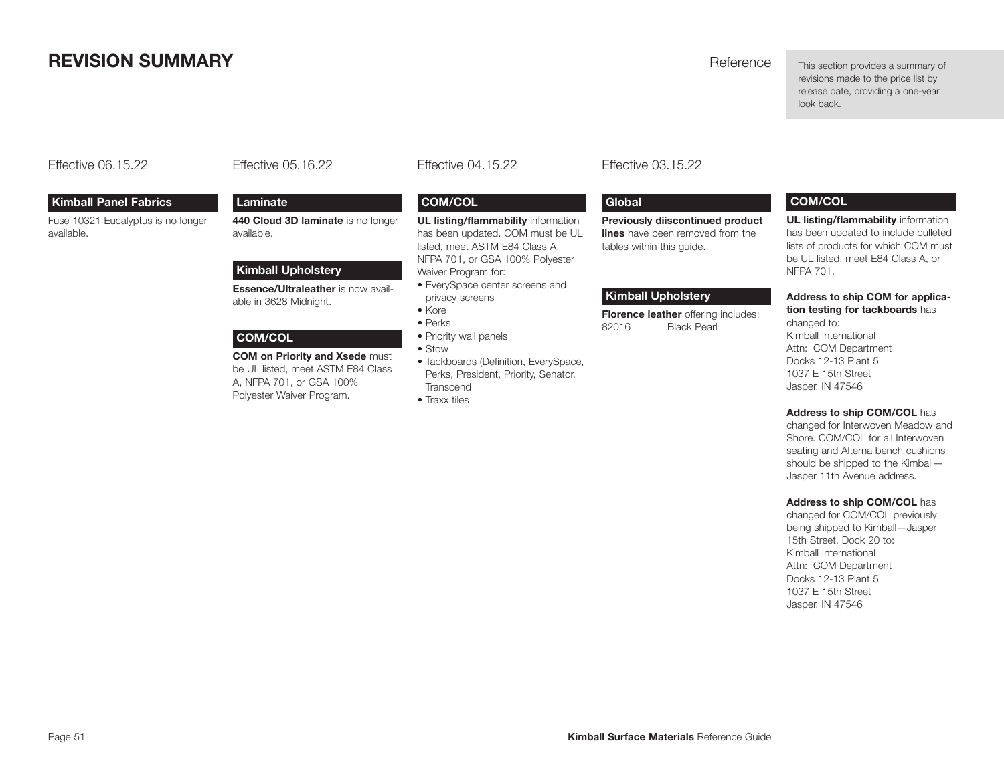# <span id="page-50-0"></span>**REVISION SUMMARY REVISION SUMMARY Reference**

This section provides a summary of revisions made to the price list by release date, providing a one-year look back.

Effective 06.15.22

# Effective 05.16.22

**Laminate** 

available.

#### **Kimball Panel Fabrics**

Fuse 10321 Eucalyptus is no longer available.

**Kimball Upholstery** 

able in 3628 Midnight.

**COM/COL** 

**440 Cloud 3D laminate** is no longer

**Essence/Ultraleather** is now avail-

**COM on Priority and Xsede** must be UL listed, meet ASTM E84 Class A, NFPA 701, or GSA 100% Polyester Waiver Program.

Effective 04.15.22

#### **COM/COL**

**UL listing/flammability** information has been updated. COM must be UL listed, meet ASTM E84 Class A, NFPA 701, or GSA 100% Polyester Waiver Program for:

- EverySpace center screens and privacy screens
- Kore
- Perks
- Priority wall panels
	- Stow
	- Tackboards (Definition, EverySpace, Perks, President, Priority, Senator, **Transcend**
	- Traxx tiles

#### Effective 03.15.22

#### **Global**

**Previously diiscontinued product lines** have been removed from the tables within this guide.

#### **Kimball Upholstery**

**Florence leather** offering includes: 82016 Black Pearl

#### **COM/COL**

**UL listing/flammability** information has been updated to include bulleted lists of products for which COM must be UL listed, meet E84 Class A, or NFPA 701.

#### **Address to ship COM for application testing for tackboards** has

changed to: Kimball International Attn: COM Department Docks 12-13 Plant 5 1037 E 15th Street Jasper, IN 47546

#### **Address to ship COM/COL** has

changed for Interwoven Meadow and Shore. COM/COL for all Interwoven seating and Alterna bench cushions should be shipped to the Kimball— Jasper 11th Avenue address.

#### **Address to ship COM/COL** has

changed for COM/COL previously being shipped to Kimball—Jasper 15th Street, Dock 20 to: Kimball International Attn: COM Department Docks 12-13 Plant 5 1037 E 15th Street Jasper, IN 47546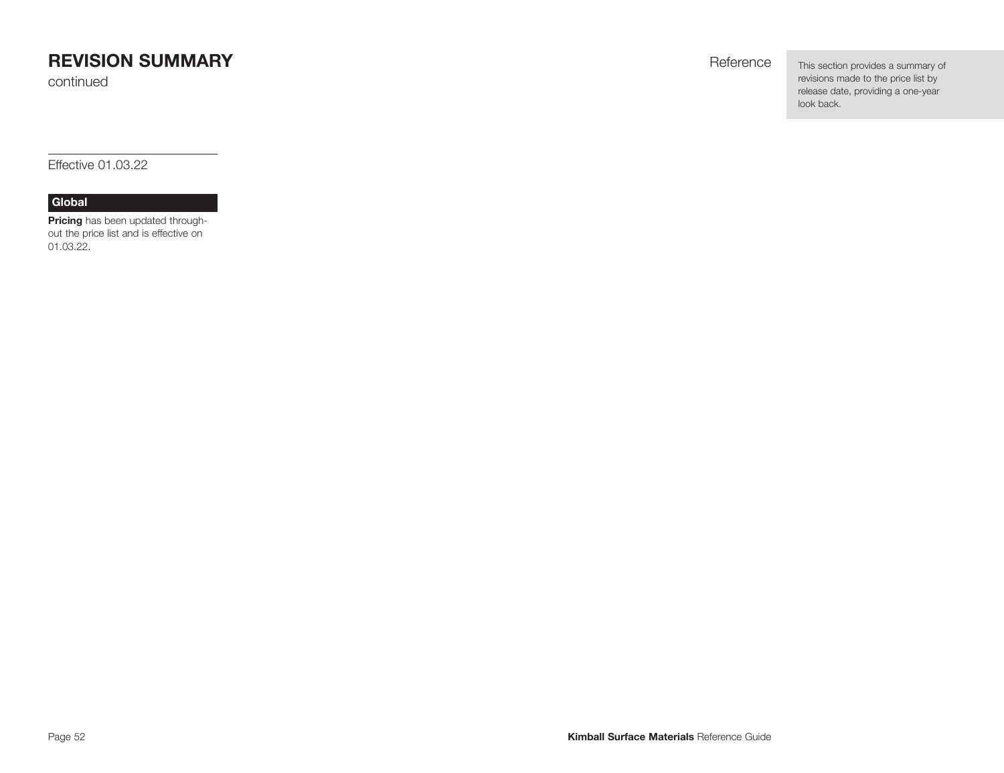# **REVISION SUMMARY REVISION SUMMARY**

continued

This section provides a summary of revisions made to the price list by release date, providing a one-year look back.

Effective 01.03.22

#### **Global**

**Pricing** has been updated throughout the price list and is effective on 01.03.22.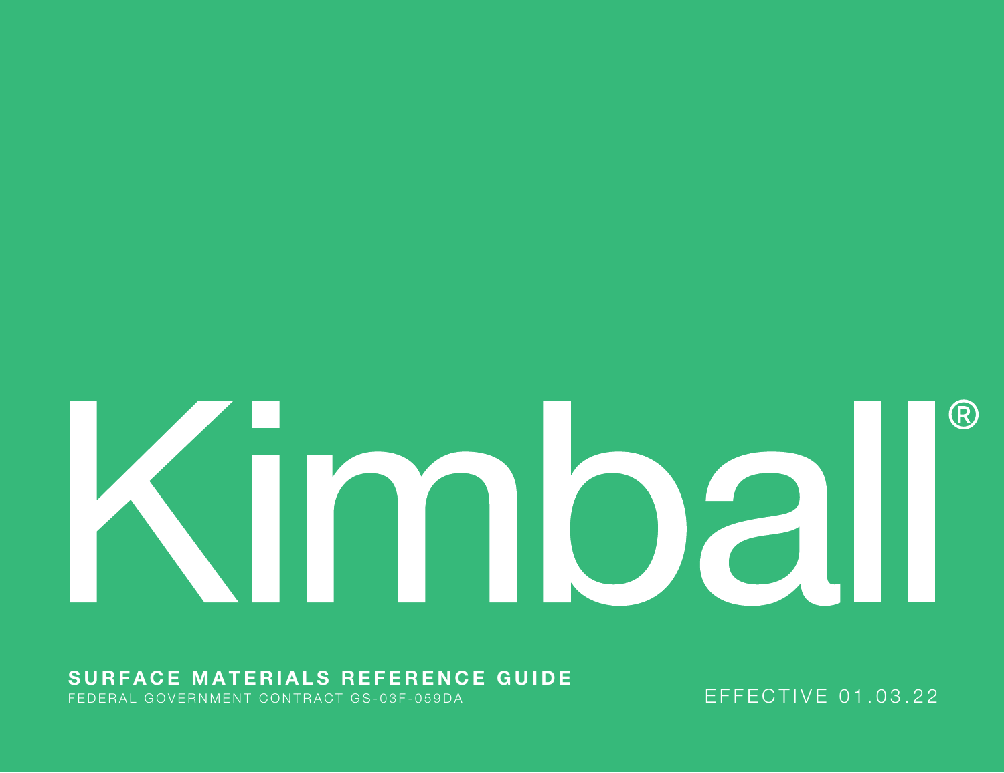# (R) **JIMDall**

# **SURFACE MATERIALS REFERENCE GUIDE**

FEDERAL GOVERNMENT CONTRACT GS-03F-059DA EXECTIVE THE EFFECTIVE 01.03.22